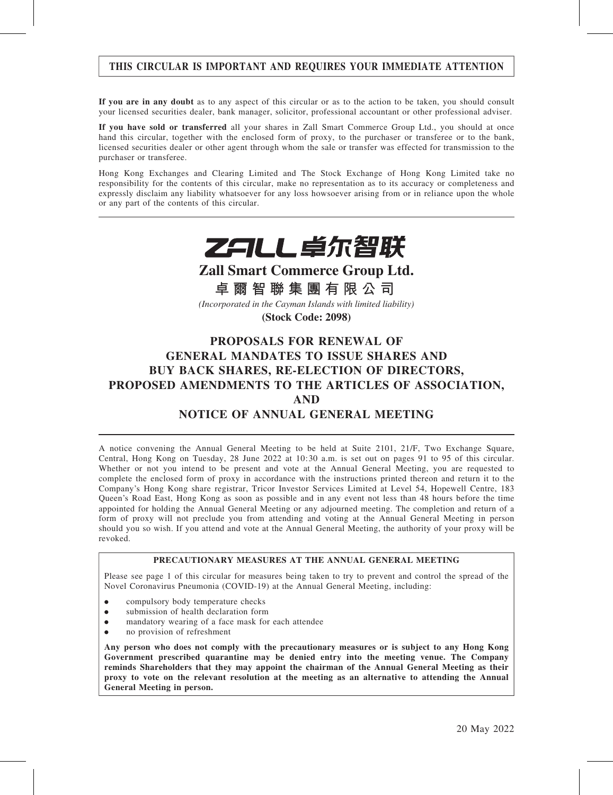### THIS CIRCULAR IS IMPORTANT AND REQUIRES YOUR IMMEDIATE ATTENTION

If you are in any doubt as to any aspect of this circular or as to the action to be taken, you should consult your licensed securities dealer, bank manager, solicitor, professional accountant or other professional adviser.

If you have sold or transferred all your shares in Zall Smart Commerce Group Ltd., you should at once hand this circular, together with the enclosed form of proxy, to the purchaser or transferee or to the bank, licensed securities dealer or other agent through whom the sale or transfer was effected for transmission to the purchaser or transferee.

Hong Kong Exchanges and Clearing Limited and The Stock Exchange of Hong Kong Limited take no responsibility for the contents of this circular, make no representation as to its accuracy or completeness and expressly disclaim any liability whatsoever for any loss howsoever arising from or in reliance upon the whole or any part of the contents of this circular.



**Zall Smart Commerce Group Ltd.**

**卓爾智聯集團有限公司**

*(Incorporated in the Cayman Islands with limited liability)*

**(Stock Code: 2098)**

# PROPOSALS FOR RENEWAL OF GENERAL MANDATES TO ISSUE SHARES AND BUY BACK SHARES, RE-ELECTION OF DIRECTORS, PROPOSED AMENDMENTS TO THE ARTICLES OF ASSOCIATION, AND NOTICE OF ANNUAL GENERAL MEETING

A notice convening the Annual General Meeting to be held at Suite 2101, 21/F, Two Exchange Square, Central, Hong Kong on Tuesday, 28 June 2022 at 10:30 a.m. is set out on pages 91 to 95 of this circular. Whether or not you intend to be present and vote at the Annual General Meeting, you are requested to complete the enclosed form of proxy in accordance with the instructions printed thereon and return it to the Company's Hong Kong share registrar, Tricor Investor Services Limited at Level 54, Hopewell Centre, 183 Queen's Road East, Hong Kong as soon as possible and in any event not less than 48 hours before the time appointed for holding the Annual General Meeting or any adjourned meeting. The completion and return of a form of proxy will not preclude you from attending and voting at the Annual General Meeting in person should you so wish. If you attend and vote at the Annual General Meeting, the authority of your proxy will be revoked.

#### PRECAUTIONARY MEASURES AT THE ANNUAL GENERAL MEETING

Please see page 1 of this circular for measures being taken to try to prevent and control the spread of the Novel Coronavirus Pneumonia (COVID-19) at the Annual General Meeting, including:

- compulsory body temperature checks
- . submission of health declaration form
- . mandatory wearing of a face mask for each attendee
- . no provision of refreshment

Any person who does not comply with the precautionary measures or is subject to any Hong Kong Government prescribed quarantine may be denied entry into the meeting venue. The Company reminds Shareholders that they may appoint the chairman of the Annual General Meeting as their proxy to vote on the relevant resolution at the meeting as an alternative to attending the Annual General Meeting in person.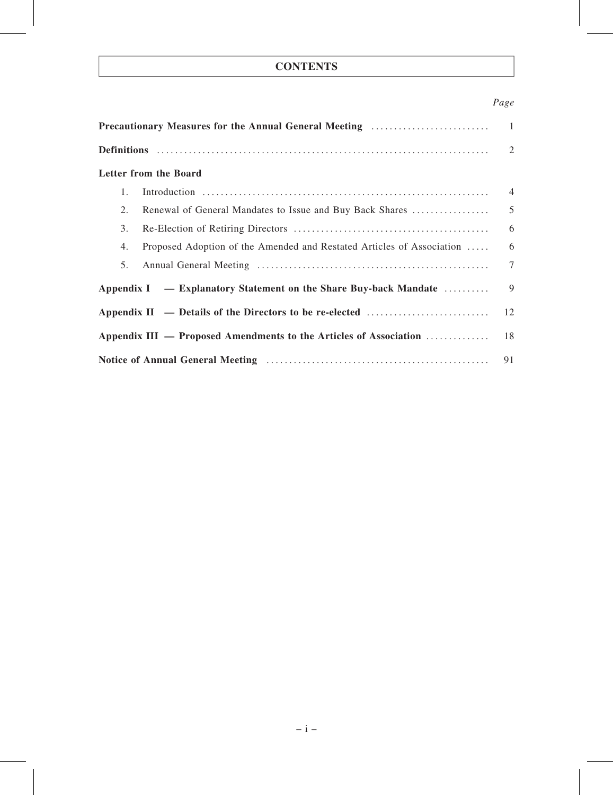# **CONTENTS**

### Page

|    | <b>Precautionary Measures for the Annual General Meeting manufacturers</b> | -1             |
|----|----------------------------------------------------------------------------|----------------|
|    |                                                                            | 2              |
|    | Letter from the Board                                                      |                |
| 1. |                                                                            | $\overline{4}$ |
| 2. | Renewal of General Mandates to Issue and Buy Back Shares                   | 5              |
| 3. |                                                                            | 6              |
| 4. | Proposed Adoption of the Amended and Restated Articles of Association      | 6              |
| 5. |                                                                            | $\tau$         |
|    | Appendix I — Explanatory Statement on the Share Buy-back Mandate           | 9              |
|    | Appendix II — Details of the Directors to be re-elected                    | 12             |
|    | Appendix III — Proposed Amendments to the Articles of Association          | 18             |
|    |                                                                            | 91             |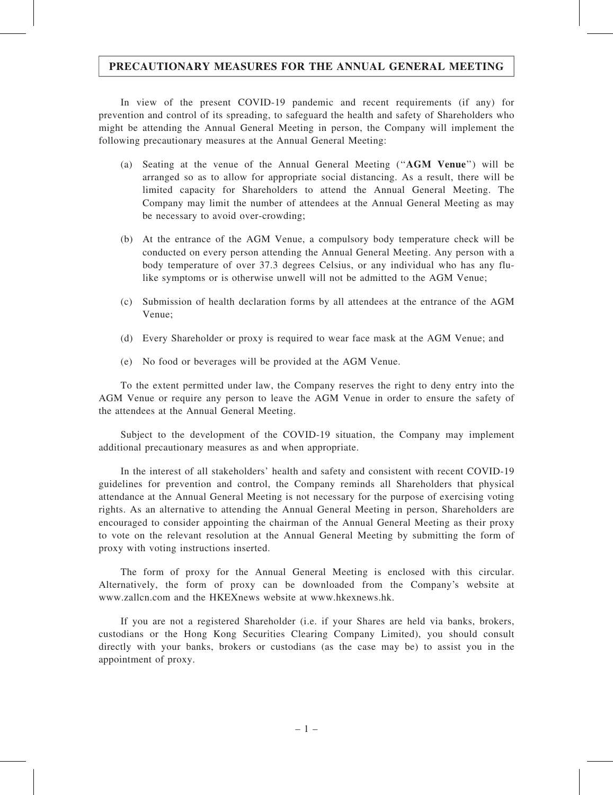#### PRECAUTIONARY MEASURES FOR THE ANNUAL GENERAL MEETING

In view of the present COVID-19 pandemic and recent requirements (if any) for prevention and control of its spreading, to safeguard the health and safety of Shareholders who might be attending the Annual General Meeting in person, the Company will implement the following precautionary measures at the Annual General Meeting:

- (a) Seating at the venue of the Annual General Meeting (''AGM Venue'') will be arranged so as to allow for appropriate social distancing. As a result, there will be limited capacity for Shareholders to attend the Annual General Meeting. The Company may limit the number of attendees at the Annual General Meeting as may be necessary to avoid over-crowding;
- (b) At the entrance of the AGM Venue, a compulsory body temperature check will be conducted on every person attending the Annual General Meeting. Any person with a body temperature of over 37.3 degrees Celsius, or any individual who has any flulike symptoms or is otherwise unwell will not be admitted to the AGM Venue;
- (c) Submission of health declaration forms by all attendees at the entrance of the AGM Venue;
- (d) Every Shareholder or proxy is required to wear face mask at the AGM Venue; and
- (e) No food or beverages will be provided at the AGM Venue.

To the extent permitted under law, the Company reserves the right to deny entry into the AGM Venue or require any person to leave the AGM Venue in order to ensure the safety of the attendees at the Annual General Meeting.

Subject to the development of the COVID-19 situation, the Company may implement additional precautionary measures as and when appropriate.

In the interest of all stakeholders' health and safety and consistent with recent COVID-19 guidelines for prevention and control, the Company reminds all Shareholders that physical attendance at the Annual General Meeting is not necessary for the purpose of exercising voting rights. As an alternative to attending the Annual General Meeting in person, Shareholders are encouraged to consider appointing the chairman of the Annual General Meeting as their proxy to vote on the relevant resolution at the Annual General Meeting by submitting the form of proxy with voting instructions inserted.

The form of proxy for the Annual General Meeting is enclosed with this circular. Alternatively, the form of proxy can be downloaded from the Company's website at www.zallcn.com and the HKEXnews website at www.hkexnews.hk.

If you are not a registered Shareholder (i.e. if your Shares are held via banks, brokers, custodians or the Hong Kong Securities Clearing Company Limited), you should consult directly with your banks, brokers or custodians (as the case may be) to assist you in the appointment of proxy.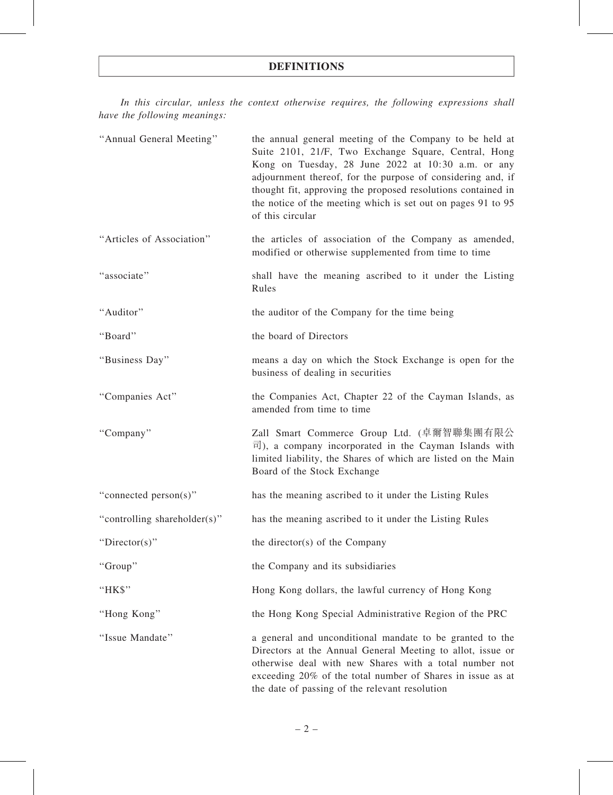#### DEFINITIONS

In this circular, unless the context otherwise requires, the following expressions shall have the following meanings:

| "Annual General Meeting"     | the annual general meeting of the Company to be held at<br>Suite 2101, 21/F, Two Exchange Square, Central, Hong<br>Kong on Tuesday, 28 June 2022 at 10:30 a.m. or any<br>adjournment thereof, for the purpose of considering and, if<br>thought fit, approving the proposed resolutions contained in<br>the notice of the meeting which is set out on pages 91 to 95<br>of this circular |
|------------------------------|------------------------------------------------------------------------------------------------------------------------------------------------------------------------------------------------------------------------------------------------------------------------------------------------------------------------------------------------------------------------------------------|
| "Articles of Association"    | the articles of association of the Company as amended,<br>modified or otherwise supplemented from time to time                                                                                                                                                                                                                                                                           |
| "associate"                  | shall have the meaning ascribed to it under the Listing<br>Rules                                                                                                                                                                                                                                                                                                                         |
| "Auditor"                    | the auditor of the Company for the time being                                                                                                                                                                                                                                                                                                                                            |
| "Board"                      | the board of Directors                                                                                                                                                                                                                                                                                                                                                                   |
| "Business Day"               | means a day on which the Stock Exchange is open for the<br>business of dealing in securities                                                                                                                                                                                                                                                                                             |
| "Companies Act"              | the Companies Act, Chapter 22 of the Cayman Islands, as<br>amended from time to time                                                                                                                                                                                                                                                                                                     |
| "Company"                    | Zall Smart Commerce Group Ltd. (卓爾智聯集團有限公<br>$\overline{\overline{r}}$ ), a company incorporated in the Cayman Islands with<br>limited liability, the Shares of which are listed on the Main<br>Board of the Stock Exchange                                                                                                                                                              |
| "connected person(s)"        | has the meaning ascribed to it under the Listing Rules                                                                                                                                                                                                                                                                                                                                   |
| "controlling shareholder(s)" | has the meaning ascribed to it under the Listing Rules                                                                                                                                                                                                                                                                                                                                   |
| "Director(s)"                | the director(s) of the Company                                                                                                                                                                                                                                                                                                                                                           |
| "Group"                      | the Company and its subsidiaries                                                                                                                                                                                                                                                                                                                                                         |
| "HK\$"                       | Hong Kong dollars, the lawful currency of Hong Kong                                                                                                                                                                                                                                                                                                                                      |
| "Hong Kong"                  | the Hong Kong Special Administrative Region of the PRC                                                                                                                                                                                                                                                                                                                                   |
| "Issue Mandate"              | a general and unconditional mandate to be granted to the<br>Directors at the Annual General Meeting to allot, issue or<br>otherwise deal with new Shares with a total number not<br>exceeding 20% of the total number of Shares in issue as at<br>the date of passing of the relevant resolution                                                                                         |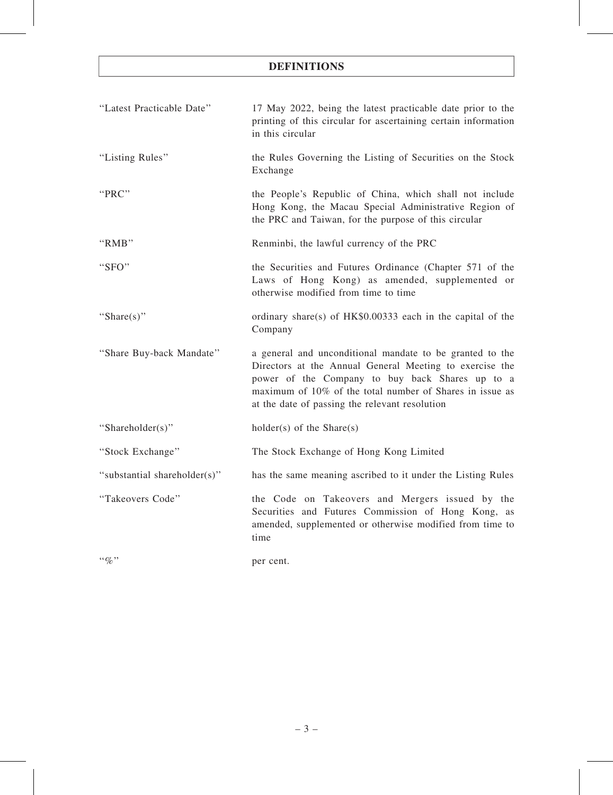# DEFINITIONS

| "Latest Practicable Date"    | 17 May 2022, being the latest practicable date prior to the<br>printing of this circular for ascertaining certain information<br>in this circular                                                                                                                                    |
|------------------------------|--------------------------------------------------------------------------------------------------------------------------------------------------------------------------------------------------------------------------------------------------------------------------------------|
| "Listing Rules"              | the Rules Governing the Listing of Securities on the Stock<br>Exchange                                                                                                                                                                                                               |
| "PRC"                        | the People's Republic of China, which shall not include<br>Hong Kong, the Macau Special Administrative Region of<br>the PRC and Taiwan, for the purpose of this circular                                                                                                             |
| "RMB"                        | Renminbi, the lawful currency of the PRC                                                                                                                                                                                                                                             |
| "SFO"                        | the Securities and Futures Ordinance (Chapter 571 of the<br>Laws of Hong Kong) as amended, supplemented or<br>otherwise modified from time to time                                                                                                                                   |
| "Share $(s)$ "               | ordinary share(s) of $HK$0.00333$ each in the capital of the<br>Company                                                                                                                                                                                                              |
| "Share Buy-back Mandate"     | a general and unconditional mandate to be granted to the<br>Directors at the Annual General Meeting to exercise the<br>power of the Company to buy back Shares up to a<br>maximum of 10% of the total number of Shares in issue as<br>at the date of passing the relevant resolution |
| "Shareholder(s)"             | $holder(s)$ of the Share(s)                                                                                                                                                                                                                                                          |
| "Stock Exchange"             | The Stock Exchange of Hong Kong Limited                                                                                                                                                                                                                                              |
| "substantial shareholder(s)" | has the same meaning ascribed to it under the Listing Rules                                                                                                                                                                                                                          |
| "Takeovers Code"             | the Code on Takeovers and Mergers issued by the<br>Securities and Futures Commission of Hong Kong, as<br>amended, supplemented or otherwise modified from time to<br>time                                                                                                            |
| $\lq\lq q_0$ "               | per cent.                                                                                                                                                                                                                                                                            |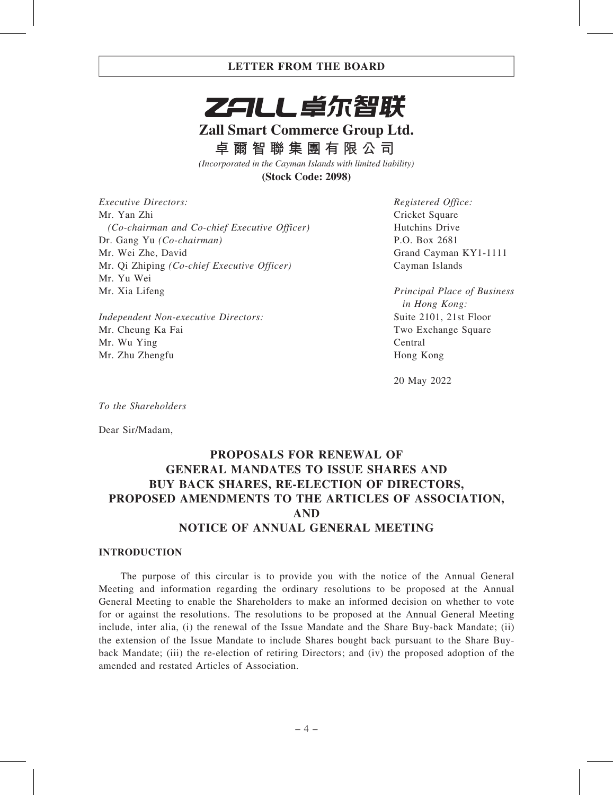

# **Zall Smart Commerce Group Ltd.**

**卓爾智聯集團有限公司**

*(Incorporated in the Cayman Islands with limited liability)*

**(Stock Code: 2098)**

Executive Directors: Mr. Yan Zhi (Co-chairman and Co-chief Executive Officer) Dr. Gang Yu (Co-chairman) Mr. Wei Zhe, David Mr. Qi Zhiping (Co-chief Executive Officer) Mr. Yu Wei Mr. Xia Lifeng

Independent Non-executive Directors: Mr. Cheung Ka Fai Mr. Wu Ying Mr. Zhu Zhengfu

Registered Office: Cricket Square Hutchins Drive P.O. Box 2681 Grand Cayman KY1-1111 Cayman Islands

Principal Place of Business in Hong Kong: Suite 2101, 21st Floor Two Exchange Square Central Hong Kong

20 May 2022

To the Shareholders

Dear Sir/Madam,

# PROPOSALS FOR RENEWAL OF GENERAL MANDATES TO ISSUE SHARES AND BUY BACK SHARES, RE-ELECTION OF DIRECTORS, PROPOSED AMENDMENTS TO THE ARTICLES OF ASSOCIATION, AND NOTICE OF ANNUAL GENERAL MEETING

#### INTRODUCTION

The purpose of this circular is to provide you with the notice of the Annual General Meeting and information regarding the ordinary resolutions to be proposed at the Annual General Meeting to enable the Shareholders to make an informed decision on whether to vote for or against the resolutions. The resolutions to be proposed at the Annual General Meeting include, inter alia, (i) the renewal of the Issue Mandate and the Share Buy-back Mandate; (ii) the extension of the Issue Mandate to include Shares bought back pursuant to the Share Buyback Mandate; (iii) the re-election of retiring Directors; and (iv) the proposed adoption of the amended and restated Articles of Association.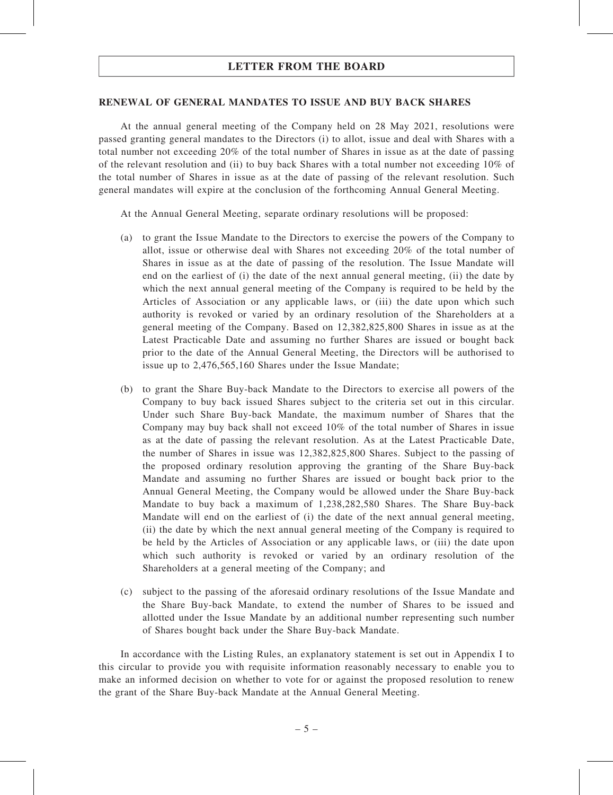#### RENEWAL OF GENERAL MANDATES TO ISSUE AND BUY BACK SHARES

At the annual general meeting of the Company held on 28 May 2021, resolutions were passed granting general mandates to the Directors (i) to allot, issue and deal with Shares with a total number not exceeding 20% of the total number of Shares in issue as at the date of passing of the relevant resolution and (ii) to buy back Shares with a total number not exceeding 10% of the total number of Shares in issue as at the date of passing of the relevant resolution. Such general mandates will expire at the conclusion of the forthcoming Annual General Meeting.

At the Annual General Meeting, separate ordinary resolutions will be proposed:

- (a) to grant the Issue Mandate to the Directors to exercise the powers of the Company to allot, issue or otherwise deal with Shares not exceeding 20% of the total number of Shares in issue as at the date of passing of the resolution. The Issue Mandate will end on the earliest of (i) the date of the next annual general meeting, (ii) the date by which the next annual general meeting of the Company is required to be held by the Articles of Association or any applicable laws, or (iii) the date upon which such authority is revoked or varied by an ordinary resolution of the Shareholders at a general meeting of the Company. Based on 12,382,825,800 Shares in issue as at the Latest Practicable Date and assuming no further Shares are issued or bought back prior to the date of the Annual General Meeting, the Directors will be authorised to issue up to 2,476,565,160 Shares under the Issue Mandate;
- (b) to grant the Share Buy-back Mandate to the Directors to exercise all powers of the Company to buy back issued Shares subject to the criteria set out in this circular. Under such Share Buy-back Mandate, the maximum number of Shares that the Company may buy back shall not exceed 10% of the total number of Shares in issue as at the date of passing the relevant resolution. As at the Latest Practicable Date, the number of Shares in issue was 12,382,825,800 Shares. Subject to the passing of the proposed ordinary resolution approving the granting of the Share Buy-back Mandate and assuming no further Shares are issued or bought back prior to the Annual General Meeting, the Company would be allowed under the Share Buy-back Mandate to buy back a maximum of 1,238,282,580 Shares. The Share Buy-back Mandate will end on the earliest of (i) the date of the next annual general meeting, (ii) the date by which the next annual general meeting of the Company is required to be held by the Articles of Association or any applicable laws, or (iii) the date upon which such authority is revoked or varied by an ordinary resolution of the Shareholders at a general meeting of the Company; and
- (c) subject to the passing of the aforesaid ordinary resolutions of the Issue Mandate and the Share Buy-back Mandate, to extend the number of Shares to be issued and allotted under the Issue Mandate by an additional number representing such number of Shares bought back under the Share Buy-back Mandate.

In accordance with the Listing Rules, an explanatory statement is set out in Appendix I to this circular to provide you with requisite information reasonably necessary to enable you to make an informed decision on whether to vote for or against the proposed resolution to renew the grant of the Share Buy-back Mandate at the Annual General Meeting.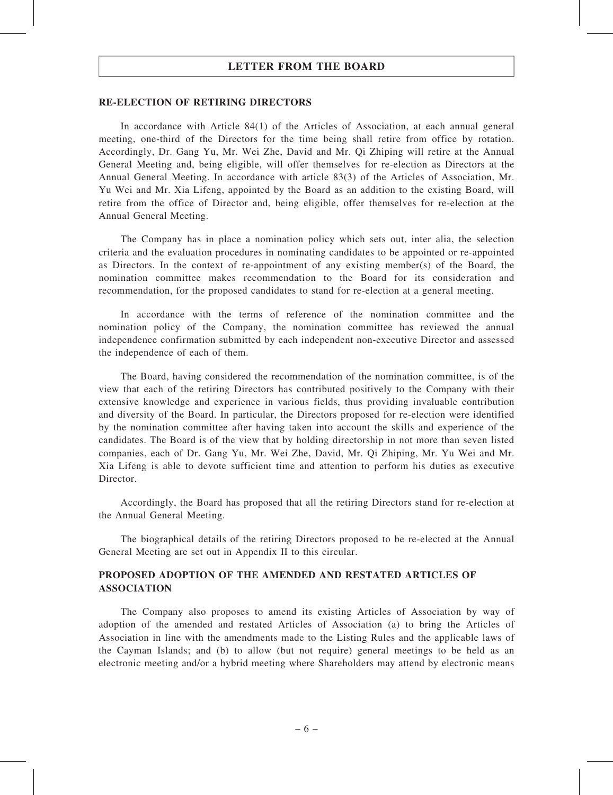#### RE-ELECTION OF RETIRING DIRECTORS

In accordance with Article 84(1) of the Articles of Association, at each annual general meeting, one-third of the Directors for the time being shall retire from office by rotation. Accordingly, Dr. Gang Yu, Mr. Wei Zhe, David and Mr. Qi Zhiping will retire at the Annual General Meeting and, being eligible, will offer themselves for re-election as Directors at the Annual General Meeting. In accordance with article 83(3) of the Articles of Association, Mr. Yu Wei and Mr. Xia Lifeng, appointed by the Board as an addition to the existing Board, will retire from the office of Director and, being eligible, offer themselves for re-election at the Annual General Meeting.

The Company has in place a nomination policy which sets out, inter alia, the selection criteria and the evaluation procedures in nominating candidates to be appointed or re-appointed as Directors. In the context of re-appointment of any existing member(s) of the Board, the nomination committee makes recommendation to the Board for its consideration and recommendation, for the proposed candidates to stand for re-election at a general meeting.

In accordance with the terms of reference of the nomination committee and the nomination policy of the Company, the nomination committee has reviewed the annual independence confirmation submitted by each independent non-executive Director and assessed the independence of each of them.

The Board, having considered the recommendation of the nomination committee, is of the view that each of the retiring Directors has contributed positively to the Company with their extensive knowledge and experience in various fields, thus providing invaluable contribution and diversity of the Board. In particular, the Directors proposed for re-election were identified by the nomination committee after having taken into account the skills and experience of the candidates. The Board is of the view that by holding directorship in not more than seven listed companies, each of Dr. Gang Yu, Mr. Wei Zhe, David, Mr. Qi Zhiping, Mr. Yu Wei and Mr. Xia Lifeng is able to devote sufficient time and attention to perform his duties as executive Director.

Accordingly, the Board has proposed that all the retiring Directors stand for re-election at the Annual General Meeting.

The biographical details of the retiring Directors proposed to be re-elected at the Annual General Meeting are set out in Appendix II to this circular.

#### PROPOSED ADOPTION OF THE AMENDED AND RESTATED ARTICLES OF ASSOCIATION

The Company also proposes to amend its existing Articles of Association by way of adoption of the amended and restated Articles of Association (a) to bring the Articles of Association in line with the amendments made to the Listing Rules and the applicable laws of the Cayman Islands; and (b) to allow (but not require) general meetings to be held as an electronic meeting and/or a hybrid meeting where Shareholders may attend by electronic means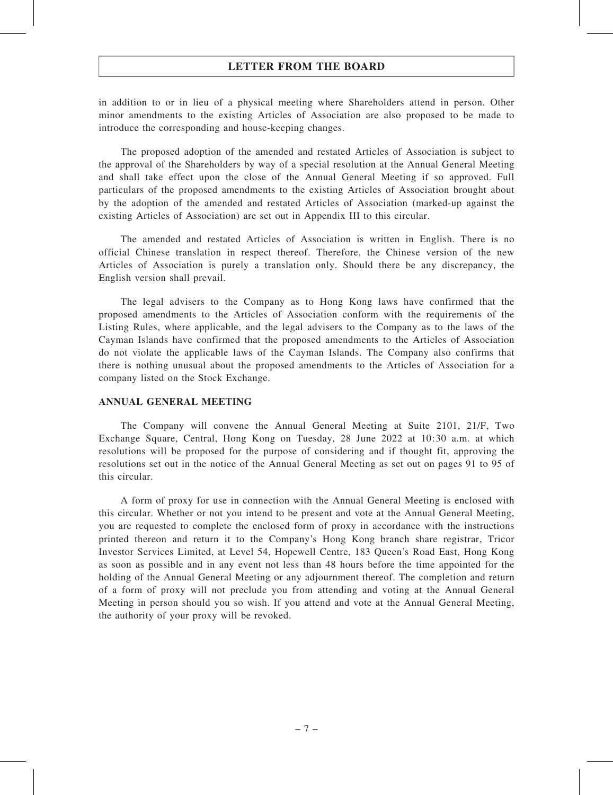in addition to or in lieu of a physical meeting where Shareholders attend in person. Other minor amendments to the existing Articles of Association are also proposed to be made to introduce the corresponding and house-keeping changes.

The proposed adoption of the amended and restated Articles of Association is subject to the approval of the Shareholders by way of a special resolution at the Annual General Meeting and shall take effect upon the close of the Annual General Meeting if so approved. Full particulars of the proposed amendments to the existing Articles of Association brought about by the adoption of the amended and restated Articles of Association (marked-up against the existing Articles of Association) are set out in Appendix III to this circular.

The amended and restated Articles of Association is written in English. There is no official Chinese translation in respect thereof. Therefore, the Chinese version of the new Articles of Association is purely a translation only. Should there be any discrepancy, the English version shall prevail.

The legal advisers to the Company as to Hong Kong laws have confirmed that the proposed amendments to the Articles of Association conform with the requirements of the Listing Rules, where applicable, and the legal advisers to the Company as to the laws of the Cayman Islands have confirmed that the proposed amendments to the Articles of Association do not violate the applicable laws of the Cayman Islands. The Company also confirms that there is nothing unusual about the proposed amendments to the Articles of Association for a company listed on the Stock Exchange.

#### ANNUAL GENERAL MEETING

The Company will convene the Annual General Meeting at Suite 2101, 21/F, Two Exchange Square, Central, Hong Kong on Tuesday, 28 June 2022 at 10:30 a.m. at which resolutions will be proposed for the purpose of considering and if thought fit, approving the resolutions set out in the notice of the Annual General Meeting as set out on pages 91 to 95 of this circular.

A form of proxy for use in connection with the Annual General Meeting is enclosed with this circular. Whether or not you intend to be present and vote at the Annual General Meeting, you are requested to complete the enclosed form of proxy in accordance with the instructions printed thereon and return it to the Company's Hong Kong branch share registrar, Tricor Investor Services Limited, at Level 54, Hopewell Centre, 183 Queen's Road East, Hong Kong as soon as possible and in any event not less than 48 hours before the time appointed for the holding of the Annual General Meeting or any adjournment thereof. The completion and return of a form of proxy will not preclude you from attending and voting at the Annual General Meeting in person should you so wish. If you attend and vote at the Annual General Meeting, the authority of your proxy will be revoked.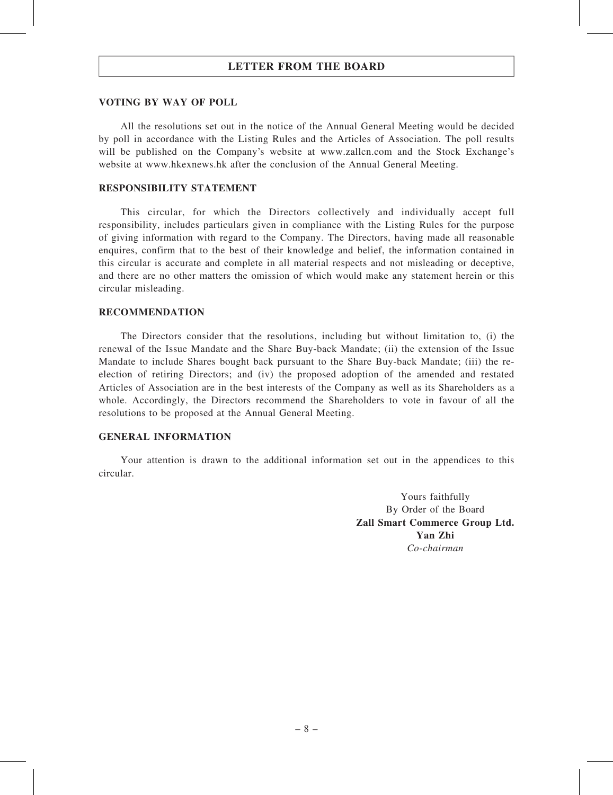#### VOTING BY WAY OF POLL

All the resolutions set out in the notice of the Annual General Meeting would be decided by poll in accordance with the Listing Rules and the Articles of Association. The poll results will be published on the Company's website at www.zallcn.com and the Stock Exchange's website at www.hkexnews.hk after the conclusion of the Annual General Meeting.

#### RESPONSIBILITY STATEMENT

This circular, for which the Directors collectively and individually accept full responsibility, includes particulars given in compliance with the Listing Rules for the purpose of giving information with regard to the Company. The Directors, having made all reasonable enquires, confirm that to the best of their knowledge and belief, the information contained in this circular is accurate and complete in all material respects and not misleading or deceptive, and there are no other matters the omission of which would make any statement herein or this circular misleading.

#### RECOMMENDATION

The Directors consider that the resolutions, including but without limitation to, (i) the renewal of the Issue Mandate and the Share Buy-back Mandate; (ii) the extension of the Issue Mandate to include Shares bought back pursuant to the Share Buy-back Mandate; (iii) the reelection of retiring Directors; and (iv) the proposed adoption of the amended and restated Articles of Association are in the best interests of the Company as well as its Shareholders as a whole. Accordingly, the Directors recommend the Shareholders to vote in favour of all the resolutions to be proposed at the Annual General Meeting.

#### GENERAL INFORMATION

Your attention is drawn to the additional information set out in the appendices to this circular.

> Yours faithfully By Order of the Board Zall Smart Commerce Group Ltd. Yan Zhi Co-chairman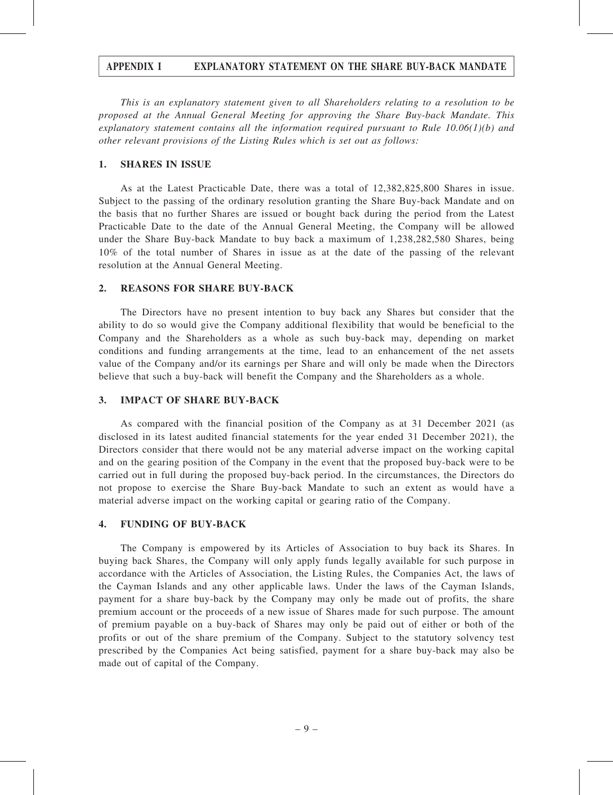#### APPENDIX I EXPLANATORY STATEMENT ON THE SHARE BUY-BACK MANDATE

This is an explanatory statement given to all Shareholders relating to a resolution to be proposed at the Annual General Meeting for approving the Share Buy-back Mandate. This explanatory statement contains all the information required pursuant to Rule  $10.06(1)(b)$  and other relevant provisions of the Listing Rules which is set out as follows:

#### 1. SHARES IN ISSUE

As at the Latest Practicable Date, there was a total of 12,382,825,800 Shares in issue. Subject to the passing of the ordinary resolution granting the Share Buy-back Mandate and on the basis that no further Shares are issued or bought back during the period from the Latest Practicable Date to the date of the Annual General Meeting, the Company will be allowed under the Share Buy-back Mandate to buy back a maximum of 1,238,282,580 Shares, being 10% of the total number of Shares in issue as at the date of the passing of the relevant resolution at the Annual General Meeting.

#### 2. REASONS FOR SHARE BUY-BACK

The Directors have no present intention to buy back any Shares but consider that the ability to do so would give the Company additional flexibility that would be beneficial to the Company and the Shareholders as a whole as such buy-back may, depending on market conditions and funding arrangements at the time, lead to an enhancement of the net assets value of the Company and/or its earnings per Share and will only be made when the Directors believe that such a buy-back will benefit the Company and the Shareholders as a whole.

#### 3. IMPACT OF SHARE BUY-BACK

As compared with the financial position of the Company as at 31 December 2021 (as disclosed in its latest audited financial statements for the year ended 31 December 2021), the Directors consider that there would not be any material adverse impact on the working capital and on the gearing position of the Company in the event that the proposed buy-back were to be carried out in full during the proposed buy-back period. In the circumstances, the Directors do not propose to exercise the Share Buy-back Mandate to such an extent as would have a material adverse impact on the working capital or gearing ratio of the Company.

#### 4. FUNDING OF BUY-BACK

The Company is empowered by its Articles of Association to buy back its Shares. In buying back Shares, the Company will only apply funds legally available for such purpose in accordance with the Articles of Association, the Listing Rules, the Companies Act, the laws of the Cayman Islands and any other applicable laws. Under the laws of the Cayman Islands, payment for a share buy-back by the Company may only be made out of profits, the share premium account or the proceeds of a new issue of Shares made for such purpose. The amount of premium payable on a buy-back of Shares may only be paid out of either or both of the profits or out of the share premium of the Company. Subject to the statutory solvency test prescribed by the Companies Act being satisfied, payment for a share buy-back may also be made out of capital of the Company.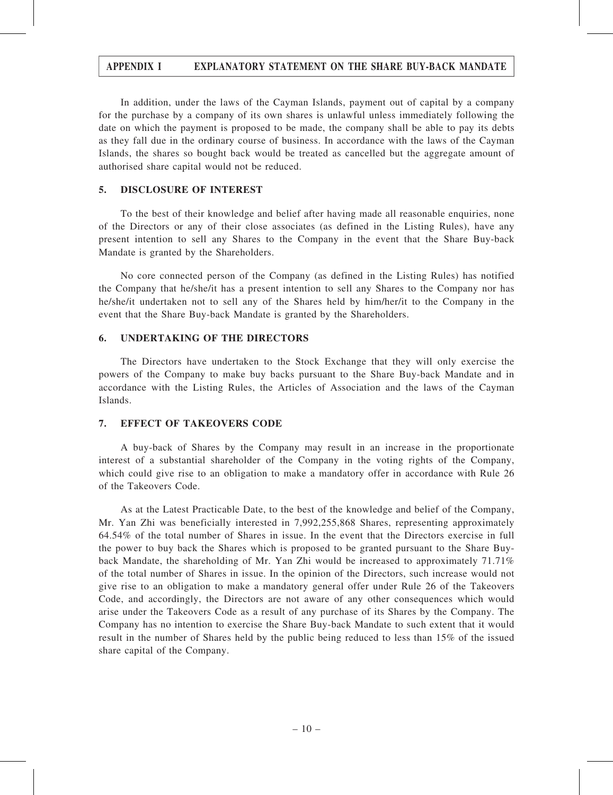### APPENDIX I EXPLANATORY STATEMENT ON THE SHARE BUY-BACK MANDATE

In addition, under the laws of the Cayman Islands, payment out of capital by a company for the purchase by a company of its own shares is unlawful unless immediately following the date on which the payment is proposed to be made, the company shall be able to pay its debts as they fall due in the ordinary course of business. In accordance with the laws of the Cayman Islands, the shares so bought back would be treated as cancelled but the aggregate amount of authorised share capital would not be reduced.

#### 5. DISCLOSURE OF INTEREST

To the best of their knowledge and belief after having made all reasonable enquiries, none of the Directors or any of their close associates (as defined in the Listing Rules), have any present intention to sell any Shares to the Company in the event that the Share Buy-back Mandate is granted by the Shareholders.

No core connected person of the Company (as defined in the Listing Rules) has notified the Company that he/she/it has a present intention to sell any Shares to the Company nor has he/she/it undertaken not to sell any of the Shares held by him/her/it to the Company in the event that the Share Buy-back Mandate is granted by the Shareholders.

#### 6. UNDERTAKING OF THE DIRECTORS

The Directors have undertaken to the Stock Exchange that they will only exercise the powers of the Company to make buy backs pursuant to the Share Buy-back Mandate and in accordance with the Listing Rules, the Articles of Association and the laws of the Cayman Islands.

#### 7. EFFECT OF TAKEOVERS CODE

A buy-back of Shares by the Company may result in an increase in the proportionate interest of a substantial shareholder of the Company in the voting rights of the Company, which could give rise to an obligation to make a mandatory offer in accordance with Rule 26 of the Takeovers Code.

As at the Latest Practicable Date, to the best of the knowledge and belief of the Company, Mr. Yan Zhi was beneficially interested in 7,992,255,868 Shares, representing approximately 64.54% of the total number of Shares in issue. In the event that the Directors exercise in full the power to buy back the Shares which is proposed to be granted pursuant to the Share Buyback Mandate, the shareholding of Mr. Yan Zhi would be increased to approximately 71.71% of the total number of Shares in issue. In the opinion of the Directors, such increase would not give rise to an obligation to make a mandatory general offer under Rule 26 of the Takeovers Code, and accordingly, the Directors are not aware of any other consequences which would arise under the Takeovers Code as a result of any purchase of its Shares by the Company. The Company has no intention to exercise the Share Buy-back Mandate to such extent that it would result in the number of Shares held by the public being reduced to less than 15% of the issued share capital of the Company.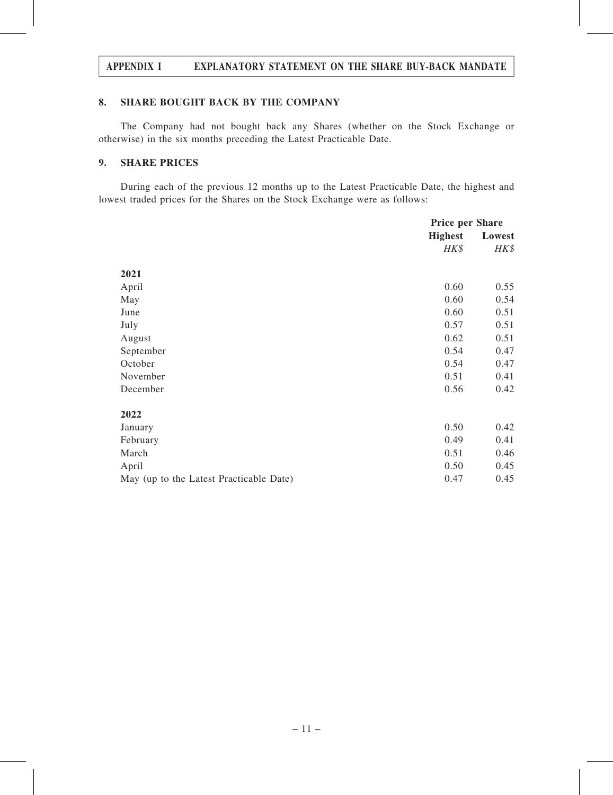#### APPENDIX I EXPLANATORY STATEMENT ON THE SHARE BUY-BACK MANDATE

#### 8. SHARE BOUGHT BACK BY THE COMPANY

The Company had not bought back any Shares (whether on the Stock Exchange or otherwise) in the six months preceding the Latest Practicable Date.

#### 9. SHARE PRICES

During each of the previous 12 months up to the Latest Practicable Date, the highest and lowest traded prices for the Shares on the Stock Exchange were as follows:

|                                         | <b>Price per Share</b> |        |
|-----------------------------------------|------------------------|--------|
|                                         | <b>Highest</b>         | Lowest |
|                                         | HK\$                   | HK\$   |
| 2021                                    |                        |        |
| April                                   | 0.60                   | 0.55   |
| May                                     | 0.60                   | 0.54   |
| June                                    | 0.60                   | 0.51   |
| July                                    | 0.57                   | 0.51   |
| August                                  | 0.62                   | 0.51   |
| September                               | 0.54                   | 0.47   |
| October                                 | 0.54                   | 0.47   |
| November                                | 0.51                   | 0.41   |
| December                                | 0.56                   | 0.42   |
| 2022                                    |                        |        |
| January                                 | 0.50                   | 0.42   |
| February                                | 0.49                   | 0.41   |
| March                                   | 0.51                   | 0.46   |
| April                                   | 0.50                   | 0.45   |
| May (up to the Latest Practicable Date) | 0.47                   | 0.45   |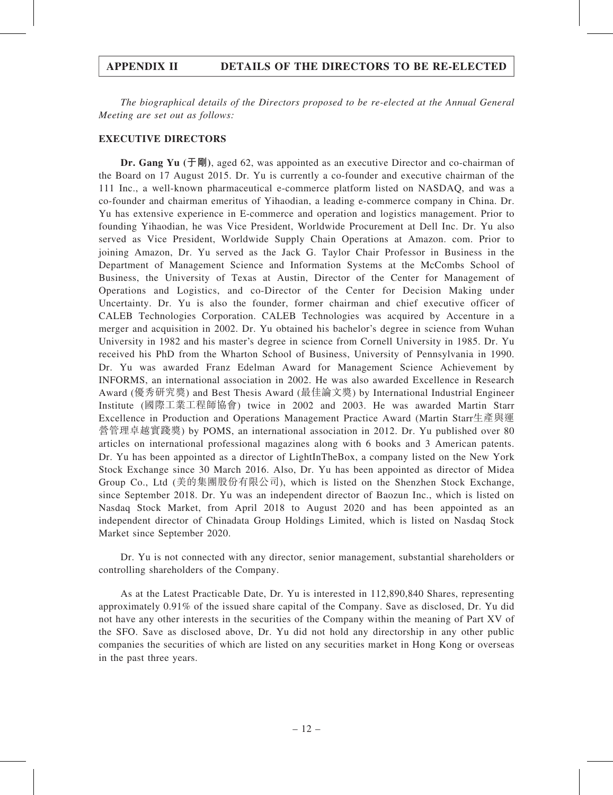The biographical details of the Directors proposed to be re-elected at the Annual General Meeting are set out as follows:

#### EXECUTIVE DIRECTORS

Dr. Gang Yu (于剛), aged 62, was appointed as an executive Director and co-chairman of the Board on 17 August 2015. Dr. Yu is currently a co-founder and executive chairman of the 111 Inc., a well-known pharmaceutical e-commerce platform listed on NASDAQ, and was a co-founder and chairman emeritus of Yihaodian, a leading e-commerce company in China. Dr. Yu has extensive experience in E-commerce and operation and logistics management. Prior to founding Yihaodian, he was Vice President, Worldwide Procurement at Dell Inc. Dr. Yu also served as Vice President, Worldwide Supply Chain Operations at Amazon. com. Prior to joining Amazon, Dr. Yu served as the Jack G. Taylor Chair Professor in Business in the Department of Management Science and Information Systems at the McCombs School of Business, the University of Texas at Austin, Director of the Center for Management of Operations and Logistics, and co-Director of the Center for Decision Making under Uncertainty. Dr. Yu is also the founder, former chairman and chief executive officer of CALEB Technologies Corporation. CALEB Technologies was acquired by Accenture in a merger and acquisition in 2002. Dr. Yu obtained his bachelor's degree in science from Wuhan University in 1982 and his master's degree in science from Cornell University in 1985. Dr. Yu received his PhD from the Wharton School of Business, University of Pennsylvania in 1990. Dr. Yu was awarded Franz Edelman Award for Management Science Achievement by INFORMS, an international association in 2002. He was also awarded Excellence in Research Award (優秀研究獎) and Best Thesis Award (最佳論文獎) by International Industrial Engineer Institute (國際工業工程師協會) twice in 2002 and 2003. He was awarded Martin Starr Excellence in Production and Operations Management Practice Award (Martin Starr生產與運 營管理卓越實踐獎) by POMS, an international association in 2012. Dr. Yu published over 80 articles on international professional magazines along with 6 books and 3 American patents. Dr. Yu has been appointed as a director of LightInTheBox, a company listed on the New York Stock Exchange since 30 March 2016. Also, Dr. Yu has been appointed as director of Midea Group Co., Ltd (美的集團股份有限公司), which is listed on the Shenzhen Stock Exchange, since September 2018. Dr. Yu was an independent director of Baozun Inc., which is listed on Nasdaq Stock Market, from April 2018 to August 2020 and has been appointed as an independent director of Chinadata Group Holdings Limited, which is listed on Nasdaq Stock Market since September 2020.

Dr. Yu is not connected with any director, senior management, substantial shareholders or controlling shareholders of the Company.

As at the Latest Practicable Date, Dr. Yu is interested in 112,890,840 Shares, representing approximately 0.91% of the issued share capital of the Company. Save as disclosed, Dr. Yu did not have any other interests in the securities of the Company within the meaning of Part XV of the SFO. Save as disclosed above, Dr. Yu did not hold any directorship in any other public companies the securities of which are listed on any securities market in Hong Kong or overseas in the past three years.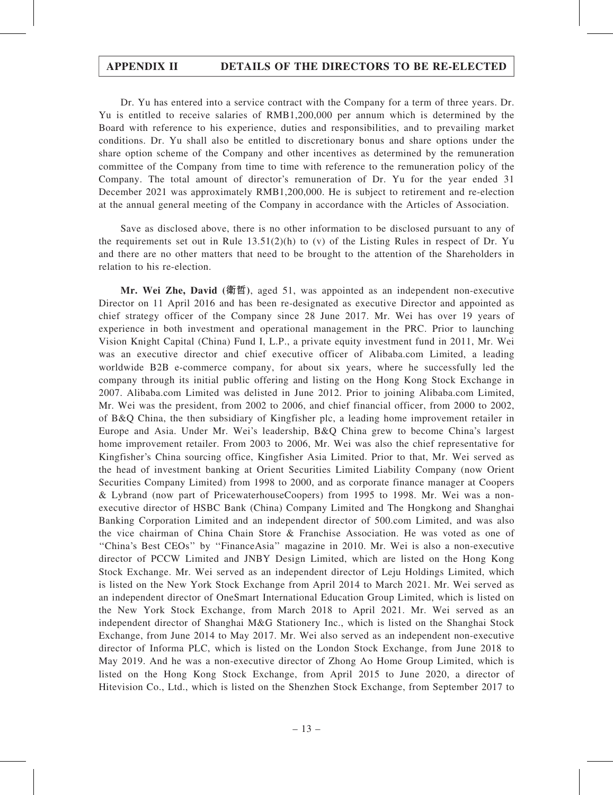Dr. Yu has entered into a service contract with the Company for a term of three years. Dr. Yu is entitled to receive salaries of RMB1,200,000 per annum which is determined by the Board with reference to his experience, duties and responsibilities, and to prevailing market conditions. Dr. Yu shall also be entitled to discretionary bonus and share options under the share option scheme of the Company and other incentives as determined by the remuneration committee of the Company from time to time with reference to the remuneration policy of the Company. The total amount of director's remuneration of Dr. Yu for the year ended 31 December 2021 was approximately RMB1,200,000. He is subject to retirement and re-election at the annual general meeting of the Company in accordance with the Articles of Association.

Save as disclosed above, there is no other information to be disclosed pursuant to any of the requirements set out in Rule  $13.51(2)(h)$  to (v) of the Listing Rules in respect of Dr. Yu and there are no other matters that need to be brought to the attention of the Shareholders in relation to his re-election.

Mr. Wei Zhe, David (衛哲), aged 51, was appointed as an independent non-executive Director on 11 April 2016 and has been re-designated as executive Director and appointed as chief strategy officer of the Company since 28 June 2017. Mr. Wei has over 19 years of experience in both investment and operational management in the PRC. Prior to launching Vision Knight Capital (China) Fund I, L.P., a private equity investment fund in 2011, Mr. Wei was an executive director and chief executive officer of Alibaba.com Limited, a leading worldwide B2B e-commerce company, for about six years, where he successfully led the company through its initial public offering and listing on the Hong Kong Stock Exchange in 2007. Alibaba.com Limited was delisted in June 2012. Prior to joining Alibaba.com Limited, Mr. Wei was the president, from 2002 to 2006, and chief financial officer, from 2000 to 2002, of B&Q China, the then subsidiary of Kingfisher plc, a leading home improvement retailer in Europe and Asia. Under Mr. Wei's leadership, B&Q China grew to become China's largest home improvement retailer. From 2003 to 2006, Mr. Wei was also the chief representative for Kingfisher's China sourcing office, Kingfisher Asia Limited. Prior to that, Mr. Wei served as the head of investment banking at Orient Securities Limited Liability Company (now Orient Securities Company Limited) from 1998 to 2000, and as corporate finance manager at Coopers & Lybrand (now part of PricewaterhouseCoopers) from 1995 to 1998. Mr. Wei was a nonexecutive director of HSBC Bank (China) Company Limited and The Hongkong and Shanghai Banking Corporation Limited and an independent director of 500.com Limited, and was also the vice chairman of China Chain Store & Franchise Association. He was voted as one of ''China's Best CEOs'' by ''FinanceAsia'' magazine in 2010. Mr. Wei is also a non-executive director of PCCW Limited and JNBY Design Limited, which are listed on the Hong Kong Stock Exchange. Mr. Wei served as an independent director of Leju Holdings Limited, which is listed on the New York Stock Exchange from April 2014 to March 2021. Mr. Wei served as an independent director of OneSmart International Education Group Limited, which is listed on the New York Stock Exchange, from March 2018 to April 2021. Mr. Wei served as an independent director of Shanghai M&G Stationery Inc., which is listed on the Shanghai Stock Exchange, from June 2014 to May 2017. Mr. Wei also served as an independent non-executive director of Informa PLC, which is listed on the London Stock Exchange, from June 2018 to May 2019. And he was a non-executive director of Zhong Ao Home Group Limited, which is listed on the Hong Kong Stock Exchange, from April 2015 to June 2020, a director of Hitevision Co., Ltd., which is listed on the Shenzhen Stock Exchange, from September 2017 to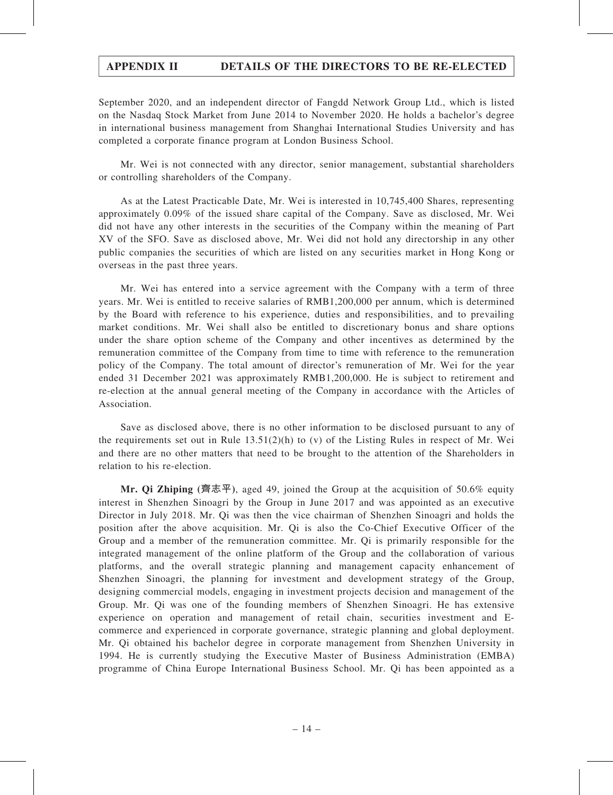September 2020, and an independent director of Fangdd Network Group Ltd., which is listed on the Nasdaq Stock Market from June 2014 to November 2020. He holds a bachelor's degree in international business management from Shanghai International Studies University and has completed a corporate finance program at London Business School.

Mr. Wei is not connected with any director, senior management, substantial shareholders or controlling shareholders of the Company.

As at the Latest Practicable Date, Mr. Wei is interested in 10,745,400 Shares, representing approximately 0.09% of the issued share capital of the Company. Save as disclosed, Mr. Wei did not have any other interests in the securities of the Company within the meaning of Part XV of the SFO. Save as disclosed above, Mr. Wei did not hold any directorship in any other public companies the securities of which are listed on any securities market in Hong Kong or overseas in the past three years.

Mr. Wei has entered into a service agreement with the Company with a term of three years. Mr. Wei is entitled to receive salaries of RMB1,200,000 per annum, which is determined by the Board with reference to his experience, duties and responsibilities, and to prevailing market conditions. Mr. Wei shall also be entitled to discretionary bonus and share options under the share option scheme of the Company and other incentives as determined by the remuneration committee of the Company from time to time with reference to the remuneration policy of the Company. The total amount of director's remuneration of Mr. Wei for the year ended 31 December 2021 was approximately RMB1,200,000. He is subject to retirement and re-election at the annual general meeting of the Company in accordance with the Articles of Association.

Save as disclosed above, there is no other information to be disclosed pursuant to any of the requirements set out in Rule  $13.51(2)(h)$  to (v) of the Listing Rules in respect of Mr. Wei and there are no other matters that need to be brought to the attention of the Shareholders in relation to his re-election.

**Mr. Qi Zhiping** (齊志平), aged 49, joined the Group at the acquisition of 50.6% equity interest in Shenzhen Sinoagri by the Group in June 2017 and was appointed as an executive Director in July 2018. Mr. Qi was then the vice chairman of Shenzhen Sinoagri and holds the position after the above acquisition. Mr. Qi is also the Co-Chief Executive Officer of the Group and a member of the remuneration committee. Mr. Qi is primarily responsible for the integrated management of the online platform of the Group and the collaboration of various platforms, and the overall strategic planning and management capacity enhancement of Shenzhen Sinoagri, the planning for investment and development strategy of the Group, designing commercial models, engaging in investment projects decision and management of the Group. Mr. Qi was one of the founding members of Shenzhen Sinoagri. He has extensive experience on operation and management of retail chain, securities investment and Ecommerce and experienced in corporate governance, strategic planning and global deployment. Mr. Qi obtained his bachelor degree in corporate management from Shenzhen University in 1994. He is currently studying the Executive Master of Business Administration (EMBA) programme of China Europe International Business School. Mr. Qi has been appointed as a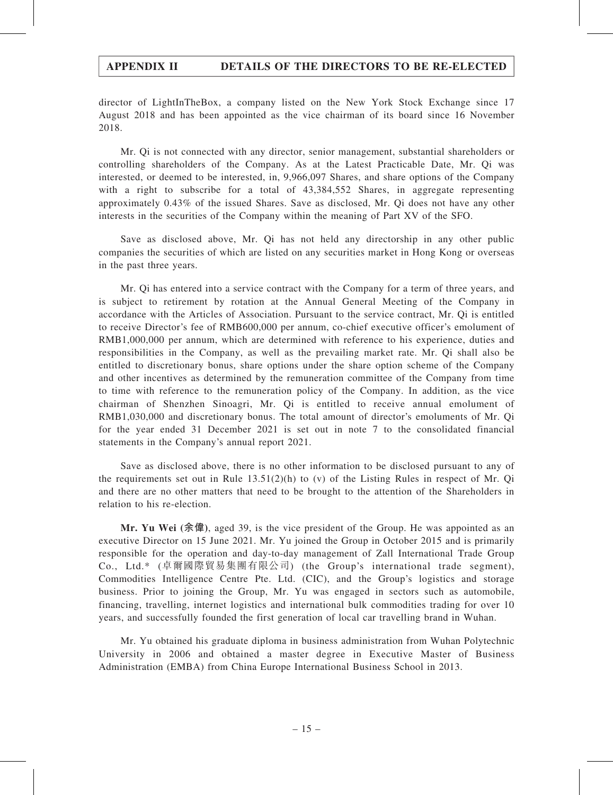director of LightInTheBox, a company listed on the New York Stock Exchange since 17 August 2018 and has been appointed as the vice chairman of its board since 16 November 2018.

Mr. Qi is not connected with any director, senior management, substantial shareholders or controlling shareholders of the Company. As at the Latest Practicable Date, Mr. Qi was interested, or deemed to be interested, in, 9,966,097 Shares, and share options of the Company with a right to subscribe for a total of 43,384,552 Shares, in aggregate representing approximately 0.43% of the issued Shares. Save as disclosed, Mr. Qi does not have any other interests in the securities of the Company within the meaning of Part XV of the SFO.

Save as disclosed above, Mr. Qi has not held any directorship in any other public companies the securities of which are listed on any securities market in Hong Kong or overseas in the past three years.

Mr. Qi has entered into a service contract with the Company for a term of three years, and is subject to retirement by rotation at the Annual General Meeting of the Company in accordance with the Articles of Association. Pursuant to the service contract, Mr. Qi is entitled to receive Director's fee of RMB600,000 per annum, co-chief executive officer's emolument of RMB1,000,000 per annum, which are determined with reference to his experience, duties and responsibilities in the Company, as well as the prevailing market rate. Mr. Qi shall also be entitled to discretionary bonus, share options under the share option scheme of the Company and other incentives as determined by the remuneration committee of the Company from time to time with reference to the remuneration policy of the Company. In addition, as the vice chairman of Shenzhen Sinoagri, Mr. Qi is entitled to receive annual emolument of RMB1,030,000 and discretionary bonus. The total amount of director's emoluments of Mr. Qi for the year ended 31 December 2021 is set out in note 7 to the consolidated financial statements in the Company's annual report 2021.

Save as disclosed above, there is no other information to be disclosed pursuant to any of the requirements set out in Rule  $13.51(2)(h)$  to (v) of the Listing Rules in respect of Mr. Qi and there are no other matters that need to be brought to the attention of the Shareholders in relation to his re-election.

Mr. Yu Wei (余偉), aged 39, is the vice president of the Group. He was appointed as an executive Director on 15 June 2021. Mr. Yu joined the Group in October 2015 and is primarily responsible for the operation and day-to-day management of Zall International Trade Group Co., Ltd.\* (卓爾國際貿易集團有限公司) (the Group's international trade segment), Commodities Intelligence Centre Pte. Ltd. (CIC), and the Group's logistics and storage business. Prior to joining the Group, Mr. Yu was engaged in sectors such as automobile, financing, travelling, internet logistics and international bulk commodities trading for over 10 years, and successfully founded the first generation of local car travelling brand in Wuhan.

Mr. Yu obtained his graduate diploma in business administration from Wuhan Polytechnic University in 2006 and obtained a master degree in Executive Master of Business Administration (EMBA) from China Europe International Business School in 2013.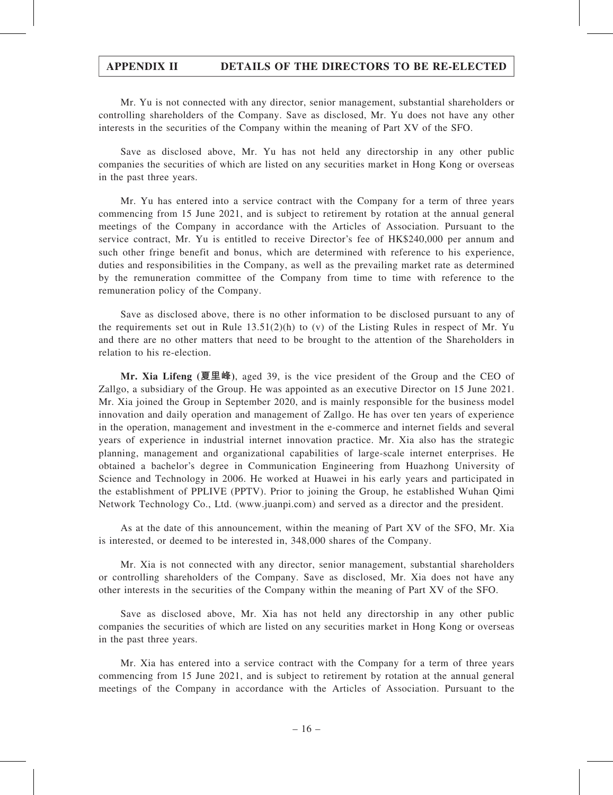Mr. Yu is not connected with any director, senior management, substantial shareholders or controlling shareholders of the Company. Save as disclosed, Mr. Yu does not have any other interests in the securities of the Company within the meaning of Part XV of the SFO.

Save as disclosed above, Mr. Yu has not held any directorship in any other public companies the securities of which are listed on any securities market in Hong Kong or overseas in the past three years.

Mr. Yu has entered into a service contract with the Company for a term of three years commencing from 15 June 2021, and is subject to retirement by rotation at the annual general meetings of the Company in accordance with the Articles of Association. Pursuant to the service contract, Mr. Yu is entitled to receive Director's fee of HK\$240,000 per annum and such other fringe benefit and bonus, which are determined with reference to his experience, duties and responsibilities in the Company, as well as the prevailing market rate as determined by the remuneration committee of the Company from time to time with reference to the remuneration policy of the Company.

Save as disclosed above, there is no other information to be disclosed pursuant to any of the requirements set out in Rule  $13.51(2)(h)$  to (v) of the Listing Rules in respect of Mr. Yu and there are no other matters that need to be brought to the attention of the Shareholders in relation to his re-election.

Mr. Xia Lifeng (夏里峰), aged 39, is the vice president of the Group and the CEO of Zallgo, a subsidiary of the Group. He was appointed as an executive Director on 15 June 2021. Mr. Xia joined the Group in September 2020, and is mainly responsible for the business model innovation and daily operation and management of Zallgo. He has over ten years of experience in the operation, management and investment in the e-commerce and internet fields and several years of experience in industrial internet innovation practice. Mr. Xia also has the strategic planning, management and organizational capabilities of large-scale internet enterprises. He obtained a bachelor's degree in Communication Engineering from Huazhong University of Science and Technology in 2006. He worked at Huawei in his early years and participated in the establishment of PPLIVE (PPTV). Prior to joining the Group, he established Wuhan Qimi Network Technology Co., Ltd. (www.juanpi.com) and served as a director and the president.

As at the date of this announcement, within the meaning of Part XV of the SFO, Mr. Xia is interested, or deemed to be interested in, 348,000 shares of the Company.

Mr. Xia is not connected with any director, senior management, substantial shareholders or controlling shareholders of the Company. Save as disclosed, Mr. Xia does not have any other interests in the securities of the Company within the meaning of Part XV of the SFO.

Save as disclosed above, Mr. Xia has not held any directorship in any other public companies the securities of which are listed on any securities market in Hong Kong or overseas in the past three years.

Mr. Xia has entered into a service contract with the Company for a term of three years commencing from 15 June 2021, and is subject to retirement by rotation at the annual general meetings of the Company in accordance with the Articles of Association. Pursuant to the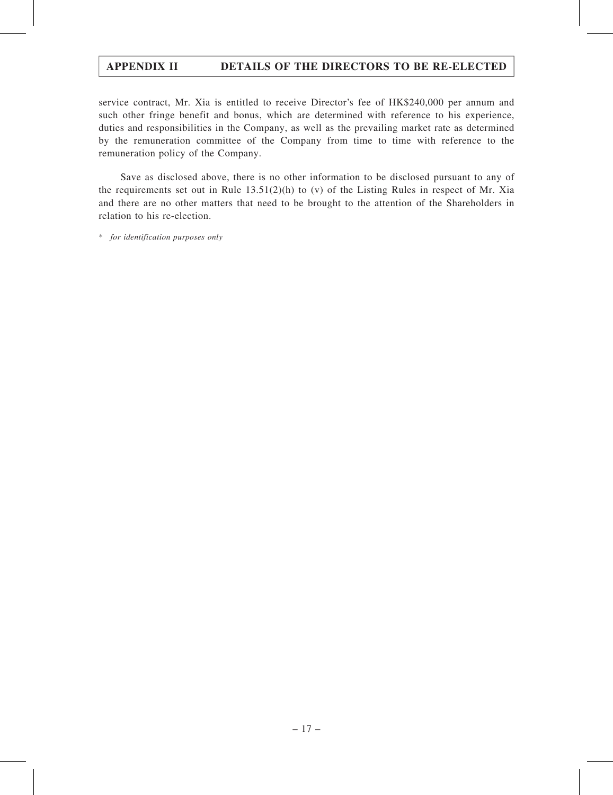service contract, Mr. Xia is entitled to receive Director's fee of HK\$240,000 per annum and such other fringe benefit and bonus, which are determined with reference to his experience, duties and responsibilities in the Company, as well as the prevailing market rate as determined by the remuneration committee of the Company from time to time with reference to the remuneration policy of the Company.

Save as disclosed above, there is no other information to be disclosed pursuant to any of the requirements set out in Rule  $13.51(2)(h)$  to (v) of the Listing Rules in respect of Mr. Xia and there are no other matters that need to be brought to the attention of the Shareholders in relation to his re-election.

\* for identification purposes only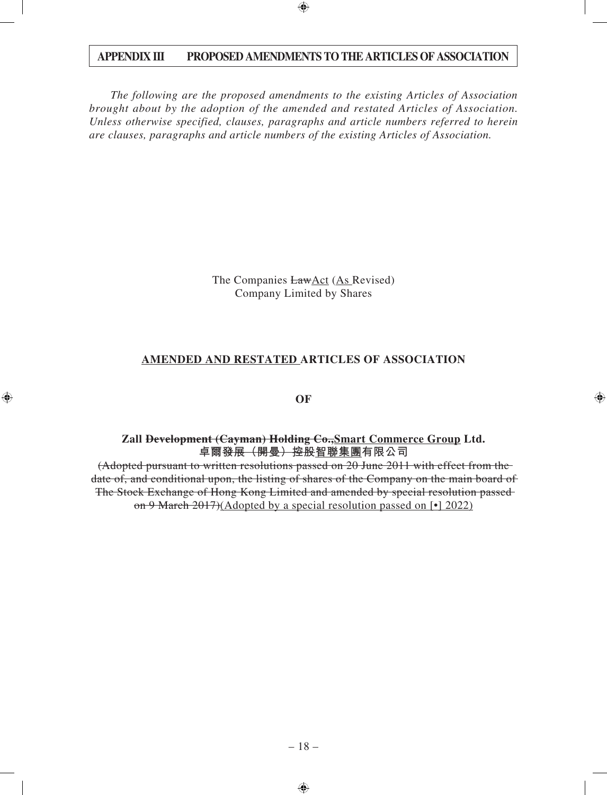*The following are the proposed amendments to the existing Articles of Association brought about by the adoption of the amended and restated Articles of Association. Unless otherwise specified, clauses, paragraphs and article numbers referred to herein are clauses, paragraphs and article numbers of the existing Articles of Association.*

> The Companies LawAct (As Revised) Company Limited by Shares

### **AMENDED AND RESTATED ARTICLES OF ASSOCIATION**

**OF**

#### **Zall Development (Cayman) Holding Co.,Smart Commerce Group Ltd.** 卓爾<del>發展(開曼)控股<u>智</u>聯集團</del>有限公司

(Adopted pursuant to written resolutions passed on 20 June 2011 with effect from the date of, and conditional upon, the listing of shares of the Company on the main board of The Stock Exchange of Hong Kong Limited and amended by special resolution passed on 9 March 2017)(Adopted by a special resolution passed on [•] 2022)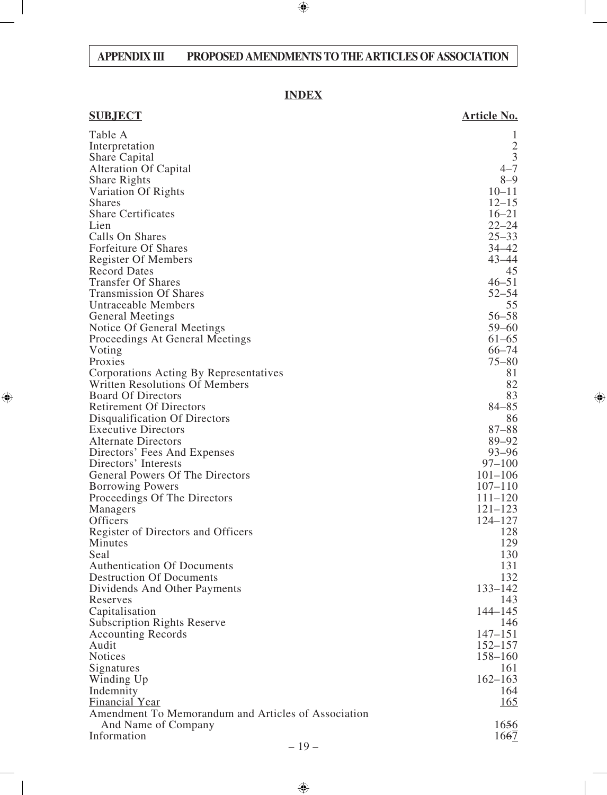# **INDEX**

| <b>SUBJECT</b>                                      | <b>Article No.</b>     |
|-----------------------------------------------------|------------------------|
| Table A                                             | 1                      |
| Interpretation                                      | $\frac{2}{3}$          |
| Share Capital                                       |                        |
| <b>Alteration Of Capital</b>                        | $4 - 7$                |
| <b>Share Rights</b>                                 | $8 - 9$                |
| Variation Of Rights                                 | $10 - 11$              |
| <b>Shares</b>                                       | $12 - 15$              |
| <b>Share Certificates</b>                           | $16 - 21$              |
| Lien                                                | $22 - 24$              |
| Calls On Shares                                     | $25 - 33$              |
| Forfeiture Of Shares                                | $34 - 42$<br>$43 - 44$ |
| <b>Register Of Members</b><br><b>Record Dates</b>   | 45                     |
| <b>Transfer Of Shares</b>                           | $46 - 51$              |
| <b>Transmission Of Shares</b>                       | $52 - 54$              |
| <b>Untraceable Members</b>                          | 55                     |
| <b>General Meetings</b>                             | $56 - 58$              |
| Notice Of General Meetings                          | $59 - 60$              |
| Proceedings At General Meetings                     | $61 - 65$              |
| Voting                                              | $66 - 74$              |
| Proxies                                             | $75 - 80$              |
| Corporations Acting By Representatives              | 81                     |
| <b>Written Resolutions Of Members</b>               | 82                     |
| <b>Board Of Directors</b>                           | 83                     |
| <b>Retirement Of Directors</b>                      | $84 - 85$              |
| Disqualification Of Directors                       | 86                     |
| <b>Executive Directors</b>                          | $87 - 88$              |
| <b>Alternate Directors</b>                          | $89 - 92$              |
| Directors' Fees And Expenses                        | $93 - 96$              |
| Directors' Interests                                | $97 - 100$             |
| General Powers Of The Directors                     | $101 - 106$            |
| <b>Borrowing Powers</b>                             | $107 - 110$            |
| Proceedings Of The Directors                        | $111 - 120$            |
| Managers                                            | $121 - 123$            |
| Officers                                            | $124 - 127$            |
| Register of Directors and Officers                  | 128                    |
| Minutes                                             | 129                    |
| Seal<br><b>Authentication Of Documents</b>          | 130<br>131             |
| <b>Destruction Of Documents</b>                     | 132                    |
| Dividends And Other Payments                        | $133 - 142$            |
| Reserves                                            | 143                    |
| Capitalisation                                      | $144 - 145$            |
| <b>Subscription Rights Reserve</b>                  | 146                    |
| <b>Accounting Records</b>                           | $147 - 151$            |
| Audit                                               | $152 - 157$            |
| <b>Notices</b>                                      | $158 - 160$            |
| Signatures                                          | 161                    |
| Winding Up                                          | $162 - 163$            |
| Indemnity                                           | 164                    |
| <b>Financial Year</b>                               | <u>165</u>             |
| Amendment To Memorandum and Articles of Association |                        |
| And Name of Company                                 | 1656                   |
| Information                                         | 1667                   |
| $1 \Omega$                                          |                        |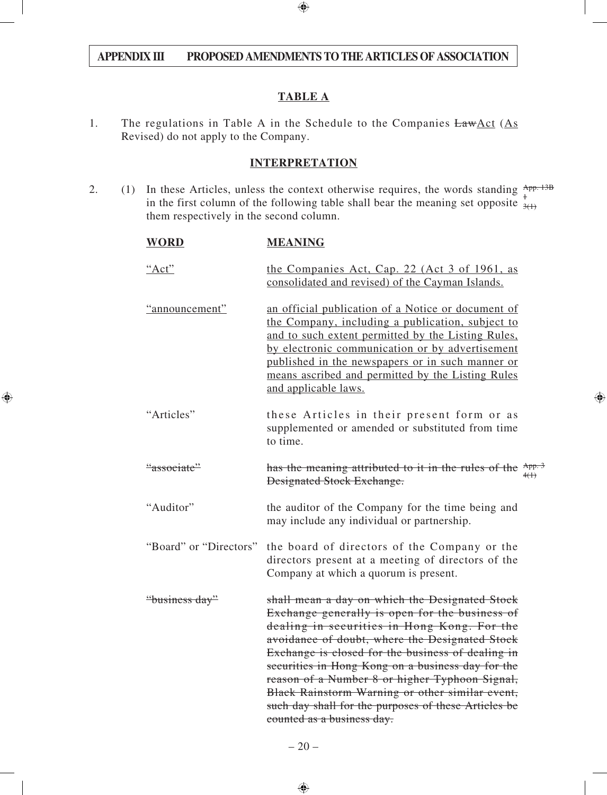### **TABLE A**

1. The regulations in Table A in the Schedule to the Companies  $Law \triangle ct$  (As Revised) do not apply to the Company.

### **INTERPRETATION**

2. (1) In these Articles, unless the context otherwise requires, the words standing  $\frac{App.13B}{1}$ in the first column of the following table shall bear the meaning set opposite  $\frac{1}{3}$ them respectively in the second column.  $3(1)$ 

| <b>WORD</b>            | <b>MEANING</b>                                                                                                                                                                                                                                                                                                                                                                                                                                                                                         |  |
|------------------------|--------------------------------------------------------------------------------------------------------------------------------------------------------------------------------------------------------------------------------------------------------------------------------------------------------------------------------------------------------------------------------------------------------------------------------------------------------------------------------------------------------|--|
| "Act"                  | the Companies Act, Cap. 22 (Act 3 of 1961, as<br>consolidated and revised) of the Cayman Islands.                                                                                                                                                                                                                                                                                                                                                                                                      |  |
| "announcement"         | an official publication of a Notice or document of<br>the Company, including a publication, subject to<br>and to such extent permitted by the Listing Rules,<br>by electronic communication or by advertisement<br>published in the newspapers or in such manner or<br>means ascribed and permitted by the Listing Rules<br>and applicable laws.                                                                                                                                                       |  |
| "Articles"             | these Articles in their present form or as<br>supplemented or amended or substituted from time<br>to time.                                                                                                                                                                                                                                                                                                                                                                                             |  |
| "associate"            | has the meaning attributed to it in the rules of the App. 3<br><b>Designated Stock Exchange.</b>                                                                                                                                                                                                                                                                                                                                                                                                       |  |
| "Auditor"              | the auditor of the Company for the time being and<br>may include any individual or partnership.                                                                                                                                                                                                                                                                                                                                                                                                        |  |
| "Board" or "Directors" | the board of directors of the Company or the<br>directors present at a meeting of directors of the<br>Company at which a quorum is present.                                                                                                                                                                                                                                                                                                                                                            |  |
| "business day"         | shall mean a day on which the Designated Stock<br>Exchange generally is open for the business of<br>dealing in securities in Hong Kong. For the<br>avoidance of doubt, where the Designated Stock<br>Exchange is closed for the business of dealing in<br>securities in Hong Kong on a business day for the<br>reason of a Number 8 or higher Typhoon Signal,<br>Black Rainstorm Warning or other similar event,<br>such day shall for the purposes of these Articles be<br>counted as a business day. |  |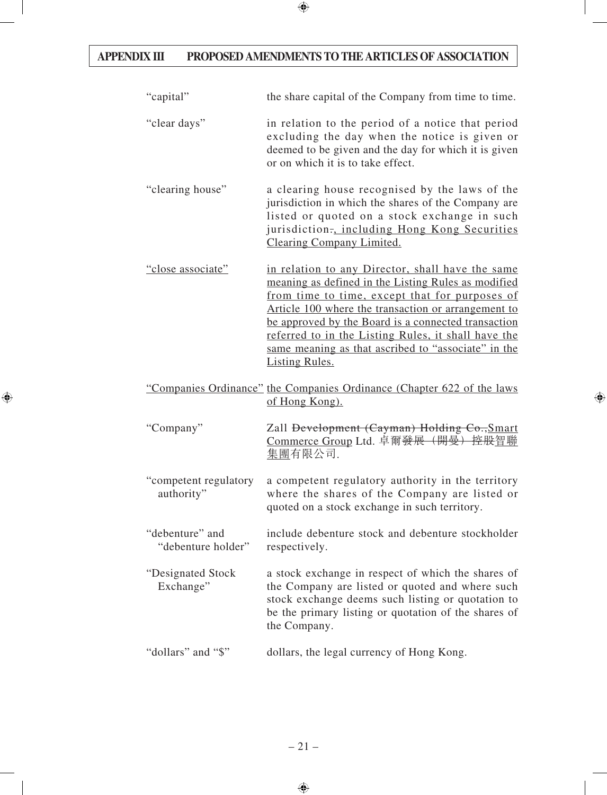| "capital"                             | the share capital of the Company from time to time.                                                                                                                                                                                                                                                                                                                                                            |
|---------------------------------------|----------------------------------------------------------------------------------------------------------------------------------------------------------------------------------------------------------------------------------------------------------------------------------------------------------------------------------------------------------------------------------------------------------------|
| "clear days"                          | in relation to the period of a notice that period<br>excluding the day when the notice is given or<br>deemed to be given and the day for which it is given<br>or on which it is to take effect.                                                                                                                                                                                                                |
| "clearing house"                      | a clearing house recognised by the laws of the<br>jurisdiction in which the shares of the Company are<br>listed or quoted on a stock exchange in such<br>jurisdiction., including Hong Kong Securities<br><b>Clearing Company Limited.</b>                                                                                                                                                                     |
| "close associate"                     | in relation to any Director, shall have the same<br>meaning as defined in the Listing Rules as modified<br>from time to time, except that for purposes of<br>Article 100 where the transaction or arrangement to<br>be approved by the Board is a connected transaction<br>referred to in the Listing Rules, it shall have the<br>same meaning as that ascribed to "associate" in the<br><b>Listing Rules.</b> |
|                                       | "Companies Ordinance" the Companies Ordinance (Chapter 622 of the laws<br>of Hong Kong).                                                                                                                                                                                                                                                                                                                       |
| "Company"                             | Zall <del>Development (Cayman) Holding Co., Smart</del><br>Commerce Group Ltd. 卓爾發展 (開曼) 控股智聯<br><u>集團</u> 有限公司.                                                                                                                                                                                                                                                                                               |
| "competent regulatory<br>authority"   | a competent regulatory authority in the territory<br>where the shares of the Company are listed or<br>quoted on a stock exchange in such territory.                                                                                                                                                                                                                                                            |
| "debenture" and<br>"debenture holder" | include debenture stock and debenture stockholder<br>respectively.                                                                                                                                                                                                                                                                                                                                             |
| "Designated Stock<br>Exchange"        | a stock exchange in respect of which the shares of<br>the Company are listed or quoted and where such<br>stock exchange deems such listing or quotation to<br>be the primary listing or quotation of the shares of<br>the Company.                                                                                                                                                                             |
| "dollars" and "\$"                    | dollars, the legal currency of Hong Kong.                                                                                                                                                                                                                                                                                                                                                                      |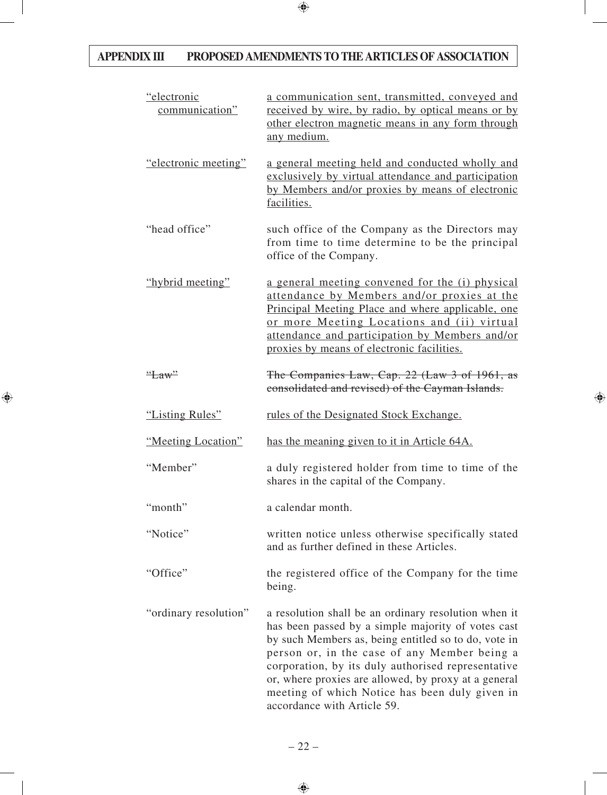| "electronic<br>communication" | a communication sent, transmitted, conveyed and<br>received by wire, by radio, by optical means or by<br>other electron magnetic means in any form through<br>any medium.                                                                                                                                                                                                                                         |
|-------------------------------|-------------------------------------------------------------------------------------------------------------------------------------------------------------------------------------------------------------------------------------------------------------------------------------------------------------------------------------------------------------------------------------------------------------------|
| "electronic meeting"          | a general meeting held and conducted wholly and<br>exclusively by virtual attendance and participation<br>by Members and/or proxies by means of electronic<br>facilities.                                                                                                                                                                                                                                         |
| "head office"                 | such office of the Company as the Directors may<br>from time to time determine to be the principal<br>office of the Company.                                                                                                                                                                                                                                                                                      |
| "hybrid meeting"              | a general meeting convened for the (i) physical<br>attendance by Members and/or proxies at the<br>Principal Meeting Place and where applicable, one<br>or more Meeting Locations and (ii) virtual<br>attendance and participation by Members and/or<br>proxies by means of electronic facilities.                                                                                                                 |
| "Law"                         | The Companies Law, Cap. 22 (Law 3 of 1961, as<br>consolidated and revised) of the Cayman Islands.                                                                                                                                                                                                                                                                                                                 |
| "Listing Rules"               | rules of the Designated Stock Exchange.                                                                                                                                                                                                                                                                                                                                                                           |
| "Meeting Location"            | has the meaning given to it in Article 64A.                                                                                                                                                                                                                                                                                                                                                                       |
| "Member"                      | a duly registered holder from time to time of the<br>shares in the capital of the Company.                                                                                                                                                                                                                                                                                                                        |
| "month"                       | a calendar month.                                                                                                                                                                                                                                                                                                                                                                                                 |
| "Notice"                      | written notice unless otherwise specifically stated<br>and as further defined in these Articles.                                                                                                                                                                                                                                                                                                                  |
| "Office"                      | the registered office of the Company for the time<br>being.                                                                                                                                                                                                                                                                                                                                                       |
| "ordinary resolution"         | a resolution shall be an ordinary resolution when it<br>has been passed by a simple majority of votes cast<br>by such Members as, being entitled so to do, vote in<br>person or, in the case of any Member being a<br>corporation, by its duly authorised representative<br>or, where proxies are allowed, by proxy at a general<br>meeting of which Notice has been duly given in<br>accordance with Article 59. |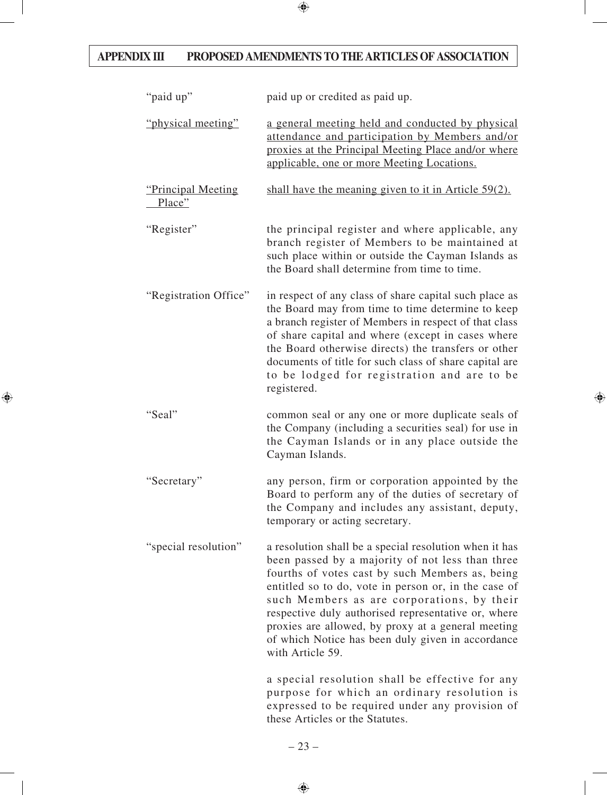| "paid up"                           | paid up or credited as paid up.                                                                                                                                                                                                                                                                                                                                                                                                                           |
|-------------------------------------|-----------------------------------------------------------------------------------------------------------------------------------------------------------------------------------------------------------------------------------------------------------------------------------------------------------------------------------------------------------------------------------------------------------------------------------------------------------|
| "physical meeting"                  | a general meeting held and conducted by physical<br>attendance and participation by Members and/or<br>proxies at the Principal Meeting Place and/or where<br>applicable, one or more Meeting Locations.                                                                                                                                                                                                                                                   |
| <u>"Principal Meeting</u><br>Place" | shall have the meaning given to it in Article $59(2)$ .                                                                                                                                                                                                                                                                                                                                                                                                   |
| "Register"                          | the principal register and where applicable, any<br>branch register of Members to be maintained at<br>such place within or outside the Cayman Islands as<br>the Board shall determine from time to time.                                                                                                                                                                                                                                                  |
| "Registration Office"               | in respect of any class of share capital such place as<br>the Board may from time to time determine to keep<br>a branch register of Members in respect of that class<br>of share capital and where (except in cases where<br>the Board otherwise directs) the transfers or other<br>documents of title for such class of share capital are<br>to be lodged for registration and are to be<br>registered.                                                  |
| "Seal"                              | common seal or any one or more duplicate seals of<br>the Company (including a securities seal) for use in<br>the Cayman Islands or in any place outside the<br>Cayman Islands.                                                                                                                                                                                                                                                                            |
| "Secretary"                         | any person, firm or corporation appointed by the<br>Board to perform any of the duties of secretary of<br>the Company and includes any assistant, deputy,<br>temporary or acting secretary.                                                                                                                                                                                                                                                               |
| "special resolution"                | a resolution shall be a special resolution when it has<br>been passed by a majority of not less than three<br>fourths of votes cast by such Members as, being<br>entitled so to do, vote in person or, in the case of<br>such Members as are corporations, by their<br>respective duly authorised representative or, where<br>proxies are allowed, by proxy at a general meeting<br>of which Notice has been duly given in accordance<br>with Article 59. |
|                                     | a special resolution shall be effective for any<br>purpose for which an ordinary resolution is<br>expressed to be required under any provision of<br>these Articles or the Statutes.                                                                                                                                                                                                                                                                      |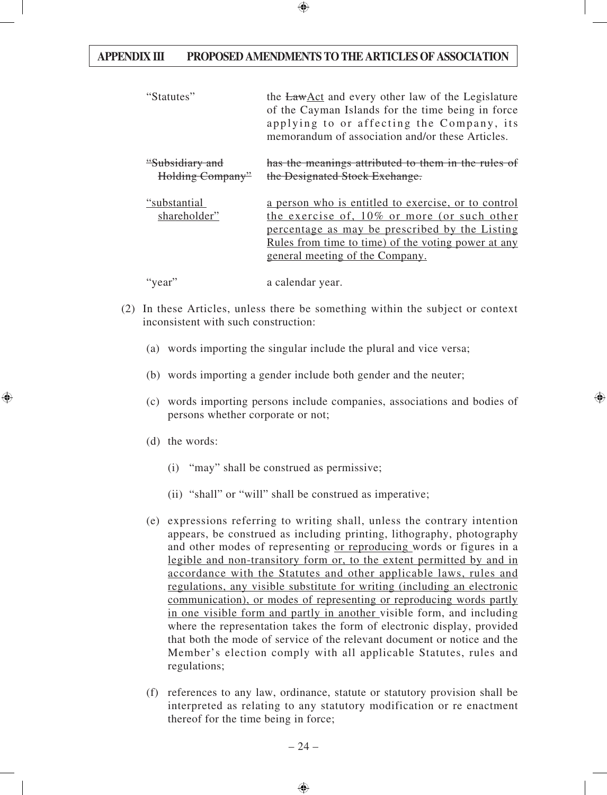| "Statutes"                          | the LawAct and every other law of the Legislature<br>of the Cayman Islands for the time being in force<br>applying to or affecting the Company, its<br>memorandum of association and/or these Articles.                                        |
|-------------------------------------|------------------------------------------------------------------------------------------------------------------------------------------------------------------------------------------------------------------------------------------------|
| "Subsidiary and<br>Holding Company" | has the meanings attributed to them in the rules of<br>the Designated Stock Exchange.                                                                                                                                                          |
| "substantial<br>shareholder"        | a person who is entitled to exercise, or to control<br>the exercise of, 10% or more (or such other<br>percentage as may be prescribed by the Listing<br>Rules from time to time) of the voting power at any<br>general meeting of the Company. |
| "year"                              | a calendar year.                                                                                                                                                                                                                               |

- (2) In these Articles, unless there be something within the subject or context inconsistent with such construction:
	- (a) words importing the singular include the plural and vice versa;
	- (b) words importing a gender include both gender and the neuter;
	- (c) words importing persons include companies, associations and bodies of persons whether corporate or not;
	- (d) the words:
		- (i) "may" shall be construed as permissive;
		- (ii) "shall" or "will" shall be construed as imperative;
	- (e) expressions referring to writing shall, unless the contrary intention appears, be construed as including printing, lithography, photography and other modes of representing or reproducing words or figures in a legible and non-transitory form or, to the extent permitted by and in accordance with the Statutes and other applicable laws, rules and regulations, any visible substitute for writing (including an electronic communication), or modes of representing or reproducing words partly in one visible form and partly in another visible form, and including where the representation takes the form of electronic display, provided that both the mode of service of the relevant document or notice and the Member's election comply with all applicable Statutes, rules and regulations;
	- (f) references to any law, ordinance, statute or statutory provision shall be interpreted as relating to any statutory modification or re enactment thereof for the time being in force;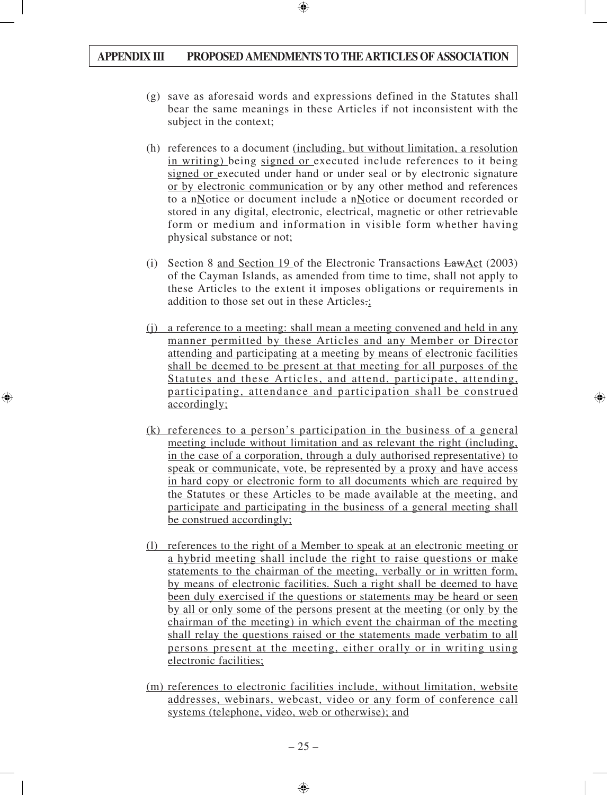- (g) save as aforesaid words and expressions defined in the Statutes shall bear the same meanings in these Articles if not inconsistent with the subject in the context;
- (h) references to a document (including, but without limitation, a resolution in writing) being signed or executed include references to it being signed or executed under hand or under seal or by electronic signature or by electronic communication or by any other method and references to a nNotice or document include a nNotice or document recorded or stored in any digital, electronic, electrical, magnetic or other retrievable form or medium and information in visible form whether having physical substance or not;
- (i) Section 8 and Section 19 of the Electronic Transactions LawAct (2003) of the Cayman Islands, as amended from time to time, shall not apply to these Articles to the extent it imposes obligations or requirements in addition to those set out in these Articles.;
- (j) a reference to a meeting: shall mean a meeting convened and held in any manner permitted by these Articles and any Member or Director attending and participating at a meeting by means of electronic facilities shall be deemed to be present at that meeting for all purposes of the Statutes and these Articles, and attend, participate, attending, participating, attendance and participation shall be construed accordingly;
- (k) references to a person's participation in the business of a general meeting include without limitation and as relevant the right (including, in the case of a corporation, through a duly authorised representative) to speak or communicate, vote, be represented by a proxy and have access in hard copy or electronic form to all documents which are required by the Statutes or these Articles to be made available at the meeting, and participate and participating in the business of a general meeting shall be construed accordingly;
- (l) references to the right of a Member to speak at an electronic meeting or a hybrid meeting shall include the right to raise questions or make statements to the chairman of the meeting, verbally or in written form, by means of electronic facilities. Such a right shall be deemed to have been duly exercised if the questions or statements may be heard or seen by all or only some of the persons present at the meeting (or only by the chairman of the meeting) in which event the chairman of the meeting shall relay the questions raised or the statements made verbatim to all persons present at the meeting, either orally or in writing using electronic facilities;
- (m) references to electronic facilities include, without limitation, website addresses, webinars, webcast, video or any form of conference call systems (telephone, video, web or otherwise); and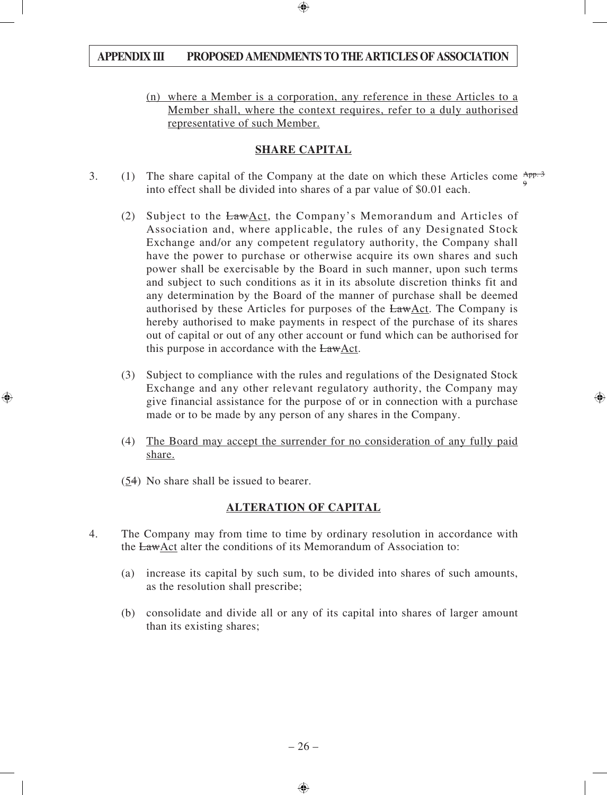(n) where a Member is a corporation, any reference in these Articles to a Member shall, where the context requires, refer to a duly authorised representative of such Member.

#### **SHARE CAPITAL**

- 3. (1) The share capital of the Company at the date on which these Articles come  $\frac{App.3}{p}$ into effect shall be divided into shares of a par value of \$0.01 each. 9
	- (2) Subject to the LawAct, the Company's Memorandum and Articles of Association and, where applicable, the rules of any Designated Stock Exchange and/or any competent regulatory authority, the Company shall have the power to purchase or otherwise acquire its own shares and such power shall be exercisable by the Board in such manner, upon such terms and subject to such conditions as it in its absolute discretion thinks fit and any determination by the Board of the manner of purchase shall be deemed authorised by these Articles for purposes of the LawAct. The Company is hereby authorised to make payments in respect of the purchase of its shares out of capital or out of any other account or fund which can be authorised for this purpose in accordance with the LawAct.
	- (3) Subject to compliance with the rules and regulations of the Designated Stock Exchange and any other relevant regulatory authority, the Company may give financial assistance for the purpose of or in connection with a purchase made or to be made by any person of any shares in the Company.
	- (4) The Board may accept the surrender for no consideration of any fully paid share.
	- (54) No share shall be issued to bearer.

### **ALTERATION OF CAPITAL**

- 4. The Company may from time to time by ordinary resolution in accordance with the LawAct alter the conditions of its Memorandum of Association to:
	- (a) increase its capital by such sum, to be divided into shares of such amounts, as the resolution shall prescribe;
	- (b) consolidate and divide all or any of its capital into shares of larger amount than its existing shares;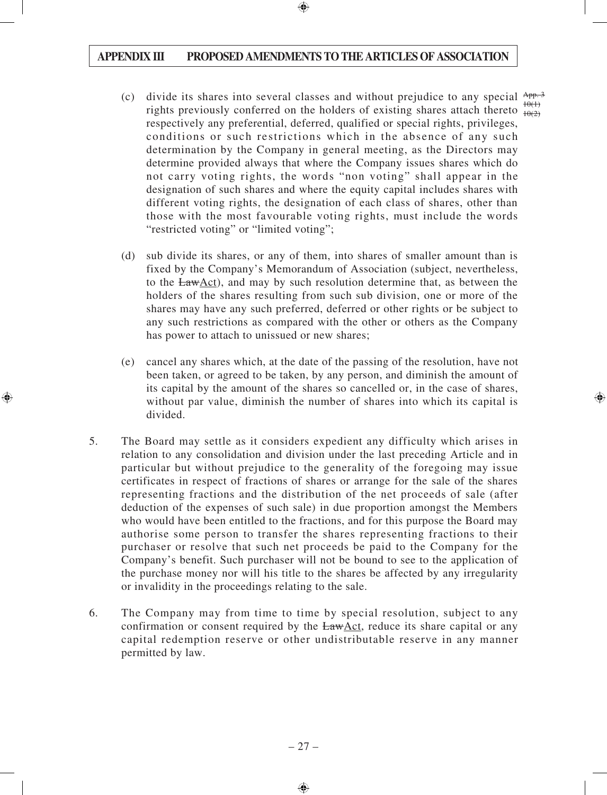- (c) divide its shares into several classes and without prejudice to any special  $\frac{App.3}{app.3}$ rights previously conferred on the holders of existing shares attach thereto  $\frac{10(1)}{10(2)}$ respectively any preferential, deferred, qualified or special rights, privileges, conditions or such restrictions which in the absence of any such determination by the Company in general meeting, as the Directors may determine provided always that where the Company issues shares which do not carry voting rights, the words "non voting" shall appear in the designation of such shares and where the equity capital includes shares with different voting rights, the designation of each class of shares, other than those with the most favourable voting rights, must include the words "restricted voting" or "limited voting";  $10(2)$
- (d) sub divide its shares, or any of them, into shares of smaller amount than is fixed by the Company's Memorandum of Association (subject, nevertheless, to the  $LawAct$ ), and may by such resolution determine that, as between the holders of the shares resulting from such sub division, one or more of the shares may have any such preferred, deferred or other rights or be subject to any such restrictions as compared with the other or others as the Company has power to attach to unissued or new shares;
- (e) cancel any shares which, at the date of the passing of the resolution, have not been taken, or agreed to be taken, by any person, and diminish the amount of its capital by the amount of the shares so cancelled or, in the case of shares, without par value, diminish the number of shares into which its capital is divided.
- 5. The Board may settle as it considers expedient any difficulty which arises in relation to any consolidation and division under the last preceding Article and in particular but without prejudice to the generality of the foregoing may issue certificates in respect of fractions of shares or arrange for the sale of the shares representing fractions and the distribution of the net proceeds of sale (after deduction of the expenses of such sale) in due proportion amongst the Members who would have been entitled to the fractions, and for this purpose the Board may authorise some person to transfer the shares representing fractions to their purchaser or resolve that such net proceeds be paid to the Company for the Company's benefit. Such purchaser will not be bound to see to the application of the purchase money nor will his title to the shares be affected by any irregularity or invalidity in the proceedings relating to the sale.
- 6. The Company may from time to time by special resolution, subject to any confirmation or consent required by the LawAct, reduce its share capital or any capital redemption reserve or other undistributable reserve in any manner permitted by law.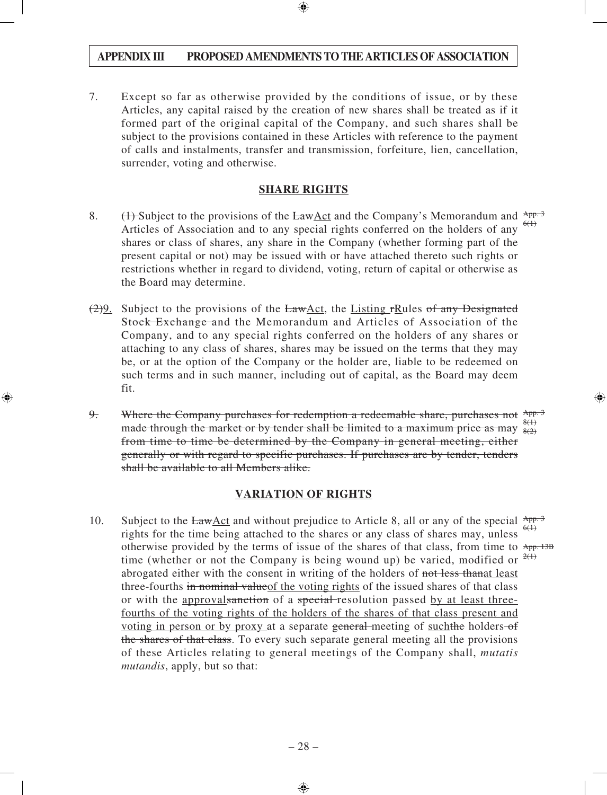7. Except so far as otherwise provided by the conditions of issue, or by these Articles, any capital raised by the creation of new shares shall be treated as if it formed part of the original capital of the Company, and such shares shall be subject to the provisions contained in these Articles with reference to the payment of calls and instalments, transfer and transmission, forfeiture, lien, cancellation, surrender, voting and otherwise.

#### **SHARE RIGHTS**

- 8.  $\left(\frac{1}{2}\right)$  Subject to the provisions of the Law <u>Act</u> and the Company's Memorandum and  $\frac{App.3}{2}$ Articles of Association and to any special rights conferred on the holders of any  $\frac{6(1)}{2}$ shares or class of shares, any share in the Company (whether forming part of the present capital or not) may be issued with or have attached thereto such rights or restrictions whether in regard to dividend, voting, return of capital or otherwise as the Board may determine.
- $(2)9$ . Subject to the provisions of the LawAct, the Listing rRules of any Designated Stock Exchange and the Memorandum and Articles of Association of the Company, and to any special rights conferred on the holders of any shares or attaching to any class of shares, shares may be issued on the terms that they may be, or at the option of the Company or the holder are, liable to be redeemed on such terms and in such manner, including out of capital, as the Board may deem fit.
- 9. Where the Company purchases for redemption a redeemable share, purchases not App. 3 made through the market or by tender shall be limited to a maximum price as may  $\frac{8(1)}{8(2)}$ from time to time be determined by the Company in general meeting, either generally or with regard to specific purchases. If purchases are by tender, tenders shall be available to all Members alike. 8(2)

#### **VARIATION OF RIGHTS**

10. Subject to the  $Law \triangle ct$  and without prejudice to Article 8, all or any of the special  $App.3$ rights for the time being attached to the shares or any class of shares may, unless otherwise provided by the terms of issue of the shares of that class, from time to App. 13B time (whether or not the Company is being wound up) be varied, modified or  $2(1)$ abrogated either with the consent in writing of the holders of not less than at least three-fourths in nominal valueof the voting rights of the issued shares of that class or with the approval sanction of a special resolution passed by at least threefourths of the voting rights of the holders of the shares of that class present and voting in person or by proxy at a separate general meeting of such the holders of the shares of that class. To every such separate general meeting all the provisions of these Articles relating to general meetings of the Company shall, *mutatis mutandis*, apply, but so that:  $6(1)$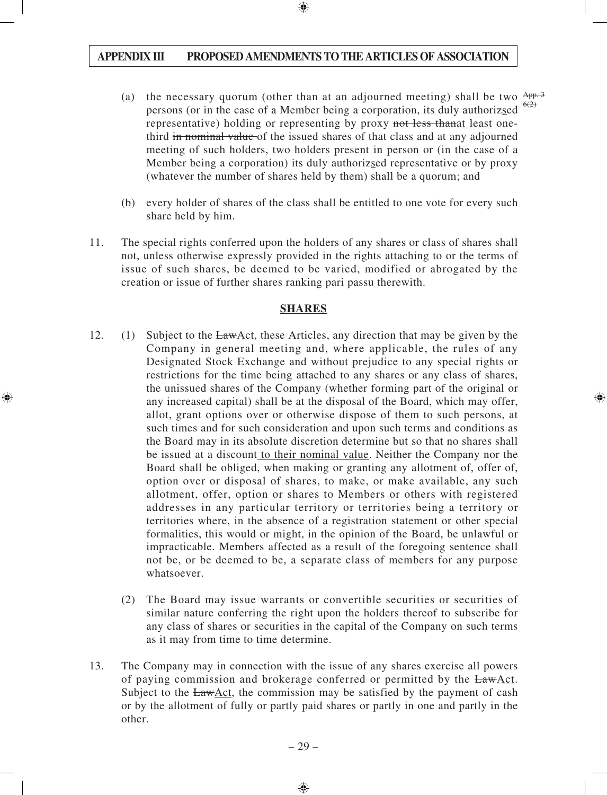- (a) the necessary quorum (other than at an adjourned meeting) shall be two  $\frac{App.3}{app.3}$ persons (or in the case of a Member being a corporation, its duly authorizsed representative) holding or representing by proxy not less thanged least onethird in nominal value of the issued shares of that class and at any adjourned meeting of such holders, two holders present in person or (in the case of a Member being a corporation) its duly authorizsed representative or by proxy (whatever the number of shares held by them) shall be a quorum; and  $6(2)$
- (b) every holder of shares of the class shall be entitled to one vote for every such share held by him.
- 11. The special rights conferred upon the holders of any shares or class of shares shall not, unless otherwise expressly provided in the rights attaching to or the terms of issue of such shares, be deemed to be varied, modified or abrogated by the creation or issue of further shares ranking pari passu therewith.

#### **SHARES**

- 12. (1) Subject to the LawAct, these Articles, any direction that may be given by the Company in general meeting and, where applicable, the rules of any Designated Stock Exchange and without prejudice to any special rights or restrictions for the time being attached to any shares or any class of shares, the unissued shares of the Company (whether forming part of the original or any increased capital) shall be at the disposal of the Board, which may offer, allot, grant options over or otherwise dispose of them to such persons, at such times and for such consideration and upon such terms and conditions as the Board may in its absolute discretion determine but so that no shares shall be issued at a discount to their nominal value. Neither the Company nor the Board shall be obliged, when making or granting any allotment of, offer of, option over or disposal of shares, to make, or make available, any such allotment, offer, option or shares to Members or others with registered addresses in any particular territory or territories being a territory or territories where, in the absence of a registration statement or other special formalities, this would or might, in the opinion of the Board, be unlawful or impracticable. Members affected as a result of the foregoing sentence shall not be, or be deemed to be, a separate class of members for any purpose whatsoever.
	- (2) The Board may issue warrants or convertible securities or securities of similar nature conferring the right upon the holders thereof to subscribe for any class of shares or securities in the capital of the Company on such terms as it may from time to time determine.
- 13. The Company may in connection with the issue of any shares exercise all powers of paying commission and brokerage conferred or permitted by the LawAct. Subject to the  $EawAct$ , the commission may be satisfied by the payment of cash or by the allotment of fully or partly paid shares or partly in one and partly in the other.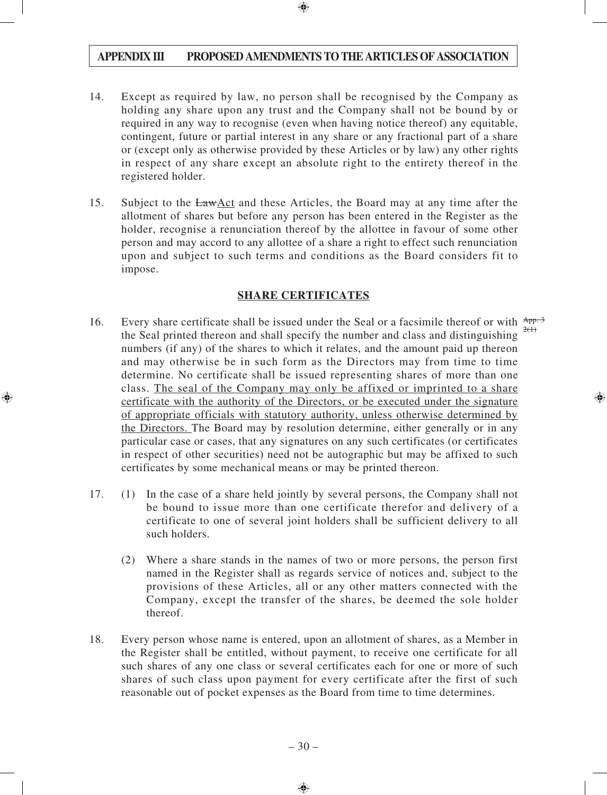- 14. Except as required by law, no person shall be recognised by the Company as holding any share upon any trust and the Company shall not be bound by or required in any way to recognise (even when having notice thereof) any equitable, contingent, future or partial interest in any share or any fractional part of a share or (except only as otherwise provided by these Articles or by law) any other rights in respect of any share except an absolute right to the entirety thereof in the registered holder.
- 15. Subject to the LawAct and these Articles, the Board may at any time after the allotment of shares but before any person has been entered in the Register as the holder, recognise a renunciation thereof by the allottee in favour of some other person and may accord to any allottee of a share a right to effect such renunciation upon and subject to such terms and conditions as the Board considers fit to impose.

#### **SHARE CERTIFICATES**

- 16. Every share certificate shall be issued under the Seal or a facsimile thereof or with  $\frac{App.3}{2}$ the Seal printed thereon and shall specify the number and class and distinguishing numbers (if any) of the shares to which it relates, and the amount paid up thereon and may otherwise be in such form as the Directors may from time to time determine. No certificate shall be issued representing shares of more than one class. The seal of the Company may only be affixed or imprinted to a share certificate with the authority of the Directors, or be executed under the signature of appropriate officials with statutory authority, unless otherwise determined by the Directors. The Board may by resolution determine, either generally or in any particular case or cases, that any signatures on any such certificates (or certificates in respect of other securities) need not be autographic but may be affixed to such certificates by some mechanical means or may be printed thereon.  $2(1)$
- 17. (1) In the case of a share held jointly by several persons, the Company shall not be bound to issue more than one certificate therefor and delivery of a certificate to one of several joint holders shall be sufficient delivery to all such holders.
	- (2) Where a share stands in the names of two or more persons, the person first named in the Register shall as regards service of notices and, subject to the provisions of these Articles, all or any other matters connected with the Company, except the transfer of the shares, be deemed the sole holder thereof.
- 18. Every person whose name is entered, upon an allotment of shares, as a Member in the Register shall be entitled, without payment, to receive one certificate for all such shares of any one class or several certificates each for one or more of such shares of such class upon payment for every certificate after the first of such reasonable out of pocket expenses as the Board from time to time determines.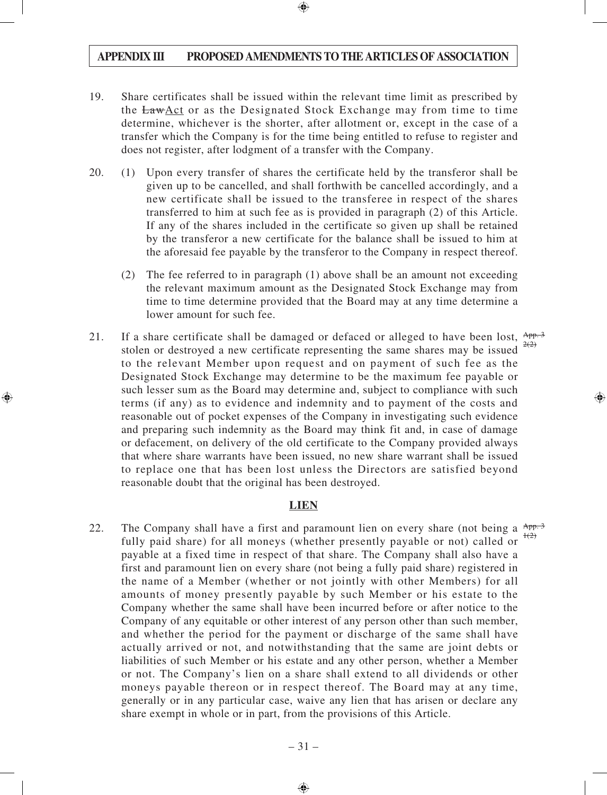- 19. Share certificates shall be issued within the relevant time limit as prescribed by the LawAct or as the Designated Stock Exchange may from time to time determine, whichever is the shorter, after allotment or, except in the case of a transfer which the Company is for the time being entitled to refuse to register and does not register, after lodgment of a transfer with the Company.
- 20. (1) Upon every transfer of shares the certificate held by the transferor shall be given up to be cancelled, and shall forthwith be cancelled accordingly, and a new certificate shall be issued to the transferee in respect of the shares transferred to him at such fee as is provided in paragraph (2) of this Article. If any of the shares included in the certificate so given up shall be retained by the transferor a new certificate for the balance shall be issued to him at the aforesaid fee payable by the transferor to the Company in respect thereof.
	- (2) The fee referred to in paragraph (1) above shall be an amount not exceeding the relevant maximum amount as the Designated Stock Exchange may from time to time determine provided that the Board may at any time determine a lower amount for such fee.
- 21. If a share certificate shall be damaged or defaced or alleged to have been lost,  $\frac{App.3}{200}$ stolen or destroyed a new certificate representing the same shares may be issued to the relevant Member upon request and on payment of such fee as the Designated Stock Exchange may determine to be the maximum fee payable or such lesser sum as the Board may determine and, subject to compliance with such terms (if any) as to evidence and indemnity and to payment of the costs and reasonable out of pocket expenses of the Company in investigating such evidence and preparing such indemnity as the Board may think fit and, in case of damage or defacement, on delivery of the old certificate to the Company provided always that where share warrants have been issued, no new share warrant shall be issued to replace one that has been lost unless the Directors are satisfied beyond reasonable doubt that the original has been destroyed.  $2(2)$

### **LIEN**

22. The Company shall have a first and paramount lien on every share (not being a  $\frac{App.3}{app.3}$ fully paid share) for all moneys (whether presently payable or not) called or payable at a fixed time in respect of that share. The Company shall also have a first and paramount lien on every share (not being a fully paid share) registered in the name of a Member (whether or not jointly with other Members) for all amounts of money presently payable by such Member or his estate to the Company whether the same shall have been incurred before or after notice to the Company of any equitable or other interest of any person other than such member, and whether the period for the payment or discharge of the same shall have actually arrived or not, and notwithstanding that the same are joint debts or liabilities of such Member or his estate and any other person, whether a Member or not. The Company's lien on a share shall extend to all dividends or other moneys payable thereon or in respect thereof. The Board may at any time, generally or in any particular case, waive any lien that has arisen or declare any share exempt in whole or in part, from the provisions of this Article.  $+(2)$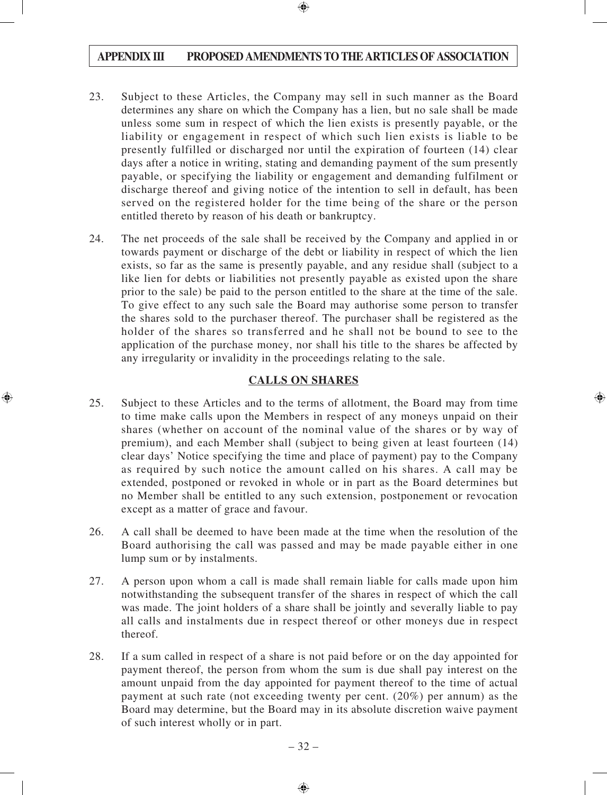- 23. Subject to these Articles, the Company may sell in such manner as the Board determines any share on which the Company has a lien, but no sale shall be made unless some sum in respect of which the lien exists is presently payable, or the liability or engagement in respect of which such lien exists is liable to be presently fulfilled or discharged nor until the expiration of fourteen (14) clear days after a notice in writing, stating and demanding payment of the sum presently payable, or specifying the liability or engagement and demanding fulfilment or discharge thereof and giving notice of the intention to sell in default, has been served on the registered holder for the time being of the share or the person entitled thereto by reason of his death or bankruptcy.
- 24. The net proceeds of the sale shall be received by the Company and applied in or towards payment or discharge of the debt or liability in respect of which the lien exists, so far as the same is presently payable, and any residue shall (subject to a like lien for debts or liabilities not presently payable as existed upon the share prior to the sale) be paid to the person entitled to the share at the time of the sale. To give effect to any such sale the Board may authorise some person to transfer the shares sold to the purchaser thereof. The purchaser shall be registered as the holder of the shares so transferred and he shall not be bound to see to the application of the purchase money, nor shall his title to the shares be affected by any irregularity or invalidity in the proceedings relating to the sale.

### **CALLS ON SHARES**

- 25. Subject to these Articles and to the terms of allotment, the Board may from time to time make calls upon the Members in respect of any moneys unpaid on their shares (whether on account of the nominal value of the shares or by way of premium), and each Member shall (subject to being given at least fourteen (14) clear days' Notice specifying the time and place of payment) pay to the Company as required by such notice the amount called on his shares. A call may be extended, postponed or revoked in whole or in part as the Board determines but no Member shall be entitled to any such extension, postponement or revocation except as a matter of grace and favour.
- 26. A call shall be deemed to have been made at the time when the resolution of the Board authorising the call was passed and may be made payable either in one lump sum or by instalments.
- 27. A person upon whom a call is made shall remain liable for calls made upon him notwithstanding the subsequent transfer of the shares in respect of which the call was made. The joint holders of a share shall be jointly and severally liable to pay all calls and instalments due in respect thereof or other moneys due in respect thereof.
- 28. If a sum called in respect of a share is not paid before or on the day appointed for payment thereof, the person from whom the sum is due shall pay interest on the amount unpaid from the day appointed for payment thereof to the time of actual payment at such rate (not exceeding twenty per cent. (20%) per annum) as the Board may determine, but the Board may in its absolute discretion waive payment of such interest wholly or in part.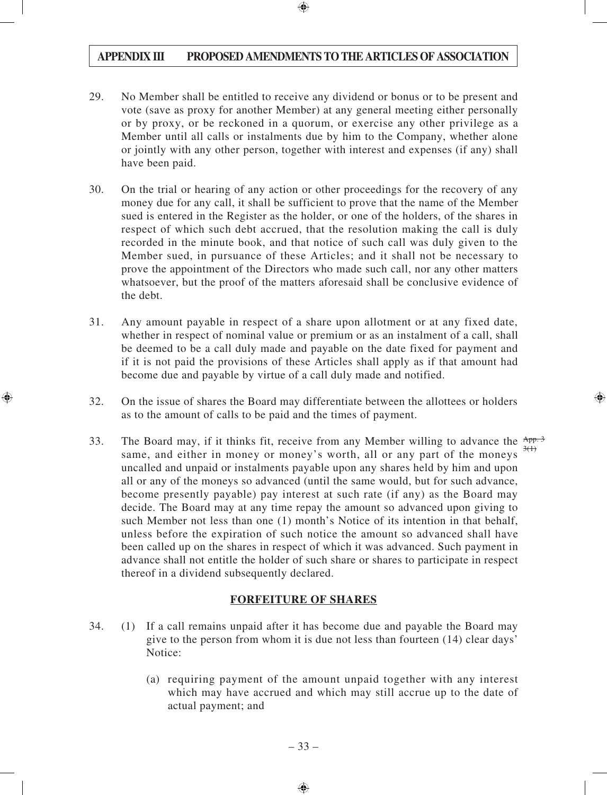- 29. No Member shall be entitled to receive any dividend or bonus or to be present and vote (save as proxy for another Member) at any general meeting either personally or by proxy, or be reckoned in a quorum, or exercise any other privilege as a Member until all calls or instalments due by him to the Company, whether alone or jointly with any other person, together with interest and expenses (if any) shall have been paid.
- 30. On the trial or hearing of any action or other proceedings for the recovery of any money due for any call, it shall be sufficient to prove that the name of the Member sued is entered in the Register as the holder, or one of the holders, of the shares in respect of which such debt accrued, that the resolution making the call is duly recorded in the minute book, and that notice of such call was duly given to the Member sued, in pursuance of these Articles; and it shall not be necessary to prove the appointment of the Directors who made such call, nor any other matters whatsoever, but the proof of the matters aforesaid shall be conclusive evidence of the debt.
- 31. Any amount payable in respect of a share upon allotment or at any fixed date, whether in respect of nominal value or premium or as an instalment of a call, shall be deemed to be a call duly made and payable on the date fixed for payment and if it is not paid the provisions of these Articles shall apply as if that amount had become due and payable by virtue of a call duly made and notified.
- 32. On the issue of shares the Board may differentiate between the allottees or holders as to the amount of calls to be paid and the times of payment.
- 33. The Board may, if it thinks fit, receive from any Member willing to advance the  $\frac{App.3}{p}$ same, and either in money or money's worth, all or any part of the moneys uncalled and unpaid or instalments payable upon any shares held by him and upon all or any of the moneys so advanced (until the same would, but for such advance, become presently payable) pay interest at such rate (if any) as the Board may decide. The Board may at any time repay the amount so advanced upon giving to such Member not less than one (1) month's Notice of its intention in that behalf, unless before the expiration of such notice the amount so advanced shall have been called up on the shares in respect of which it was advanced. Such payment in advance shall not entitle the holder of such share or shares to participate in respect thereof in a dividend subsequently declared.  $3(1)$

### **FORFEITURE OF SHARES**

- 34. (1) If a call remains unpaid after it has become due and payable the Board may give to the person from whom it is due not less than fourteen (14) clear days' Notice:
	- (a) requiring payment of the amount unpaid together with any interest which may have accrued and which may still accrue up to the date of actual payment; and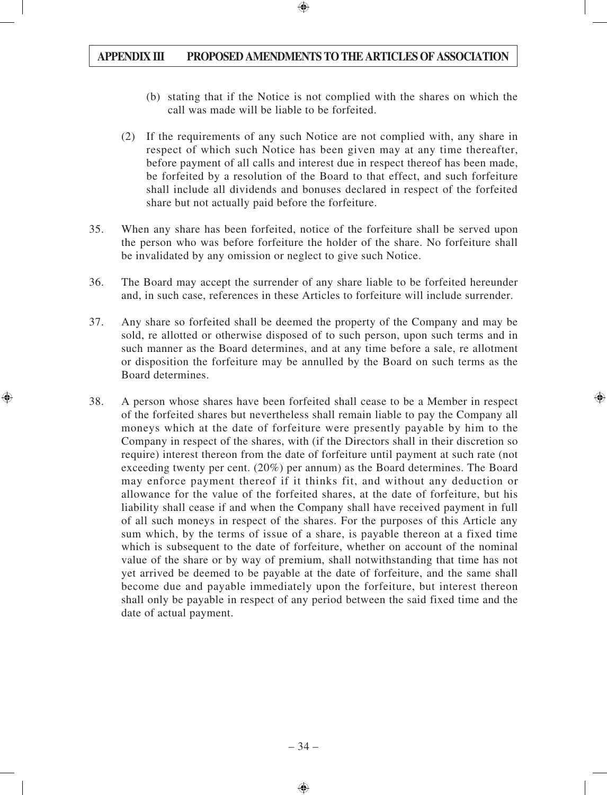- (b) stating that if the Notice is not complied with the shares on which the call was made will be liable to be forfeited.
- (2) If the requirements of any such Notice are not complied with, any share in respect of which such Notice has been given may at any time thereafter, before payment of all calls and interest due in respect thereof has been made, be forfeited by a resolution of the Board to that effect, and such forfeiture shall include all dividends and bonuses declared in respect of the forfeited share but not actually paid before the forfeiture.
- 35. When any share has been forfeited, notice of the forfeiture shall be served upon the person who was before forfeiture the holder of the share. No forfeiture shall be invalidated by any omission or neglect to give such Notice.
- 36. The Board may accept the surrender of any share liable to be forfeited hereunder and, in such case, references in these Articles to forfeiture will include surrender.
- 37. Any share so forfeited shall be deemed the property of the Company and may be sold, re allotted or otherwise disposed of to such person, upon such terms and in such manner as the Board determines, and at any time before a sale, re allotment or disposition the forfeiture may be annulled by the Board on such terms as the Board determines.
- 38. A person whose shares have been forfeited shall cease to be a Member in respect of the forfeited shares but nevertheless shall remain liable to pay the Company all moneys which at the date of forfeiture were presently payable by him to the Company in respect of the shares, with (if the Directors shall in their discretion so require) interest thereon from the date of forfeiture until payment at such rate (not exceeding twenty per cent. (20%) per annum) as the Board determines. The Board may enforce payment thereof if it thinks fit, and without any deduction or allowance for the value of the forfeited shares, at the date of forfeiture, but his liability shall cease if and when the Company shall have received payment in full of all such moneys in respect of the shares. For the purposes of this Article any sum which, by the terms of issue of a share, is payable thereon at a fixed time which is subsequent to the date of forfeiture, whether on account of the nominal value of the share or by way of premium, shall notwithstanding that time has not yet arrived be deemed to be payable at the date of forfeiture, and the same shall become due and payable immediately upon the forfeiture, but interest thereon shall only be payable in respect of any period between the said fixed time and the date of actual payment.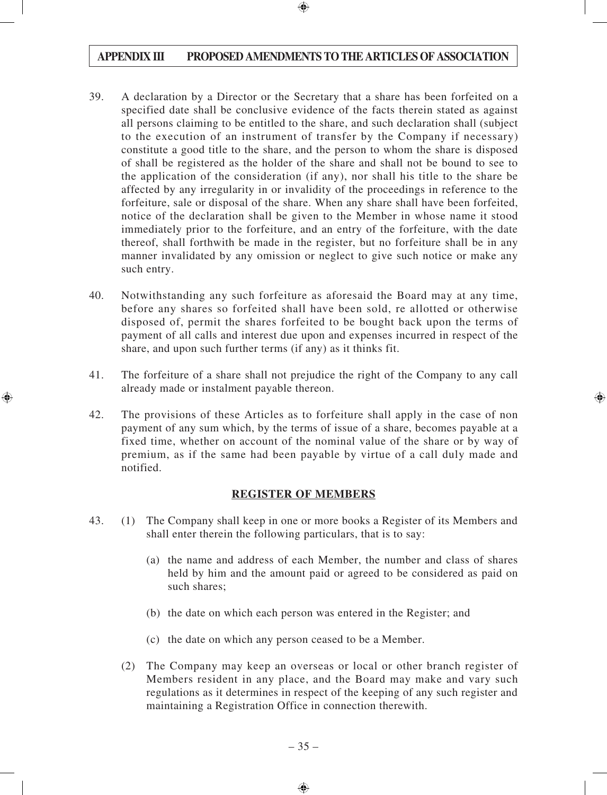- 39. A declaration by a Director or the Secretary that a share has been forfeited on a specified date shall be conclusive evidence of the facts therein stated as against all persons claiming to be entitled to the share, and such declaration shall (subject to the execution of an instrument of transfer by the Company if necessary) constitute a good title to the share, and the person to whom the share is disposed of shall be registered as the holder of the share and shall not be bound to see to the application of the consideration (if any), nor shall his title to the share be affected by any irregularity in or invalidity of the proceedings in reference to the forfeiture, sale or disposal of the share. When any share shall have been forfeited, notice of the declaration shall be given to the Member in whose name it stood immediately prior to the forfeiture, and an entry of the forfeiture, with the date thereof, shall forthwith be made in the register, but no forfeiture shall be in any manner invalidated by any omission or neglect to give such notice or make any such entry.
- 40. Notwithstanding any such forfeiture as aforesaid the Board may at any time, before any shares so forfeited shall have been sold, re allotted or otherwise disposed of, permit the shares forfeited to be bought back upon the terms of payment of all calls and interest due upon and expenses incurred in respect of the share, and upon such further terms (if any) as it thinks fit.
- 41. The forfeiture of a share shall not prejudice the right of the Company to any call already made or instalment payable thereon.
- 42. The provisions of these Articles as to forfeiture shall apply in the case of non payment of any sum which, by the terms of issue of a share, becomes payable at a fixed time, whether on account of the nominal value of the share or by way of premium, as if the same had been payable by virtue of a call duly made and notified.

#### **REGISTER OF MEMBERS**

- 43. (1) The Company shall keep in one or more books a Register of its Members and shall enter therein the following particulars, that is to say:
	- (a) the name and address of each Member, the number and class of shares held by him and the amount paid or agreed to be considered as paid on such shares;
	- (b) the date on which each person was entered in the Register; and
	- (c) the date on which any person ceased to be a Member.
	- (2) The Company may keep an overseas or local or other branch register of Members resident in any place, and the Board may make and vary such regulations as it determines in respect of the keeping of any such register and maintaining a Registration Office in connection therewith.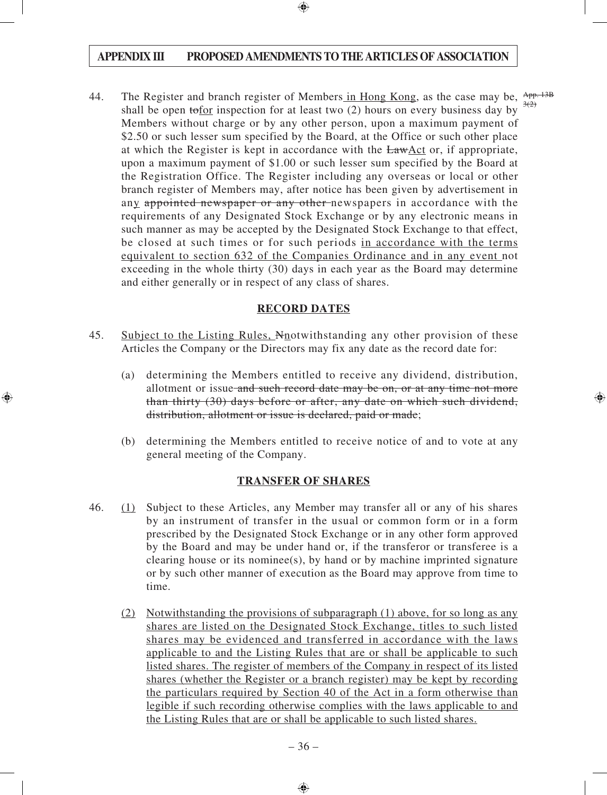44. The Register and branch register of Members in Hong Kong, as the case may be,  $\frac{App. 13B}{200}$ shall be open tofor inspection for at least two (2) hours on every business day by Members without charge or by any other person, upon a maximum payment of \$2.50 or such lesser sum specified by the Board, at the Office or such other place at which the Register is kept in accordance with the LawAct or, if appropriate, upon a maximum payment of \$1.00 or such lesser sum specified by the Board at the Registration Office. The Register including any overseas or local or other branch register of Members may, after notice has been given by advertisement in any appointed newspaper or any other newspapers in accordance with the requirements of any Designated Stock Exchange or by any electronic means in such manner as may be accepted by the Designated Stock Exchange to that effect, be closed at such times or for such periods in accordance with the terms equivalent to section 632 of the Companies Ordinance and in any event not exceeding in the whole thirty (30) days in each year as the Board may determine and either generally or in respect of any class of shares.  $3(2)$ 

#### **RECORD DATES**

- 45. Subject to the Listing Rules, Nnotwithstanding any other provision of these Articles the Company or the Directors may fix any date as the record date for:
	- (a) determining the Members entitled to receive any dividend, distribution, allotment or issue and such record date may be on, or at any time not more than thirty (30) days before or after, any date on which such dividend, distribution, allotment or issue is declared, paid or made;
	- (b) determining the Members entitled to receive notice of and to vote at any general meeting of the Company.

## **TRANSFER OF SHARES**

- 46. (1) Subject to these Articles, any Member may transfer all or any of his shares by an instrument of transfer in the usual or common form or in a form prescribed by the Designated Stock Exchange or in any other form approved by the Board and may be under hand or, if the transferor or transferee is a clearing house or its nominee(s), by hand or by machine imprinted signature or by such other manner of execution as the Board may approve from time to time.
	- (2) Notwithstanding the provisions of subparagraph (1) above, for so long as any shares are listed on the Designated Stock Exchange, titles to such listed shares may be evidenced and transferred in accordance with the laws applicable to and the Listing Rules that are or shall be applicable to such listed shares. The register of members of the Company in respect of its listed shares (whether the Register or a branch register) may be kept by recording the particulars required by Section 40 of the Act in a form otherwise than legible if such recording otherwise complies with the laws applicable to and the Listing Rules that are or shall be applicable to such listed shares.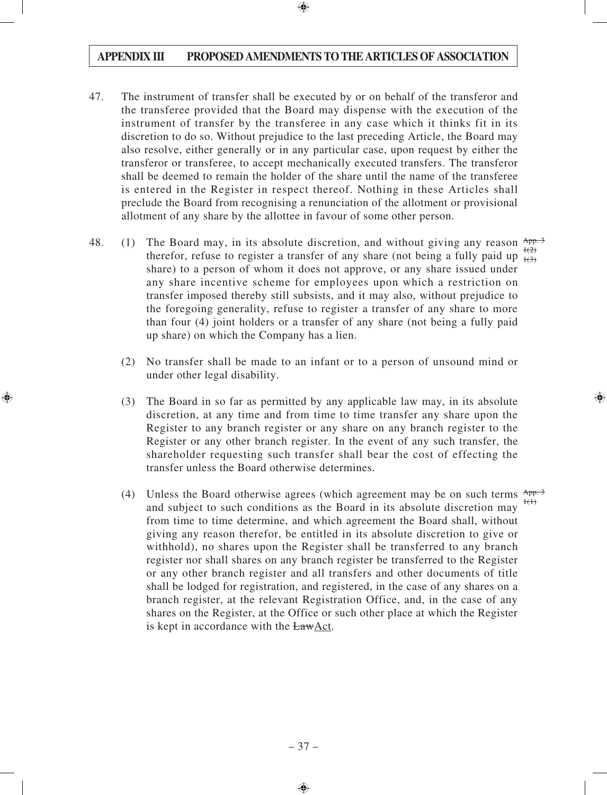- 47. The instrument of transfer shall be executed by or on behalf of the transferor and the transferee provided that the Board may dispense with the execution of the instrument of transfer by the transferee in any case which it thinks fit in its discretion to do so. Without prejudice to the last preceding Article, the Board may also resolve, either generally or in any particular case, upon request by either the transferor or transferee, to accept mechanically executed transfers. The transferor shall be deemed to remain the holder of the share until the name of the transferee is entered in the Register in respect thereof. Nothing in these Articles shall preclude the Board from recognising a renunciation of the allotment or provisional allotment of any share by the allottee in favour of some other person.
- 48. (1) The Board may, in its absolute discretion, and without giving any reason  $\frac{App.3}{app.3}$ therefor, refuse to register a transfer of any share (not being a fully paid up  $\frac{1(2)}{1(3)}$ share) to a person of whom it does not approve, or any share issued under any share incentive scheme for employees upon which a restriction on transfer imposed thereby still subsists, and it may also, without prejudice to the foregoing generality, refuse to register a transfer of any share to more than four (4) joint holders or a transfer of any share (not being a fully paid up share) on which the Company has a lien.  $+(3)$ 
	- (2) No transfer shall be made to an infant or to a person of unsound mind or under other legal disability.
	- (3) The Board in so far as permitted by any applicable law may, in its absolute discretion, at any time and from time to time transfer any share upon the Register to any branch register or any share on any branch register to the Register or any other branch register. In the event of any such transfer, the shareholder requesting such transfer shall bear the cost of effecting the transfer unless the Board otherwise determines.
	- (4) Unless the Board otherwise agrees (which agreement may be on such terms  $\frac{App.3}{App.3}$ and subject to such conditions as the Board in its absolute discretion may from time to time determine, and which agreement the Board shall, without giving any reason therefor, be entitled in its absolute discretion to give or withhold), no shares upon the Register shall be transferred to any branch register nor shall shares on any branch register be transferred to the Register or any other branch register and all transfers and other documents of title shall be lodged for registration, and registered, in the case of any shares on a branch register, at the relevant Registration Office, and, in the case of any shares on the Register, at the Office or such other place at which the Register is kept in accordance with the LawAct.  $f(1)$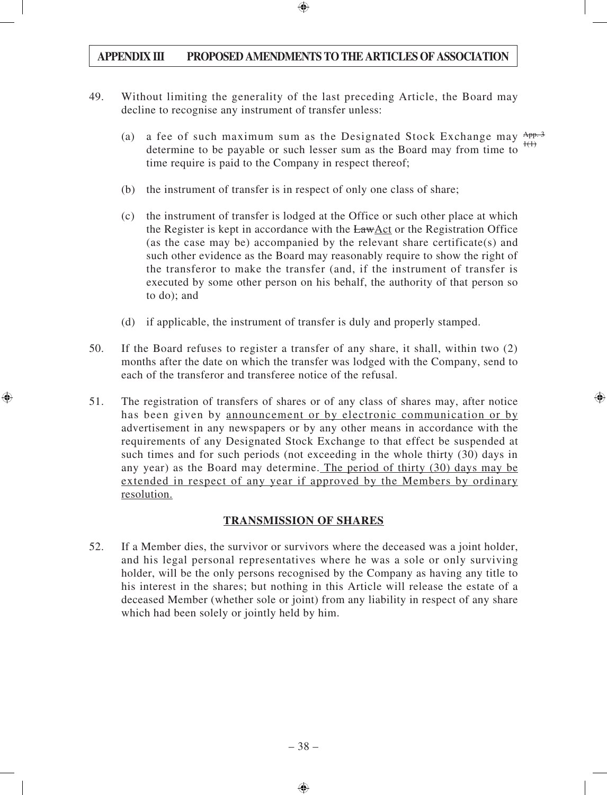- 49. Without limiting the generality of the last preceding Article, the Board may decline to recognise any instrument of transfer unless:
	- (a) a fee of such maximum sum as the Designated Stock Exchange may  $App.3$ determine to be payable or such lesser sum as the Board may from time to time require is paid to the Company in respect thereof;  $1(1)$
	- (b) the instrument of transfer is in respect of only one class of share;
	- (c) the instrument of transfer is lodged at the Office or such other place at which the Register is kept in accordance with the LawAct or the Registration Office (as the case may be) accompanied by the relevant share certificate(s) and such other evidence as the Board may reasonably require to show the right of the transferor to make the transfer (and, if the instrument of transfer is executed by some other person on his behalf, the authority of that person so to do); and
	- (d) if applicable, the instrument of transfer is duly and properly stamped.
- 50. If the Board refuses to register a transfer of any share, it shall, within two (2) months after the date on which the transfer was lodged with the Company, send to each of the transferor and transferee notice of the refusal.
- 51. The registration of transfers of shares or of any class of shares may, after notice has been given by announcement or by electronic communication or by advertisement in any newspapers or by any other means in accordance with the requirements of any Designated Stock Exchange to that effect be suspended at such times and for such periods (not exceeding in the whole thirty (30) days in any year) as the Board may determine. The period of thirty (30) days may be extended in respect of any year if approved by the Members by ordinary resolution.

## **TRANSMISSION OF SHARES**

52. If a Member dies, the survivor or survivors where the deceased was a joint holder, and his legal personal representatives where he was a sole or only surviving holder, will be the only persons recognised by the Company as having any title to his interest in the shares; but nothing in this Article will release the estate of a deceased Member (whether sole or joint) from any liability in respect of any share which had been solely or jointly held by him.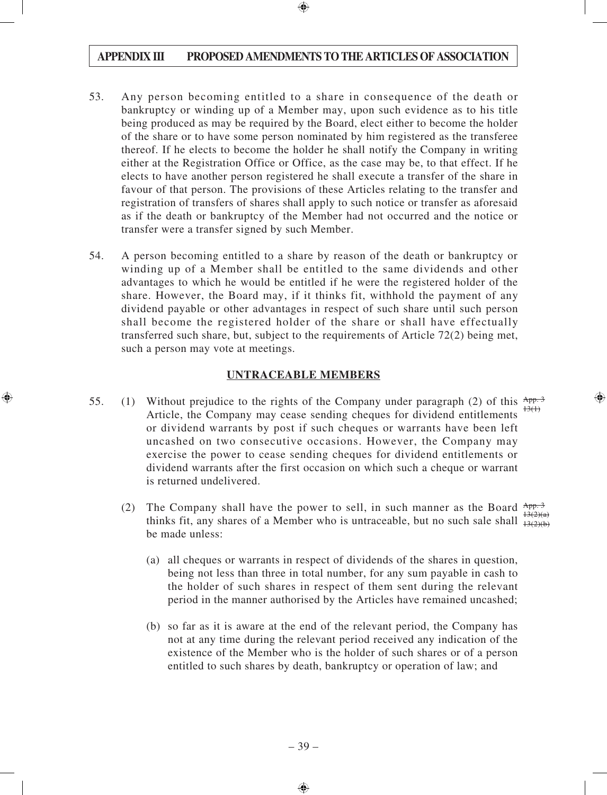- 53. Any person becoming entitled to a share in consequence of the death or bankruptcy or winding up of a Member may, upon such evidence as to his title being produced as may be required by the Board, elect either to become the holder of the share or to have some person nominated by him registered as the transferee thereof. If he elects to become the holder he shall notify the Company in writing either at the Registration Office or Office, as the case may be, to that effect. If he elects to have another person registered he shall execute a transfer of the share in favour of that person. The provisions of these Articles relating to the transfer and registration of transfers of shares shall apply to such notice or transfer as aforesaid as if the death or bankruptcy of the Member had not occurred and the notice or transfer were a transfer signed by such Member.
- 54. A person becoming entitled to a share by reason of the death or bankruptcy or winding up of a Member shall be entitled to the same dividends and other advantages to which he would be entitled if he were the registered holder of the share. However, the Board may, if it thinks fit, withhold the payment of any dividend payable or other advantages in respect of such share until such person shall become the registered holder of the share or shall have effectually transferred such share, but, subject to the requirements of Article 72(2) being met, such a person may vote at meetings.

#### **UNTRACEABLE MEMBERS**

- 55. (1) Without prejudice to the rights of the Company under paragraph (2) of this  $\frac{App.3}{app.3}$ Article, the Company may cease sending cheques for dividend entitlements or dividend warrants by post if such cheques or warrants have been left uncashed on two consecutive occasions. However, the Company may exercise the power to cease sending cheques for dividend entitlements or dividend warrants after the first occasion on which such a cheque or warrant is returned undelivered.  $13(1)$ 
	- (2) The Company shall have the power to sell, in such manner as the Board  $\frac{App.3}{1200}$ thinks fit, any shares of a Member who is untraceable, but no such sale shall  $\frac{13(2)(a)}{13(2)(b)}$ be made unless:  $13(2)(b)$ 
		- (a) all cheques or warrants in respect of dividends of the shares in question, being not less than three in total number, for any sum payable in cash to the holder of such shares in respect of them sent during the relevant period in the manner authorised by the Articles have remained uncashed;
		- (b) so far as it is aware at the end of the relevant period, the Company has not at any time during the relevant period received any indication of the existence of the Member who is the holder of such shares or of a person entitled to such shares by death, bankruptcy or operation of law; and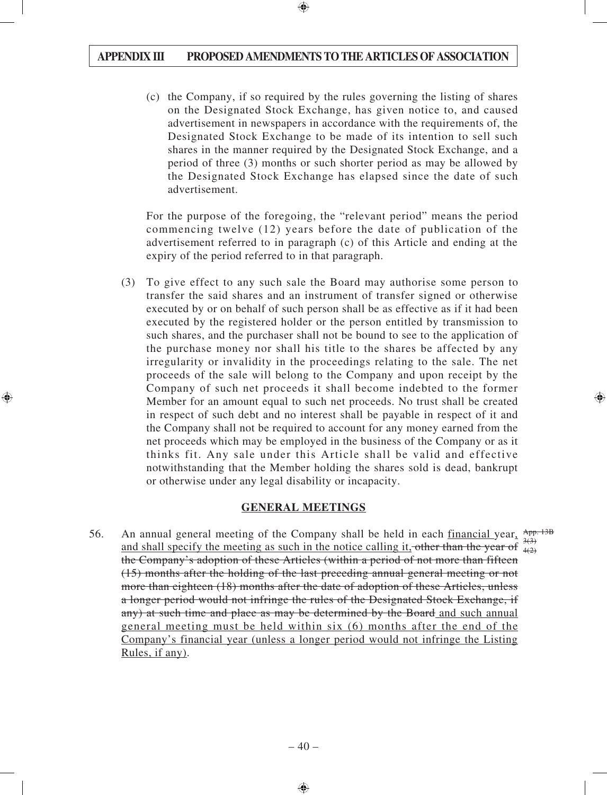(c) the Company, if so required by the rules governing the listing of shares on the Designated Stock Exchange, has given notice to, and caused advertisement in newspapers in accordance with the requirements of, the Designated Stock Exchange to be made of its intention to sell such shares in the manner required by the Designated Stock Exchange, and a period of three (3) months or such shorter period as may be allowed by the Designated Stock Exchange has elapsed since the date of such advertisement.

For the purpose of the foregoing, the "relevant period" means the period commencing twelve (12) years before the date of publication of the advertisement referred to in paragraph (c) of this Article and ending at the expiry of the period referred to in that paragraph.

(3) To give effect to any such sale the Board may authorise some person to transfer the said shares and an instrument of transfer signed or otherwise executed by or on behalf of such person shall be as effective as if it had been executed by the registered holder or the person entitled by transmission to such shares, and the purchaser shall not be bound to see to the application of the purchase money nor shall his title to the shares be affected by any irregularity or invalidity in the proceedings relating to the sale. The net proceeds of the sale will belong to the Company and upon receipt by the Company of such net proceeds it shall become indebted to the former Member for an amount equal to such net proceeds. No trust shall be created in respect of such debt and no interest shall be payable in respect of it and the Company shall not be required to account for any money earned from the net proceeds which may be employed in the business of the Company or as it thinks fit. Any sale under this Article shall be valid and effective notwithstanding that the Member holding the shares sold is dead, bankrupt or otherwise under any legal disability or incapacity.

## **GENERAL MEETINGS**

56. An annual general meeting of the Company shall be held in each financial year,  $\frac{App. 13B}{200}$ and shall specify the meeting as such in the notice calling it, other than the year of  $\frac{3(3)}{4(2)}$ the Company's adoption of these Articles (within a period of not more than fifteen (15) months after the holding of the last preceding annual general meeting or not more than eighteen (18) months after the date of adoption of these Articles, unless a longer period would not infringe the rules of the Designated Stock Exchange, if any) at such time and place as may be determined by the Board and such annual general meeting must be held within six (6) months after the end of the Company's financial year (unless a longer period would not infringe the Listing Rules, if any).  $4(2)$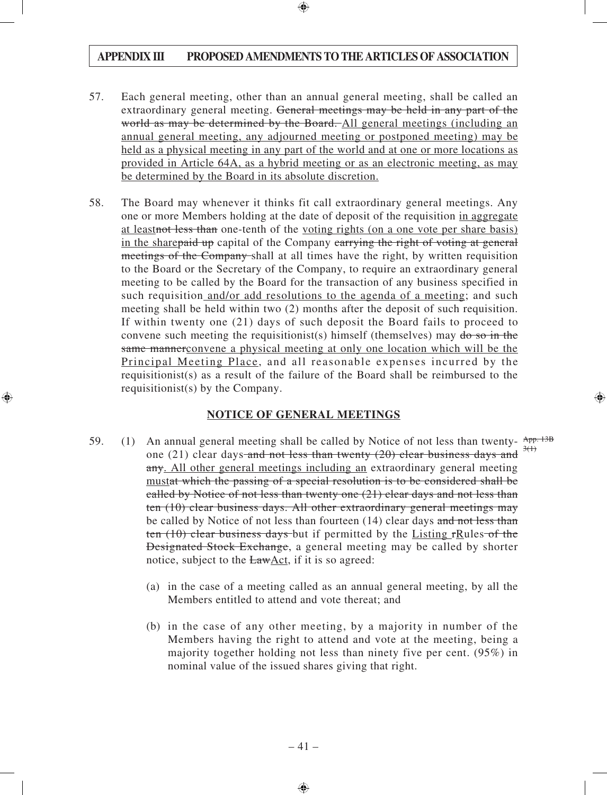- 57. Each general meeting, other than an annual general meeting, shall be called an extraordinary general meeting. General meetings may be held in any part of the world as may be determined by the Board. All general meetings (including an annual general meeting, any adjourned meeting or postponed meeting) may be held as a physical meeting in any part of the world and at one or more locations as provided in Article 64A, as a hybrid meeting or as an electronic meeting, as may be determined by the Board in its absolute discretion.
- 58. The Board may whenever it thinks fit call extraordinary general meetings. Any one or more Members holding at the date of deposit of the requisition in aggregate at leastnot less than one-tenth of the voting rights (on a one vote per share basis) in the sharepaid up capital of the Company carrying the right of voting at general meetings of the Company-shall at all times have the right, by written requisition to the Board or the Secretary of the Company, to require an extraordinary general meeting to be called by the Board for the transaction of any business specified in such requisition and/or add resolutions to the agenda of a meeting; and such meeting shall be held within two (2) months after the deposit of such requisition. If within twenty one (21) days of such deposit the Board fails to proceed to convene such meeting the requisitionist(s) himself (themselves) may  $\phi$  so in the same mannerconvene a physical meeting at only one location which will be the Principal Meeting Place, and all reasonable expenses incurred by the requisitionist(s) as a result of the failure of the Board shall be reimbursed to the requisitionist(s) by the Company.

## **NOTICE OF GENERAL MEETINGS**

- 59. (1) An annual general meeting shall be called by Notice of not less than twenty- $\frac{App. 13B}{200}$ one (21) clear days and not less than twenty (20) clear business days and  $\frac{3(1)}{2(1)}$ any. All other general meetings including an extraordinary general meeting mustat which the passing of a special resolution is to be considered shall be called by Notice of not less than twenty one (21) clear days and not less than ten (10) clear business days. All other extraordinary general meetings may be called by Notice of not less than fourteen (14) clear days and not less than ten  $(10)$  clear business days but if permitted by the Listing rRules of the Designated Stock Exchange, a general meeting may be called by shorter notice, subject to the LawAct, if it is so agreed:
	- (a) in the case of a meeting called as an annual general meeting, by all the Members entitled to attend and vote thereat; and
	- (b) in the case of any other meeting, by a majority in number of the Members having the right to attend and vote at the meeting, being a majority together holding not less than ninety five per cent. (95%) in nominal value of the issued shares giving that right.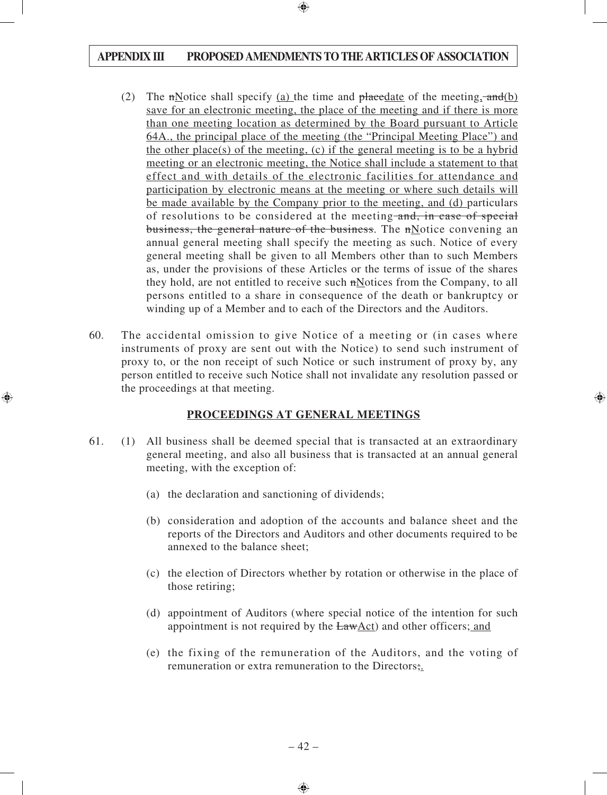- (2) The mNotice shall specify (a) the time and placedate of the meeting,  $\text{and}(b)$ save for an electronic meeting, the place of the meeting and if there is more than one meeting location as determined by the Board pursuant to Article 64A., the principal place of the meeting (the "Principal Meeting Place") and the other place(s) of the meeting, (c) if the general meeting is to be a hybrid meeting or an electronic meeting, the Notice shall include a statement to that effect and with details of the electronic facilities for attendance and participation by electronic means at the meeting or where such details will be made available by the Company prior to the meeting, and (d) particulars of resolutions to be considered at the meeting and, in case of special business, the general nature of the business. The nNotice convening an annual general meeting shall specify the meeting as such. Notice of every general meeting shall be given to all Members other than to such Members as, under the provisions of these Articles or the terms of issue of the shares they hold, are not entitled to receive such nNotices from the Company, to all persons entitled to a share in consequence of the death or bankruptcy or winding up of a Member and to each of the Directors and the Auditors.
- 60. The accidental omission to give Notice of a meeting or (in cases where instruments of proxy are sent out with the Notice) to send such instrument of proxy to, or the non receipt of such Notice or such instrument of proxy by, any person entitled to receive such Notice shall not invalidate any resolution passed or the proceedings at that meeting.

## **PROCEEDINGS AT GENERAL MEETINGS**

- 61. (1) All business shall be deemed special that is transacted at an extraordinary general meeting, and also all business that is transacted at an annual general meeting, with the exception of:
	- (a) the declaration and sanctioning of dividends;
	- (b) consideration and adoption of the accounts and balance sheet and the reports of the Directors and Auditors and other documents required to be annexed to the balance sheet;
	- (c) the election of Directors whether by rotation or otherwise in the place of those retiring;
	- (d) appointment of Auditors (where special notice of the intention for such appointment is not required by the LawAct) and other officers; and
	- (e) the fixing of the remuneration of the Auditors, and the voting of remuneration or extra remuneration to the Directors;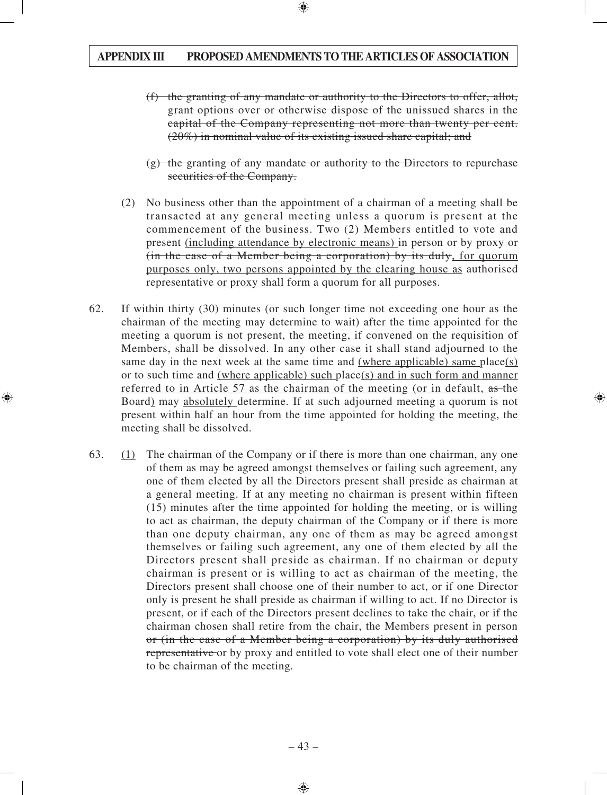- (f) the granting of any mandate or authority to the Directors to offer, allot, grant options over or otherwise dispose of the unissued shares in the capital of the Company representing not more than twenty per cent. (20%) in nominal value of its existing issued share capital; and
- $(g)$  the granting of any mandate or authority to the Directors to repurchase securities of the Company.
- (2) No business other than the appointment of a chairman of a meeting shall be transacted at any general meeting unless a quorum is present at the commencement of the business. Two (2) Members entitled to vote and present (including attendance by electronic means) in person or by proxy or (in the case of a Member being a corporation) by its duly, for quorum purposes only, two persons appointed by the clearing house as authorised representative or proxy shall form a quorum for all purposes.
- 62. If within thirty (30) minutes (or such longer time not exceeding one hour as the chairman of the meeting may determine to wait) after the time appointed for the meeting a quorum is not present, the meeting, if convened on the requisition of Members, shall be dissolved. In any other case it shall stand adjourned to the same day in the next week at the same time and (where applicable) same place(s) or to such time and (where applicable) such place(s) and in such form and manner referred to in Article 57 as the chairman of the meeting (or in default, as the Board) may absolutely determine. If at such adjourned meeting a quorum is not present within half an hour from the time appointed for holding the meeting, the meeting shall be dissolved.
- 63. (1) The chairman of the Company or if there is more than one chairman, any one of them as may be agreed amongst themselves or failing such agreement, any one of them elected by all the Directors present shall preside as chairman at a general meeting. If at any meeting no chairman is present within fifteen (15) minutes after the time appointed for holding the meeting, or is willing to act as chairman, the deputy chairman of the Company or if there is more than one deputy chairman, any one of them as may be agreed amongst themselves or failing such agreement, any one of them elected by all the Directors present shall preside as chairman. If no chairman or deputy chairman is present or is willing to act as chairman of the meeting, the Directors present shall choose one of their number to act, or if one Director only is present he shall preside as chairman if willing to act. If no Director is present, or if each of the Directors present declines to take the chair, or if the chairman chosen shall retire from the chair, the Members present in person or (in the case of a Member being a corporation) by its duly authorised representative or by proxy and entitled to vote shall elect one of their number to be chairman of the meeting.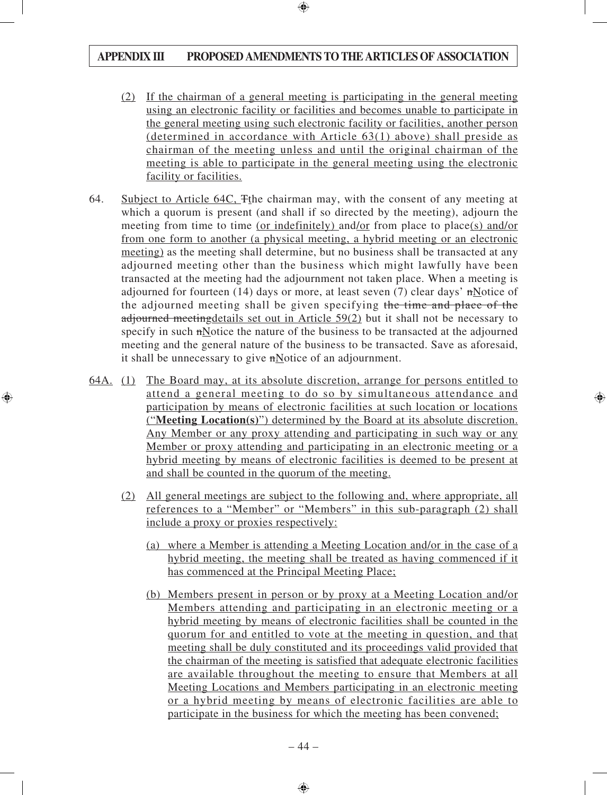- (2) If the chairman of a general meeting is participating in the general meeting using an electronic facility or facilities and becomes unable to participate in the general meeting using such electronic facility or facilities, another person (determined in accordance with Article 63(1) above) shall preside as chairman of the meeting unless and until the original chairman of the meeting is able to participate in the general meeting using the electronic facility or facilities.
- 64. Subject to Article 64C, Tthe chairman may, with the consent of any meeting at which a quorum is present (and shall if so directed by the meeting), adjourn the meeting from time to time (or indefinitely) and/or from place to place(s) and/or from one form to another (a physical meeting, a hybrid meeting or an electronic meeting) as the meeting shall determine, but no business shall be transacted at any adjourned meeting other than the business which might lawfully have been transacted at the meeting had the adjournment not taken place. When a meeting is adjourned for fourteen (14) days or more, at least seven (7) clear days' nNotice of the adjourned meeting shall be given specifying the time and place of the adjourned meetingdetails set out in Article 59(2) but it shall not be necessary to specify in such nNotice the nature of the business to be transacted at the adjourned meeting and the general nature of the business to be transacted. Save as aforesaid, it shall be unnecessary to give nNotice of an adjournment.
- 64A. (1) The Board may, at its absolute discretion, arrange for persons entitled to attend a general meeting to do so by simultaneous attendance and participation by means of electronic facilities at such location or locations ("**Meeting Location(s)**") determined by the Board at its absolute discretion. Any Member or any proxy attending and participating in such way or any Member or proxy attending and participating in an electronic meeting or a hybrid meeting by means of electronic facilities is deemed to be present at and shall be counted in the quorum of the meeting.
	- (2) All general meetings are subject to the following and, where appropriate, all references to a "Member" or "Members" in this sub-paragraph (2) shall include a proxy or proxies respectively:
		- (a) where a Member is attending a Meeting Location and/or in the case of a hybrid meeting, the meeting shall be treated as having commenced if it has commenced at the Principal Meeting Place;
		- (b) Members present in person or by proxy at a Meeting Location and/or Members attending and participating in an electronic meeting or a hybrid meeting by means of electronic facilities shall be counted in the quorum for and entitled to vote at the meeting in question, and that meeting shall be duly constituted and its proceedings valid provided that the chairman of the meeting is satisfied that adequate electronic facilities are available throughout the meeting to ensure that Members at all Meeting Locations and Members participating in an electronic meeting or a hybrid meeting by means of electronic facilities are able to participate in the business for which the meeting has been convened;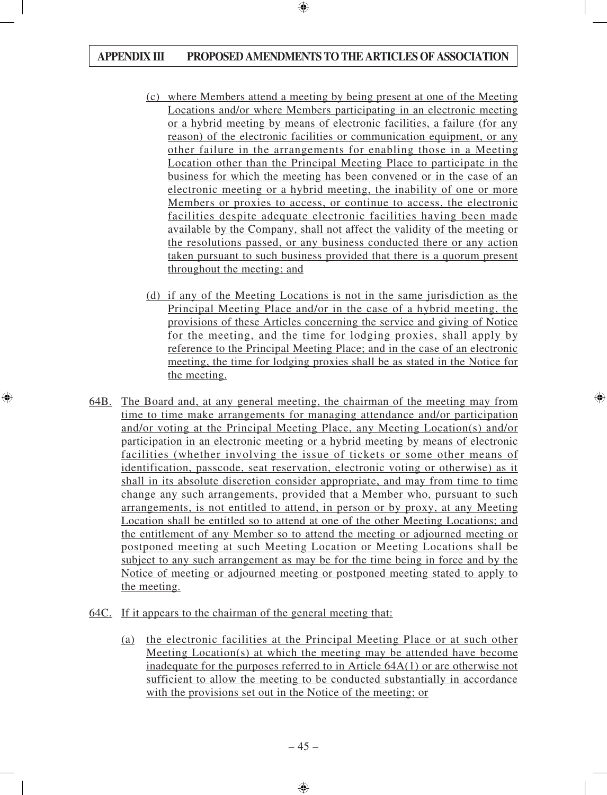- (c) where Members attend a meeting by being present at one of the Meeting Locations and/or where Members participating in an electronic meeting or a hybrid meeting by means of electronic facilities, a failure (for any reason) of the electronic facilities or communication equipment, or any other failure in the arrangements for enabling those in a Meeting Location other than the Principal Meeting Place to participate in the business for which the meeting has been convened or in the case of an electronic meeting or a hybrid meeting, the inability of one or more Members or proxies to access, or continue to access, the electronic facilities despite adequate electronic facilities having been made available by the Company, shall not affect the validity of the meeting or the resolutions passed, or any business conducted there or any action taken pursuant to such business provided that there is a quorum present throughout the meeting; and
- (d) if any of the Meeting Locations is not in the same jurisdiction as the Principal Meeting Place and/or in the case of a hybrid meeting, the provisions of these Articles concerning the service and giving of Notice for the meeting, and the time for lodging proxies, shall apply by reference to the Principal Meeting Place; and in the case of an electronic meeting, the time for lodging proxies shall be as stated in the Notice for the meeting.
- 64B. The Board and, at any general meeting, the chairman of the meeting may from time to time make arrangements for managing attendance and/or participation and/or voting at the Principal Meeting Place, any Meeting Location(s) and/or participation in an electronic meeting or a hybrid meeting by means of electronic facilities (whether involving the issue of tickets or some other means of identification, passcode, seat reservation, electronic voting or otherwise) as it shall in its absolute discretion consider appropriate, and may from time to time change any such arrangements, provided that a Member who, pursuant to such arrangements, is not entitled to attend, in person or by proxy, at any Meeting Location shall be entitled so to attend at one of the other Meeting Locations; and the entitlement of any Member so to attend the meeting or adjourned meeting or postponed meeting at such Meeting Location or Meeting Locations shall be subject to any such arrangement as may be for the time being in force and by the Notice of meeting or adjourned meeting or postponed meeting stated to apply to the meeting.
- 64C. If it appears to the chairman of the general meeting that:
	- (a) the electronic facilities at the Principal Meeting Place or at such other Meeting Location(s) at which the meeting may be attended have become inadequate for the purposes referred to in Article 64A(1) or are otherwise not sufficient to allow the meeting to be conducted substantially in accordance with the provisions set out in the Notice of the meeting; or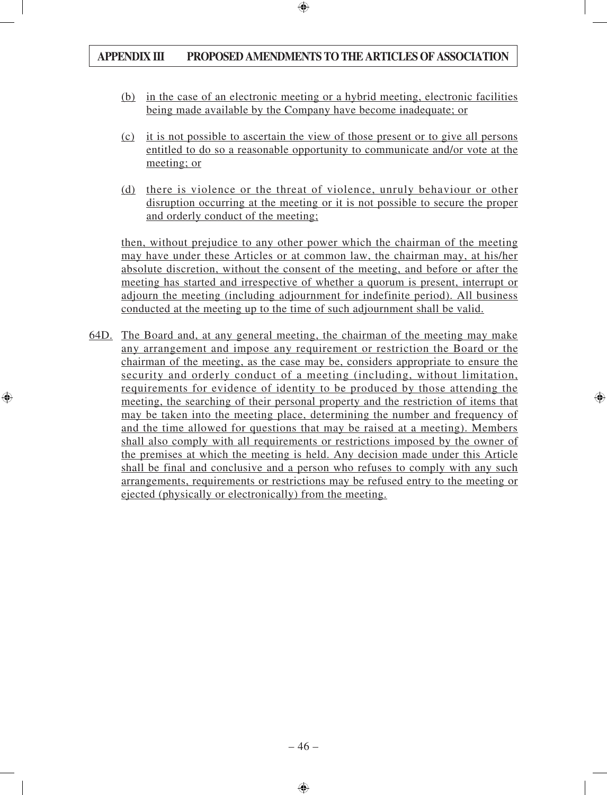- (b) in the case of an electronic meeting or a hybrid meeting, electronic facilities being made available by the Company have become inadequate; or
- (c) it is not possible to ascertain the view of those present or to give all persons entitled to do so a reasonable opportunity to communicate and/or vote at the meeting; or
- (d) there is violence or the threat of violence, unruly behaviour or other disruption occurring at the meeting or it is not possible to secure the proper and orderly conduct of the meeting;

then, without prejudice to any other power which the chairman of the meeting may have under these Articles or at common law, the chairman may, at his/her absolute discretion, without the consent of the meeting, and before or after the meeting has started and irrespective of whether a quorum is present, interrupt or adjourn the meeting (including adjournment for indefinite period). All business conducted at the meeting up to the time of such adjournment shall be valid.

64D. The Board and, at any general meeting, the chairman of the meeting may make any arrangement and impose any requirement or restriction the Board or the chairman of the meeting, as the case may be, considers appropriate to ensure the security and orderly conduct of a meeting (including, without limitation, requirements for evidence of identity to be produced by those attending the meeting, the searching of their personal property and the restriction of items that may be taken into the meeting place, determining the number and frequency of and the time allowed for questions that may be raised at a meeting). Members shall also comply with all requirements or restrictions imposed by the owner of the premises at which the meeting is held. Any decision made under this Article shall be final and conclusive and a person who refuses to comply with any such arrangements, requirements or restrictions may be refused entry to the meeting or ejected (physically or electronically) from the meeting.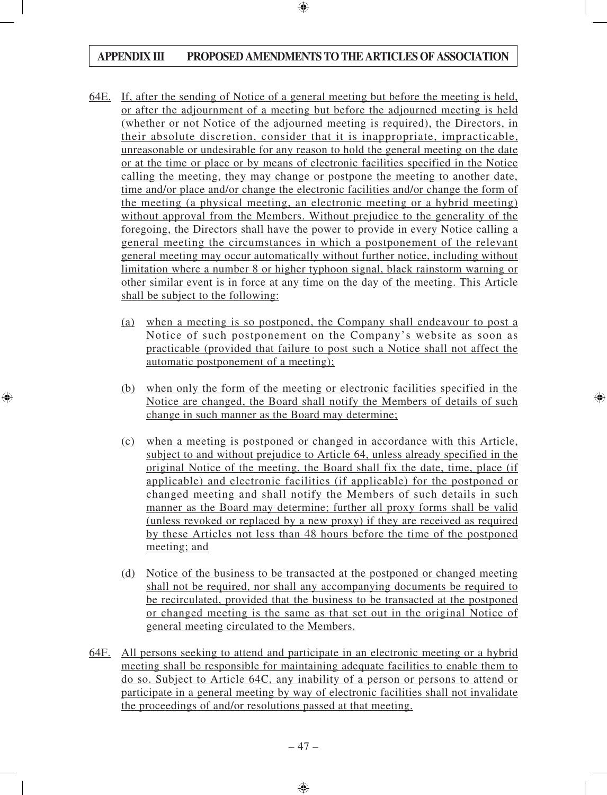- 64E. If, after the sending of Notice of a general meeting but before the meeting is held, or after the adjournment of a meeting but before the adjourned meeting is held (whether or not Notice of the adjourned meeting is required), the Directors, in their absolute discretion, consider that it is inappropriate, impracticable, unreasonable or undesirable for any reason to hold the general meeting on the date or at the time or place or by means of electronic facilities specified in the Notice calling the meeting, they may change or postpone the meeting to another date, time and/or place and/or change the electronic facilities and/or change the form of the meeting (a physical meeting, an electronic meeting or a hybrid meeting) without approval from the Members. Without prejudice to the generality of the foregoing, the Directors shall have the power to provide in every Notice calling a general meeting the circumstances in which a postponement of the relevant general meeting may occur automatically without further notice, including without limitation where a number 8 or higher typhoon signal, black rainstorm warning or other similar event is in force at any time on the day of the meeting. This Article shall be subject to the following:
	- (a) when a meeting is so postponed, the Company shall endeavour to post a Notice of such postponement on the Company's website as soon as practicable (provided that failure to post such a Notice shall not affect the automatic postponement of a meeting);
	- (b) when only the form of the meeting or electronic facilities specified in the Notice are changed, the Board shall notify the Members of details of such change in such manner as the Board may determine;
	- (c) when a meeting is postponed or changed in accordance with this Article, subject to and without prejudice to Article 64, unless already specified in the original Notice of the meeting, the Board shall fix the date, time, place (if applicable) and electronic facilities (if applicable) for the postponed or changed meeting and shall notify the Members of such details in such manner as the Board may determine; further all proxy forms shall be valid (unless revoked or replaced by a new proxy) if they are received as required by these Articles not less than 48 hours before the time of the postponed meeting; and
	- (d) Notice of the business to be transacted at the postponed or changed meeting shall not be required, nor shall any accompanying documents be required to be recirculated, provided that the business to be transacted at the postponed or changed meeting is the same as that set out in the original Notice of general meeting circulated to the Members.
- 64F. All persons seeking to attend and participate in an electronic meeting or a hybrid meeting shall be responsible for maintaining adequate facilities to enable them to do so. Subject to Article 64C, any inability of a person or persons to attend or participate in a general meeting by way of electronic facilities shall not invalidate the proceedings of and/or resolutions passed at that meeting.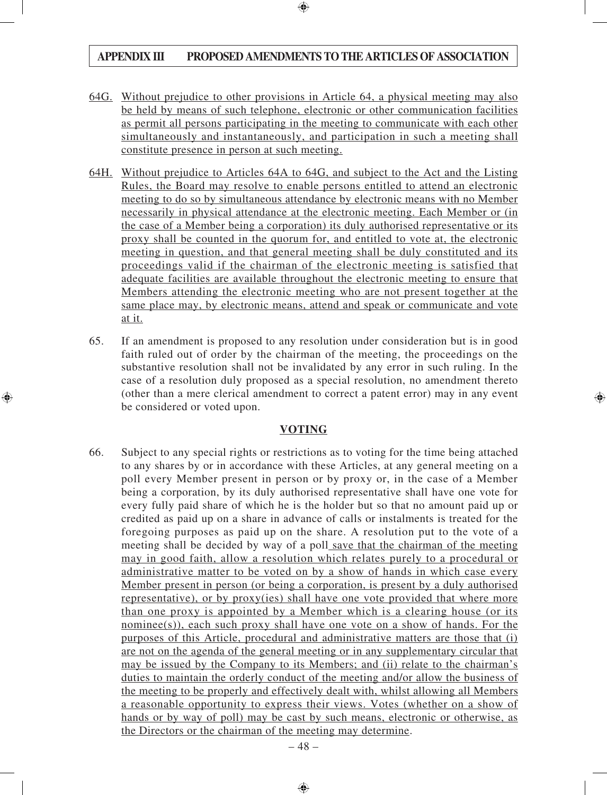- 64G. Without prejudice to other provisions in Article 64, a physical meeting may also be held by means of such telephone, electronic or other communication facilities as permit all persons participating in the meeting to communicate with each other simultaneously and instantaneously, and participation in such a meeting shall constitute presence in person at such meeting.
- 64H. Without prejudice to Articles 64A to 64G, and subject to the Act and the Listing Rules, the Board may resolve to enable persons entitled to attend an electronic meeting to do so by simultaneous attendance by electronic means with no Member necessarily in physical attendance at the electronic meeting. Each Member or (in the case of a Member being a corporation) its duly authorised representative or its proxy shall be counted in the quorum for, and entitled to vote at, the electronic meeting in question, and that general meeting shall be duly constituted and its proceedings valid if the chairman of the electronic meeting is satisfied that adequate facilities are available throughout the electronic meeting to ensure that Members attending the electronic meeting who are not present together at the same place may, by electronic means, attend and speak or communicate and vote at it.
- 65. If an amendment is proposed to any resolution under consideration but is in good faith ruled out of order by the chairman of the meeting, the proceedings on the substantive resolution shall not be invalidated by any error in such ruling. In the case of a resolution duly proposed as a special resolution, no amendment thereto (other than a mere clerical amendment to correct a patent error) may in any event be considered or voted upon.

## **VOTING**

66. Subject to any special rights or restrictions as to voting for the time being attached to any shares by or in accordance with these Articles, at any general meeting on a poll every Member present in person or by proxy or, in the case of a Member being a corporation, by its duly authorised representative shall have one vote for every fully paid share of which he is the holder but so that no amount paid up or credited as paid up on a share in advance of calls or instalments is treated for the foregoing purposes as paid up on the share. A resolution put to the vote of a meeting shall be decided by way of a poll save that the chairman of the meeting may in good faith, allow a resolution which relates purely to a procedural or administrative matter to be voted on by a show of hands in which case every Member present in person (or being a corporation, is present by a duly authorised representative), or by proxy(ies) shall have one vote provided that where more than one proxy is appointed by a Member which is a clearing house (or its nominee(s)), each such proxy shall have one vote on a show of hands. For the purposes of this Article, procedural and administrative matters are those that (i) are not on the agenda of the general meeting or in any supplementary circular that may be issued by the Company to its Members; and (ii) relate to the chairman's duties to maintain the orderly conduct of the meeting and/or allow the business of the meeting to be properly and effectively dealt with, whilst allowing all Members a reasonable opportunity to express their views. Votes (whether on a show of hands or by way of poll) may be cast by such means, electronic or otherwise, as the Directors or the chairman of the meeting may determine.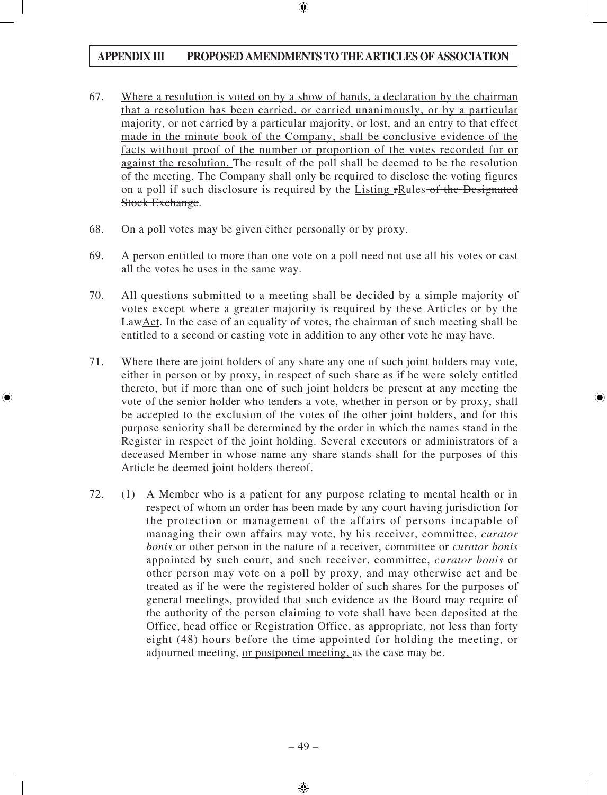- 67. Where a resolution is voted on by a show of hands, a declaration by the chairman that a resolution has been carried, or carried unanimously, or by a particular majority, or not carried by a particular majority, or lost, and an entry to that effect made in the minute book of the Company, shall be conclusive evidence of the facts without proof of the number or proportion of the votes recorded for or against the resolution. The result of the poll shall be deemed to be the resolution of the meeting. The Company shall only be required to disclose the voting figures on a poll if such disclosure is required by the Listing rRules of the Designated Stock Exchange.
- 68. On a poll votes may be given either personally or by proxy.
- 69. A person entitled to more than one vote on a poll need not use all his votes or cast all the votes he uses in the same way.
- 70. All questions submitted to a meeting shall be decided by a simple majority of votes except where a greater majority is required by these Articles or by the LawAct. In the case of an equality of votes, the chairman of such meeting shall be entitled to a second or casting vote in addition to any other vote he may have.
- 71. Where there are joint holders of any share any one of such joint holders may vote, either in person or by proxy, in respect of such share as if he were solely entitled thereto, but if more than one of such joint holders be present at any meeting the vote of the senior holder who tenders a vote, whether in person or by proxy, shall be accepted to the exclusion of the votes of the other joint holders, and for this purpose seniority shall be determined by the order in which the names stand in the Register in respect of the joint holding. Several executors or administrators of a deceased Member in whose name any share stands shall for the purposes of this Article be deemed joint holders thereof.
- 72. (1) A Member who is a patient for any purpose relating to mental health or in respect of whom an order has been made by any court having jurisdiction for the protection or management of the affairs of persons incapable of managing their own affairs may vote, by his receiver, committee, *curator bonis* or other person in the nature of a receiver, committee or *curator bonis* appointed by such court, and such receiver, committee, *curator bonis* or other person may vote on a poll by proxy, and may otherwise act and be treated as if he were the registered holder of such shares for the purposes of general meetings, provided that such evidence as the Board may require of the authority of the person claiming to vote shall have been deposited at the Office, head office or Registration Office, as appropriate, not less than forty eight (48) hours before the time appointed for holding the meeting, or adjourned meeting, or postponed meeting, as the case may be.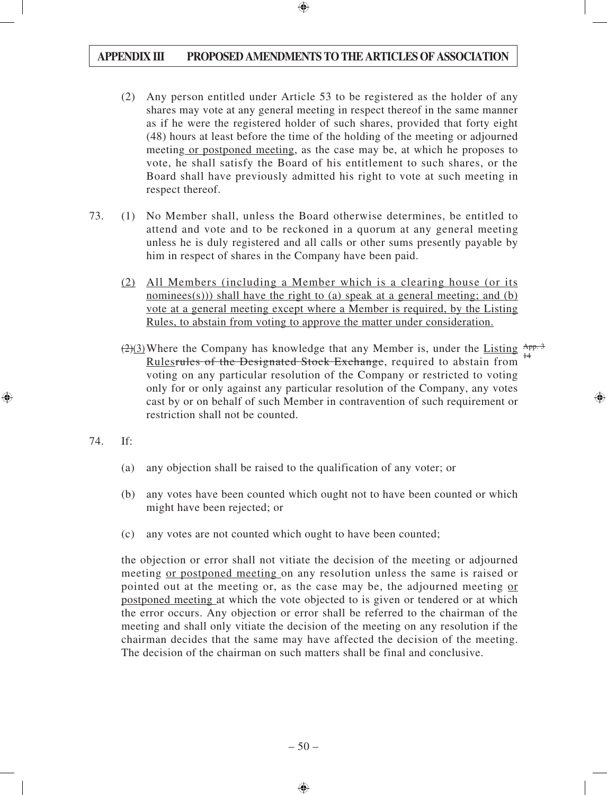- (2) Any person entitled under Article 53 to be registered as the holder of any shares may vote at any general meeting in respect thereof in the same manner as if he were the registered holder of such shares, provided that forty eight (48) hours at least before the time of the holding of the meeting or adjourned meeting or postponed meeting, as the case may be, at which he proposes to vote, he shall satisfy the Board of his entitlement to such shares, or the Board shall have previously admitted his right to vote at such meeting in respect thereof.
- 73. (1) No Member shall, unless the Board otherwise determines, be entitled to attend and vote and to be reckoned in a quorum at any general meeting unless he is duly registered and all calls or other sums presently payable by him in respect of shares in the Company have been paid.
	- (2) All Members (including a Member which is a clearing house (or its nominees(s))) shall have the right to (a) speak at a general meeting; and (b) vote at a general meeting except where a Member is required, by the Listing Rules, to abstain from voting to approve the matter under consideration.
	- $\left(\frac{2}{2}\right)$  Where the Company has knowledge that any Member is, under the Listing  $\frac{App.3}{11}$ Rulesrules of the Designated Stock Exchange, required to abstain from voting on any particular resolution of the Company or restricted to voting only for or only against any particular resolution of the Company, any votes cast by or on behalf of such Member in contravention of such requirement or restriction shall not be counted. 14
- 74. If:
	- (a) any objection shall be raised to the qualification of any voter; or
	- (b) any votes have been counted which ought not to have been counted or which might have been rejected; or
	- (c) any votes are not counted which ought to have been counted;

the objection or error shall not vitiate the decision of the meeting or adjourned meeting or postponed meeting on any resolution unless the same is raised or pointed out at the meeting or, as the case may be, the adjourned meeting or postponed meeting at which the vote objected to is given or tendered or at which the error occurs. Any objection or error shall be referred to the chairman of the meeting and shall only vitiate the decision of the meeting on any resolution if the chairman decides that the same may have affected the decision of the meeting. The decision of the chairman on such matters shall be final and conclusive.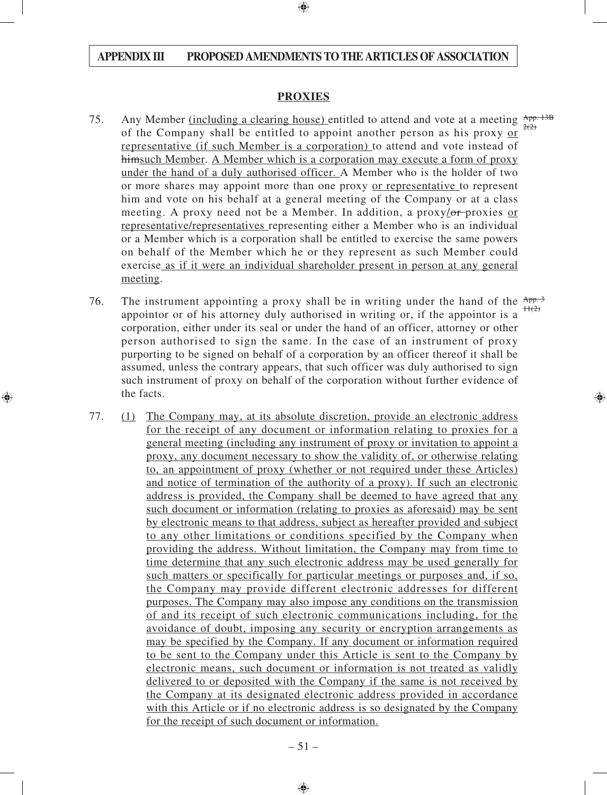#### **PROXIES**

- 75. Any Member <u>(including a clearing house)</u> entitled to attend and vote at a meeting  $\frac{App. 13B}{200}$ of the Company shall be entitled to appoint another person as his proxy or representative (if such Member is a corporation) to attend and vote instead of himsuch Member. A Member which is a corporation may execute a form of proxy under the hand of a duly authorised officer. A Member who is the holder of two or more shares may appoint more than one proxy or representative to represent him and vote on his behalf at a general meeting of the Company or at a class meeting. A proxy need not be a Member. In addition, a proxy/or-proxies or representative/representatives representing either a Member who is an individual or a Member which is a corporation shall be entitled to exercise the same powers on behalf of the Member which he or they represent as such Member could exercise as if it were an individual shareholder present in person at any general meeting.  $2(2)$
- 76. The instrument appointing a proxy shall be in writing under the hand of the  $\frac{App.3}{p}$ appointor or of his attorney duly authorised in writing or, if the appointor is a corporation, either under its seal or under the hand of an officer, attorney or other person authorised to sign the same. In the case of an instrument of proxy purporting to be signed on behalf of a corporation by an officer thereof it shall be assumed, unless the contrary appears, that such officer was duly authorised to sign such instrument of proxy on behalf of the corporation without further evidence of the facts.  $H(2)$
- 77. (1) The Company may, at its absolute discretion, provide an electronic address for the receipt of any document or information relating to proxies for a general meeting (including any instrument of proxy or invitation to appoint a proxy, any document necessary to show the validity of, or otherwise relating to, an appointment of proxy (whether or not required under these Articles) and notice of termination of the authority of a proxy). If such an electronic address is provided, the Company shall be deemed to have agreed that any such document or information (relating to proxies as aforesaid) may be sent by electronic means to that address, subject as hereafter provided and subject to any other limitations or conditions specified by the Company when providing the address. Without limitation, the Company may from time to time determine that any such electronic address may be used generally for such matters or specifically for particular meetings or purposes and, if so, the Company may provide different electronic addresses for different purposes. The Company may also impose any conditions on the transmission of and its receipt of such electronic communications including, for the avoidance of doubt, imposing any security or encryption arrangements as may be specified by the Company. If any document or information required to be sent to the Company under this Article is sent to the Company by electronic means, such document or information is not treated as validly delivered to or deposited with the Company if the same is not received by the Company at its designated electronic address provided in accordance with this Article or if no electronic address is so designated by the Company for the receipt of such document or information.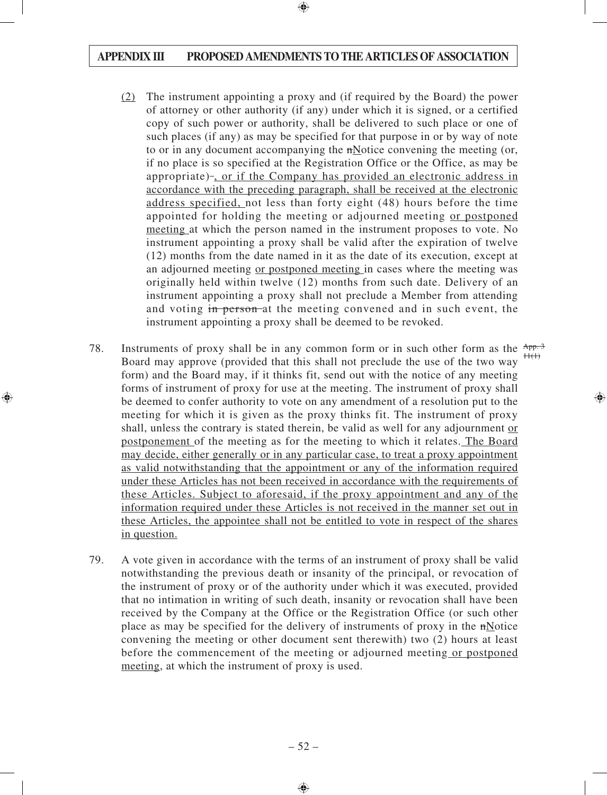- (2) The instrument appointing a proxy and (if required by the Board) the power of attorney or other authority (if any) under which it is signed, or a certified copy of such power or authority, shall be delivered to such place or one of such places (if any) as may be specified for that purpose in or by way of note to or in any document accompanying the  $n$ Notice convening the meeting (or, if no place is so specified at the Registration Office or the Office, as may be appropriate) , or if the Company has provided an electronic address in accordance with the preceding paragraph, shall be received at the electronic address specified, not less than forty eight (48) hours before the time appointed for holding the meeting or adjourned meeting or postponed meeting at which the person named in the instrument proposes to vote. No instrument appointing a proxy shall be valid after the expiration of twelve (12) months from the date named in it as the date of its execution, except at an adjourned meeting or postponed meeting in cases where the meeting was originally held within twelve (12) months from such date. Delivery of an instrument appointing a proxy shall not preclude a Member from attending and voting in person-at the meeting convened and in such event, the instrument appointing a proxy shall be deemed to be revoked.
- 78. Instruments of proxy shall be in any common form or in such other form as the  $\frac{App.3}{100}$ Board may approve (provided that this shall not preclude the use of the two way form) and the Board may, if it thinks fit, send out with the notice of any meeting forms of instrument of proxy for use at the meeting. The instrument of proxy shall be deemed to confer authority to vote on any amendment of a resolution put to the meeting for which it is given as the proxy thinks fit. The instrument of proxy shall, unless the contrary is stated therein, be valid as well for any adjournment or postponement of the meeting as for the meeting to which it relates. The Board may decide, either generally or in any particular case, to treat a proxy appointment as valid notwithstanding that the appointment or any of the information required under these Articles has not been received in accordance with the requirements of these Articles. Subject to aforesaid, if the proxy appointment and any of the information required under these Articles is not received in the manner set out in these Articles, the appointee shall not be entitled to vote in respect of the shares in question.  $H(H)$
- 79. A vote given in accordance with the terms of an instrument of proxy shall be valid notwithstanding the previous death or insanity of the principal, or revocation of the instrument of proxy or of the authority under which it was executed, provided that no intimation in writing of such death, insanity or revocation shall have been received by the Company at the Office or the Registration Office (or such other place as may be specified for the delivery of instruments of proxy in the nNotice convening the meeting or other document sent therewith) two (2) hours at least before the commencement of the meeting or adjourned meeting or postponed meeting, at which the instrument of proxy is used.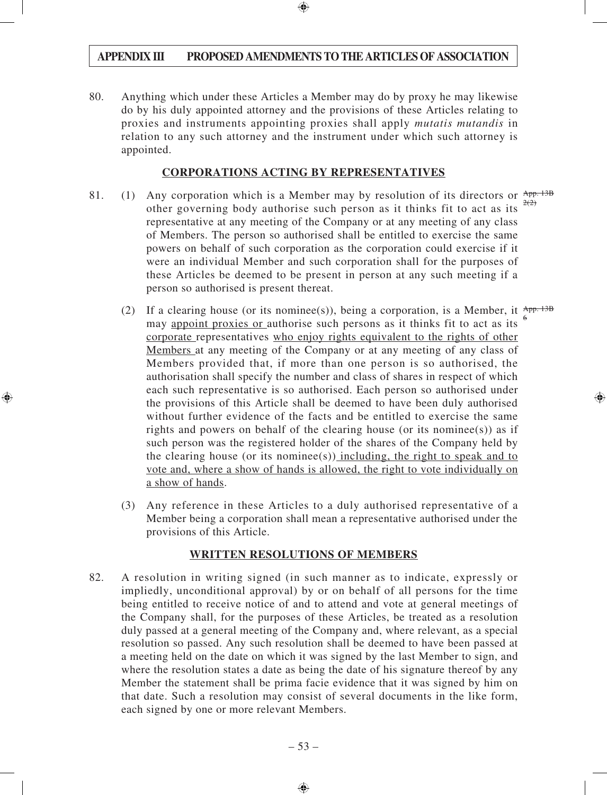80. Anything which under these Articles a Member may do by proxy he may likewise do by his duly appointed attorney and the provisions of these Articles relating to proxies and instruments appointing proxies shall apply *mutatis mutandis* in relation to any such attorney and the instrument under which such attorney is appointed.

#### **CORPORATIONS ACTING BY REPRESENTATIVES**

- 81. (1) Any corporation which is a Member may by resolution of its directors or  $\frac{\text{App. 13B}}{200}$ other governing body authorise such person as it thinks fit to act as its representative at any meeting of the Company or at any meeting of any class of Members. The person so authorised shall be entitled to exercise the same powers on behalf of such corporation as the corporation could exercise if it were an individual Member and such corporation shall for the purposes of these Articles be deemed to be present in person at any such meeting if a person so authorised is present thereat.  $2(2)$ 
	- (2) If a clearing house (or its nominee(s)), being a corporation, is a Member, it  $\frac{App.13B}{p}$ may appoint proxies or authorise such persons as it thinks fit to act as its corporate representatives who enjoy rights equivalent to the rights of other Members at any meeting of the Company or at any meeting of any class of Members provided that, if more than one person is so authorised, the authorisation shall specify the number and class of shares in respect of which each such representative is so authorised. Each person so authorised under the provisions of this Article shall be deemed to have been duly authorised without further evidence of the facts and be entitled to exercise the same rights and powers on behalf of the clearing house (or its nominee(s)) as if such person was the registered holder of the shares of the Company held by the clearing house (or its nominee(s)) including, the right to speak and to vote and, where a show of hands is allowed, the right to vote individually on a show of hands. 6
	- (3) Any reference in these Articles to a duly authorised representative of a Member being a corporation shall mean a representative authorised under the provisions of this Article.

#### **WRITTEN RESOLUTIONS OF MEMBERS**

82. A resolution in writing signed (in such manner as to indicate, expressly or impliedly, unconditional approval) by or on behalf of all persons for the time being entitled to receive notice of and to attend and vote at general meetings of the Company shall, for the purposes of these Articles, be treated as a resolution duly passed at a general meeting of the Company and, where relevant, as a special resolution so passed. Any such resolution shall be deemed to have been passed at a meeting held on the date on which it was signed by the last Member to sign, and where the resolution states a date as being the date of his signature thereof by any Member the statement shall be prima facie evidence that it was signed by him on that date. Such a resolution may consist of several documents in the like form, each signed by one or more relevant Members.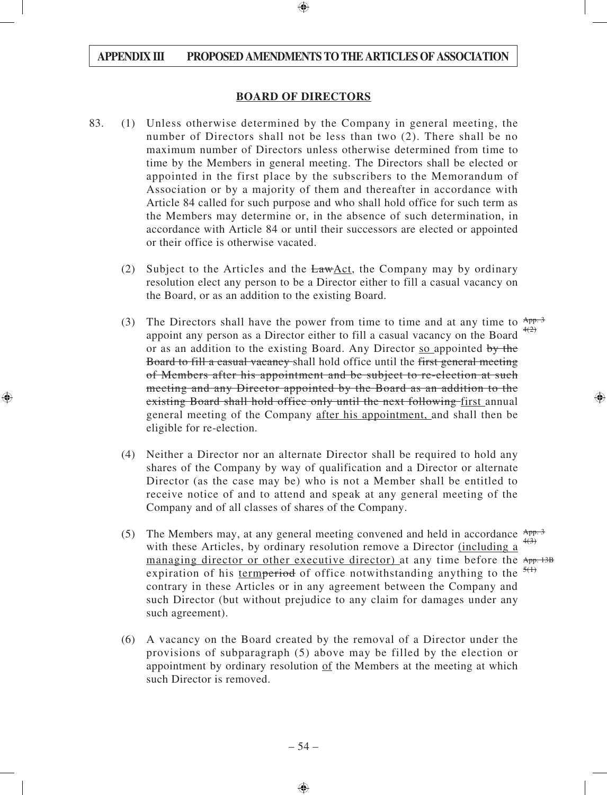#### **BOARD OF DIRECTORS**

- 83. (1) Unless otherwise determined by the Company in general meeting, the number of Directors shall not be less than two (2). There shall be no maximum number of Directors unless otherwise determined from time to time by the Members in general meeting. The Directors shall be elected or appointed in the first place by the subscribers to the Memorandum of Association or by a majority of them and thereafter in accordance with Article 84 called for such purpose and who shall hold office for such term as the Members may determine or, in the absence of such determination, in accordance with Article 84 or until their successors are elected or appointed or their office is otherwise vacated.
	- (2) Subject to the Articles and the LawAct, the Company may by ordinary resolution elect any person to be a Director either to fill a casual vacancy on the Board, or as an addition to the existing Board.
	- (3) The Directors shall have the power from time to time and at any time to  $\frac{App.3}{app.3}$ appoint any person as a Director either to fill a casual vacancy on the Board  $\frac{4(2)}{2}$ or as an addition to the existing Board. Any Director so appointed by the Board to fill a casual vacancy shall hold office until the first general meeting of Members after his appointment and be subject to re-election at such meeting and any Director appointed by the Board as an addition to the existing Board shall hold office only until the next following first annual general meeting of the Company after his appointment, and shall then be eligible for re-election.
	- (4) Neither a Director nor an alternate Director shall be required to hold any shares of the Company by way of qualification and a Director or alternate Director (as the case may be) who is not a Member shall be entitled to receive notice of and to attend and speak at any general meeting of the Company and of all classes of shares of the Company.
	- (5) The Members may, at any general meeting convened and held in accordance  $\frac{App.3}{app.3}$ with these Articles, by ordinary resolution remove a Director (including a managing director or other executive director) at any time before the App. 13B expiration of his termperiod of office notwithstanding anything to the  $\frac{5(1)}{2}$ contrary in these Articles or in any agreement between the Company and such Director (but without prejudice to any claim for damages under any such agreement).  $4(3)$
	- (6) A vacancy on the Board created by the removal of a Director under the provisions of subparagraph (5) above may be filled by the election or appointment by ordinary resolution of the Members at the meeting at which such Director is removed.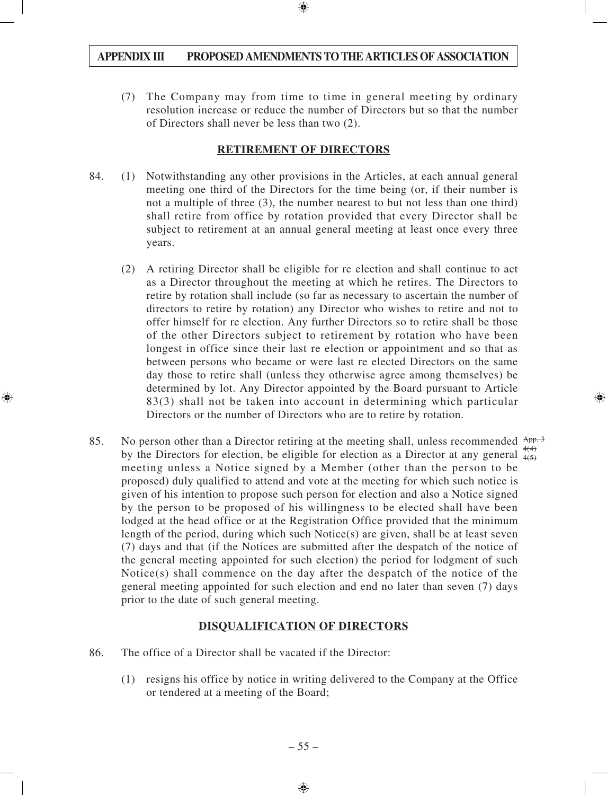(7) The Company may from time to time in general meeting by ordinary resolution increase or reduce the number of Directors but so that the number of Directors shall never be less than two (2).

#### **RETIREMENT OF DIRECTORS**

- 84. (1) Notwithstanding any other provisions in the Articles, at each annual general meeting one third of the Directors for the time being (or, if their number is not a multiple of three (3), the number nearest to but not less than one third) shall retire from office by rotation provided that every Director shall be subject to retirement at an annual general meeting at least once every three years.
	- (2) A retiring Director shall be eligible for re election and shall continue to act as a Director throughout the meeting at which he retires. The Directors to retire by rotation shall include (so far as necessary to ascertain the number of directors to retire by rotation) any Director who wishes to retire and not to offer himself for re election. Any further Directors so to retire shall be those of the other Directors subject to retirement by rotation who have been longest in office since their last re election or appointment and so that as between persons who became or were last re elected Directors on the same day those to retire shall (unless they otherwise agree among themselves) be determined by lot. Any Director appointed by the Board pursuant to Article 83(3) shall not be taken into account in determining which particular Directors or the number of Directors who are to retire by rotation.
- 85. No person other than a Director retiring at the meeting shall, unless recommended  $\frac{App.3}{app.3}$ by the Directors for election, be eligible for election as a Director at any general  $\frac{4(4)}{4(5)}$ meeting unless a Notice signed by a Member (other than the person to be proposed) duly qualified to attend and vote at the meeting for which such notice is given of his intention to propose such person for election and also a Notice signed by the person to be proposed of his willingness to be elected shall have been lodged at the head office or at the Registration Office provided that the minimum length of the period, during which such Notice(s) are given, shall be at least seven (7) days and that (if the Notices are submitted after the despatch of the notice of the general meeting appointed for such election) the period for lodgment of such Notice(s) shall commence on the day after the despatch of the notice of the general meeting appointed for such election and end no later than seven (7) days prior to the date of such general meeting.  $4(5)$

# **DISQUALIFICATION OF DIRECTORS**

- 86. The office of a Director shall be vacated if the Director:
	- (1) resigns his office by notice in writing delivered to the Company at the Office or tendered at a meeting of the Board;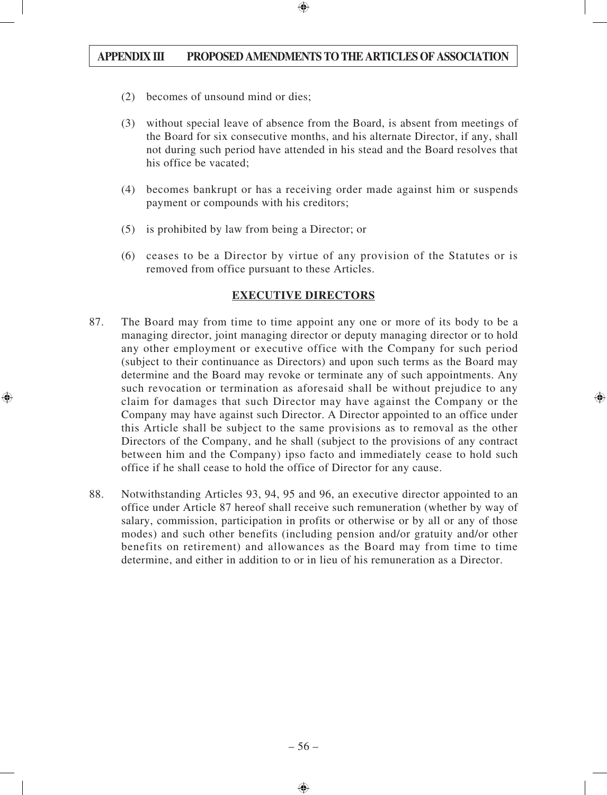- (2) becomes of unsound mind or dies;
- (3) without special leave of absence from the Board, is absent from meetings of the Board for six consecutive months, and his alternate Director, if any, shall not during such period have attended in his stead and the Board resolves that his office be vacated;
- (4) becomes bankrupt or has a receiving order made against him or suspends payment or compounds with his creditors;
- (5) is prohibited by law from being a Director; or
- (6) ceases to be a Director by virtue of any provision of the Statutes or is removed from office pursuant to these Articles.

## **EXECUTIVE DIRECTORS**

- 87. The Board may from time to time appoint any one or more of its body to be a managing director, joint managing director or deputy managing director or to hold any other employment or executive office with the Company for such period (subject to their continuance as Directors) and upon such terms as the Board may determine and the Board may revoke or terminate any of such appointments. Any such revocation or termination as aforesaid shall be without prejudice to any claim for damages that such Director may have against the Company or the Company may have against such Director. A Director appointed to an office under this Article shall be subject to the same provisions as to removal as the other Directors of the Company, and he shall (subject to the provisions of any contract between him and the Company) ipso facto and immediately cease to hold such office if he shall cease to hold the office of Director for any cause.
- 88. Notwithstanding Articles 93, 94, 95 and 96, an executive director appointed to an office under Article 87 hereof shall receive such remuneration (whether by way of salary, commission, participation in profits or otherwise or by all or any of those modes) and such other benefits (including pension and/or gratuity and/or other benefits on retirement) and allowances as the Board may from time to time determine, and either in addition to or in lieu of his remuneration as a Director.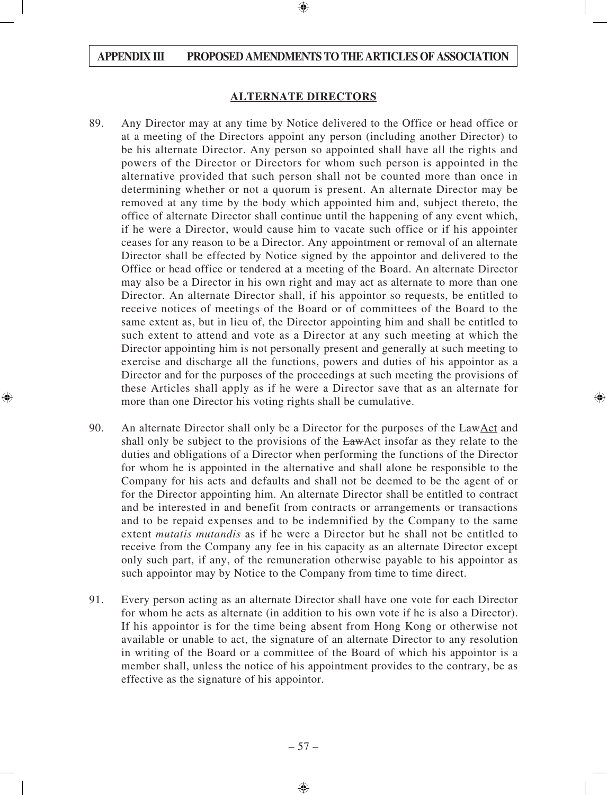#### **ALTERNATE DIRECTORS**

- 89. Any Director may at any time by Notice delivered to the Office or head office or at a meeting of the Directors appoint any person (including another Director) to be his alternate Director. Any person so appointed shall have all the rights and powers of the Director or Directors for whom such person is appointed in the alternative provided that such person shall not be counted more than once in determining whether or not a quorum is present. An alternate Director may be removed at any time by the body which appointed him and, subject thereto, the office of alternate Director shall continue until the happening of any event which, if he were a Director, would cause him to vacate such office or if his appointer ceases for any reason to be a Director. Any appointment or removal of an alternate Director shall be effected by Notice signed by the appointor and delivered to the Office or head office or tendered at a meeting of the Board. An alternate Director may also be a Director in his own right and may act as alternate to more than one Director. An alternate Director shall, if his appointor so requests, be entitled to receive notices of meetings of the Board or of committees of the Board to the same extent as, but in lieu of, the Director appointing him and shall be entitled to such extent to attend and vote as a Director at any such meeting at which the Director appointing him is not personally present and generally at such meeting to exercise and discharge all the functions, powers and duties of his appointor as a Director and for the purposes of the proceedings at such meeting the provisions of these Articles shall apply as if he were a Director save that as an alternate for more than one Director his voting rights shall be cumulative.
- 90. An alternate Director shall only be a Director for the purposes of the LawAct and shall only be subject to the provisions of the  $LawAct$  insofar as they relate to the duties and obligations of a Director when performing the functions of the Director for whom he is appointed in the alternative and shall alone be responsible to the Company for his acts and defaults and shall not be deemed to be the agent of or for the Director appointing him. An alternate Director shall be entitled to contract and be interested in and benefit from contracts or arrangements or transactions and to be repaid expenses and to be indemnified by the Company to the same extent *mutatis mutandis* as if he were a Director but he shall not be entitled to receive from the Company any fee in his capacity as an alternate Director except only such part, if any, of the remuneration otherwise payable to his appointor as such appointor may by Notice to the Company from time to time direct.
- 91. Every person acting as an alternate Director shall have one vote for each Director for whom he acts as alternate (in addition to his own vote if he is also a Director). If his appointor is for the time being absent from Hong Kong or otherwise not available or unable to act, the signature of an alternate Director to any resolution in writing of the Board or a committee of the Board of which his appointor is a member shall, unless the notice of his appointment provides to the contrary, be as effective as the signature of his appointor.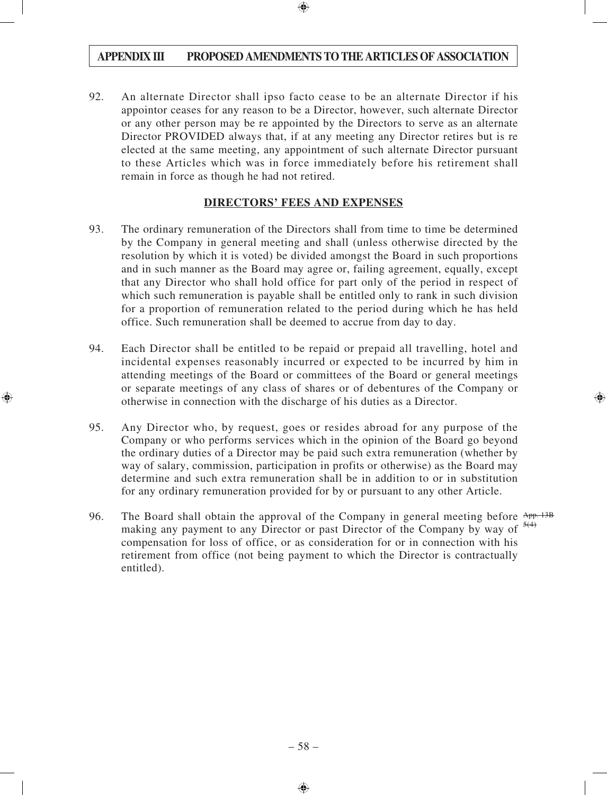92. An alternate Director shall ipso facto cease to be an alternate Director if his appointor ceases for any reason to be a Director, however, such alternate Director or any other person may be re appointed by the Directors to serve as an alternate Director PROVIDED always that, if at any meeting any Director retires but is re elected at the same meeting, any appointment of such alternate Director pursuant to these Articles which was in force immediately before his retirement shall remain in force as though he had not retired.

## **DIRECTORS' FEES AND EXPENSES**

- 93. The ordinary remuneration of the Directors shall from time to time be determined by the Company in general meeting and shall (unless otherwise directed by the resolution by which it is voted) be divided amongst the Board in such proportions and in such manner as the Board may agree or, failing agreement, equally, except that any Director who shall hold office for part only of the period in respect of which such remuneration is payable shall be entitled only to rank in such division for a proportion of remuneration related to the period during which he has held office. Such remuneration shall be deemed to accrue from day to day.
- 94. Each Director shall be entitled to be repaid or prepaid all travelling, hotel and incidental expenses reasonably incurred or expected to be incurred by him in attending meetings of the Board or committees of the Board or general meetings or separate meetings of any class of shares or of debentures of the Company or otherwise in connection with the discharge of his duties as a Director.
- 95. Any Director who, by request, goes or resides abroad for any purpose of the Company or who performs services which in the opinion of the Board go beyond the ordinary duties of a Director may be paid such extra remuneration (whether by way of salary, commission, participation in profits or otherwise) as the Board may determine and such extra remuneration shall be in addition to or in substitution for any ordinary remuneration provided for by or pursuant to any other Article.
- 96. The Board shall obtain the approval of the Company in general meeting before App. 13B making any payment to any Director or past Director of the Company by way of  $\frac{5(4)}{2}$ compensation for loss of office, or as consideration for or in connection with his retirement from office (not being payment to which the Director is contractually entitled).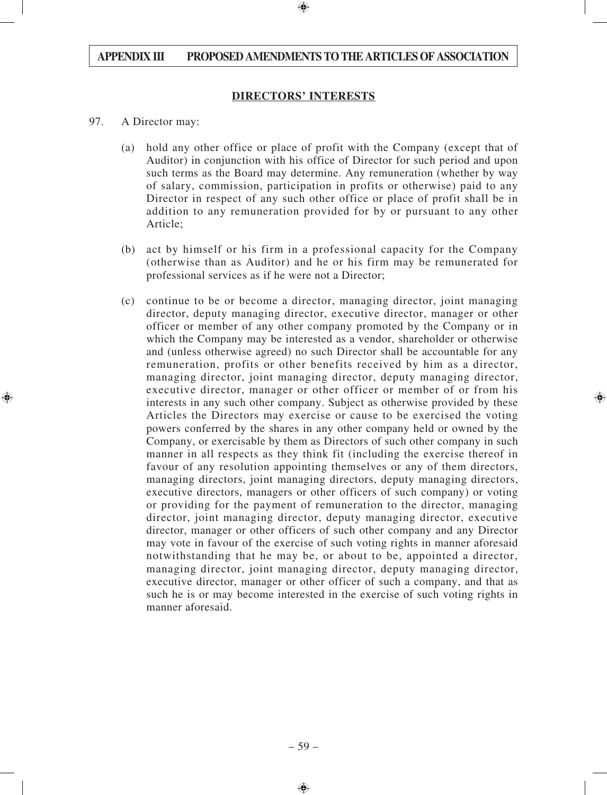#### **DIRECTORS' INTERESTS**

- 97. A Director may:
	- (a) hold any other office or place of profit with the Company (except that of Auditor) in conjunction with his office of Director for such period and upon such terms as the Board may determine. Any remuneration (whether by way of salary, commission, participation in profits or otherwise) paid to any Director in respect of any such other office or place of profit shall be in addition to any remuneration provided for by or pursuant to any other Article;
	- (b) act by himself or his firm in a professional capacity for the Company (otherwise than as Auditor) and he or his firm may be remunerated for professional services as if he were not a Director;
	- (c) continue to be or become a director, managing director, joint managing director, deputy managing director, executive director, manager or other officer or member of any other company promoted by the Company or in which the Company may be interested as a vendor, shareholder or otherwise and (unless otherwise agreed) no such Director shall be accountable for any remuneration, profits or other benefits received by him as a director, managing director, joint managing director, deputy managing director, executive director, manager or other officer or member of or from his interests in any such other company. Subject as otherwise provided by these Articles the Directors may exercise or cause to be exercised the voting powers conferred by the shares in any other company held or owned by the Company, or exercisable by them as Directors of such other company in such manner in all respects as they think fit (including the exercise thereof in favour of any resolution appointing themselves or any of them directors, managing directors, joint managing directors, deputy managing directors, executive directors, managers or other officers of such company) or voting or providing for the payment of remuneration to the director, managing director, joint managing director, deputy managing director, executive director, manager or other officers of such other company and any Director may vote in favour of the exercise of such voting rights in manner aforesaid notwithstanding that he may be, or about to be, appointed a director, managing director, joint managing director, deputy managing director, executive director, manager or other officer of such a company, and that as such he is or may become interested in the exercise of such voting rights in manner aforesaid.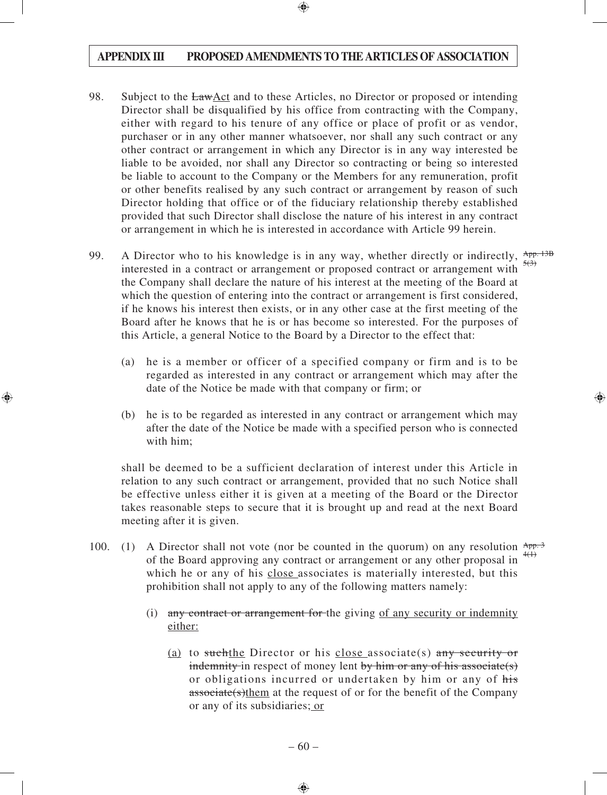- 98. Subject to the LawAct and to these Articles, no Director or proposed or intending Director shall be disqualified by his office from contracting with the Company, either with regard to his tenure of any office or place of profit or as vendor, purchaser or in any other manner whatsoever, nor shall any such contract or any other contract or arrangement in which any Director is in any way interested be liable to be avoided, nor shall any Director so contracting or being so interested be liable to account to the Company or the Members for any remuneration, profit or other benefits realised by any such contract or arrangement by reason of such Director holding that office or of the fiduciary relationship thereby established provided that such Director shall disclose the nature of his interest in any contract or arrangement in which he is interested in accordance with Article 99 herein.
- 99. A Director who to his knowledge is in any way, whether directly or indirectly,  $\frac{App. 13B}{200}$ interested in a contract or arrangement or proposed contract or arrangement with the Company shall declare the nature of his interest at the meeting of the Board at which the question of entering into the contract or arrangement is first considered, if he knows his interest then exists, or in any other case at the first meeting of the Board after he knows that he is or has become so interested. For the purposes of this Article, a general Notice to the Board by a Director to the effect that:  $5(3)$ 
	- (a) he is a member or officer of a specified company or firm and is to be regarded as interested in any contract or arrangement which may after the date of the Notice be made with that company or firm; or
	- (b) he is to be regarded as interested in any contract or arrangement which may after the date of the Notice be made with a specified person who is connected with him;

shall be deemed to be a sufficient declaration of interest under this Article in relation to any such contract or arrangement, provided that no such Notice shall be effective unless either it is given at a meeting of the Board or the Director takes reasonable steps to secure that it is brought up and read at the next Board meeting after it is given.

- 100. (1) A Director shall not vote (nor be counted in the quorum) on any resolution  $\frac{App.3}{app.3}$ of the Board approving any contract or arrangement or any other proposal in  $\frac{4(1)}{1}$ which he or any of his close associates is materially interested, but this prohibition shall not apply to any of the following matters namely:
	- (i) any contract or arrangement for the giving of any security or indemnity either:
		- (a) to suchthe Director or his close associate(s) any security or indemnity in respect of money lent by him or any of his associate(s) or obligations incurred or undertaken by him or any of his associate(s)them at the request of or for the benefit of the Company or any of its subsidiaries; or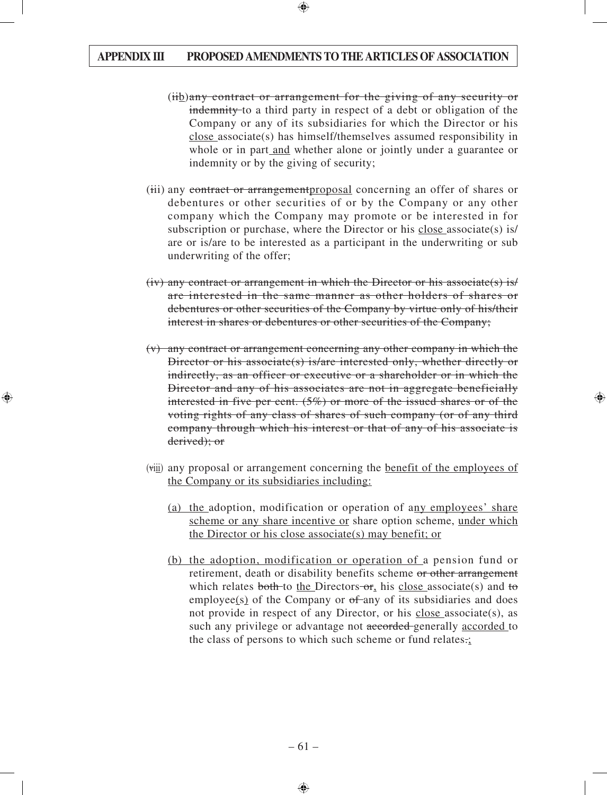- $(iib)$ any contract or arrangement for the giving of any security or indemnity to a third party in respect of a debt or obligation of the Company or any of its subsidiaries for which the Director or his close associate(s) has himself/themselves assumed responsibility in whole or in part and whether alone or jointly under a guarantee or indemnity or by the giving of security;
- (iii) any contract or arrangementproposal concerning an offer of shares or debentures or other securities of or by the Company or any other company which the Company may promote or be interested in for subscription or purchase, where the Director or his close associate(s) is/ are or is/are to be interested as a participant in the underwriting or sub underwriting of the offer;
- $(iv)$  any contract or arrangement in which the Director or his associate(s) is/ are interested in the same manner as other holders of shares or debentures or other securities of the Company by virtue only of his/their interest in shares or debentures or other securities of the Company;
- (v) any contract or arrangement concerning any other company in which the Director or his associate(s) is/are interested only, whether directly or indirectly, as an officer or executive or a shareholder or in which the Director and any of his associates are not in aggregate beneficially interested in five per cent. (5%) or more of the issued shares or of the voting rights of any class of shares of such company (or of any third company through which his interest or that of any of his associate is derived); or
- (viii) any proposal or arrangement concerning the benefit of the employees of the Company or its subsidiaries including:
	- (a) the adoption, modification or operation of any employees' share scheme or any share incentive or share option scheme, under which the Director or his close associate(s) may benefit; or
	- (b) the adoption, modification or operation of a pension fund or retirement, death or disability benefits scheme or other arrangement which relates both to the Directors or, his close associate(s) and to employee(s) of the Company or  $of$ -any of its subsidiaries and does not provide in respect of any Director, or his close associate(s), as such any privilege or advantage not accorded generally accorded to the class of persons to which such scheme or fund relates.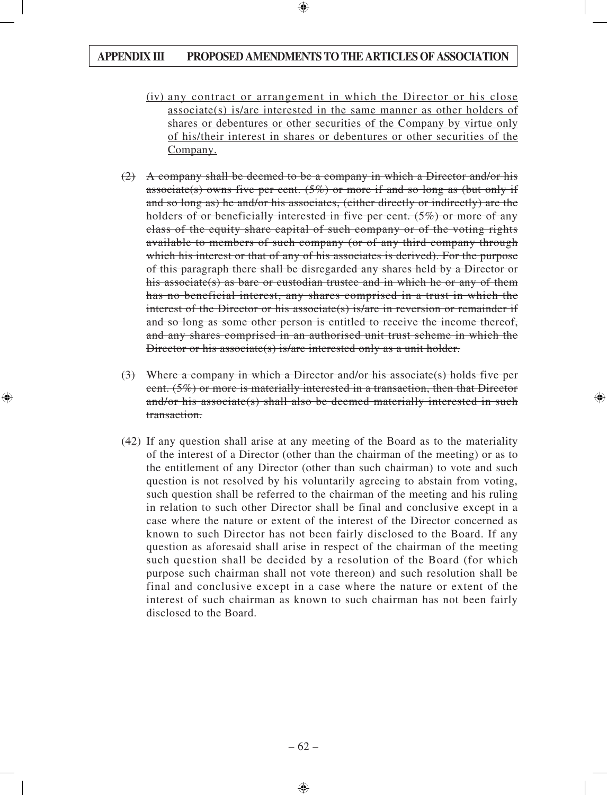- (iv) any contract or arrangement in which the Director or his close associate(s) is/are interested in the same manner as other holders of shares or debentures or other securities of the Company by virtue only of his/their interest in shares or debentures or other securities of the Company.
- (2) A company shall be deemed to be a company in which a Director and/or his associate(s) owns five per cent.  $(5\%)$  or more if and so long as (but only if and so long as) he and/or his associates, (either directly or indirectly) are the holders of or beneficially interested in five per cent.  $(5\%)$  or more of any class of the equity share capital of such company or of the voting rights available to members of such company (or of any third company through which his interest or that of any of his associates is derived). For the purpose of this paragraph there shall be disregarded any shares held by a Director or his associate(s) as bare or custodian trustee and in which he or any of them has no beneficial interest, any shares comprised in a trust in which the interest of the Director or his associate(s) is/are in reversion or remainder if and so long as some other person is entitled to receive the income thereof, and any shares comprised in an authorised unit trust scheme in which the Director or his associate(s) is/are interested only as a unit holder.
- (3) Where a company in which a Director and/or his associate(s) holds five per cent. (5%) or more is materially interested in a transaction, then that Director and/or his associate(s) shall also be deemed materially interested in such transaction.
- (42) If any question shall arise at any meeting of the Board as to the materiality of the interest of a Director (other than the chairman of the meeting) or as to the entitlement of any Director (other than such chairman) to vote and such question is not resolved by his voluntarily agreeing to abstain from voting, such question shall be referred to the chairman of the meeting and his ruling in relation to such other Director shall be final and conclusive except in a case where the nature or extent of the interest of the Director concerned as known to such Director has not been fairly disclosed to the Board. If any question as aforesaid shall arise in respect of the chairman of the meeting such question shall be decided by a resolution of the Board (for which purpose such chairman shall not vote thereon) and such resolution shall be final and conclusive except in a case where the nature or extent of the interest of such chairman as known to such chairman has not been fairly disclosed to the Board.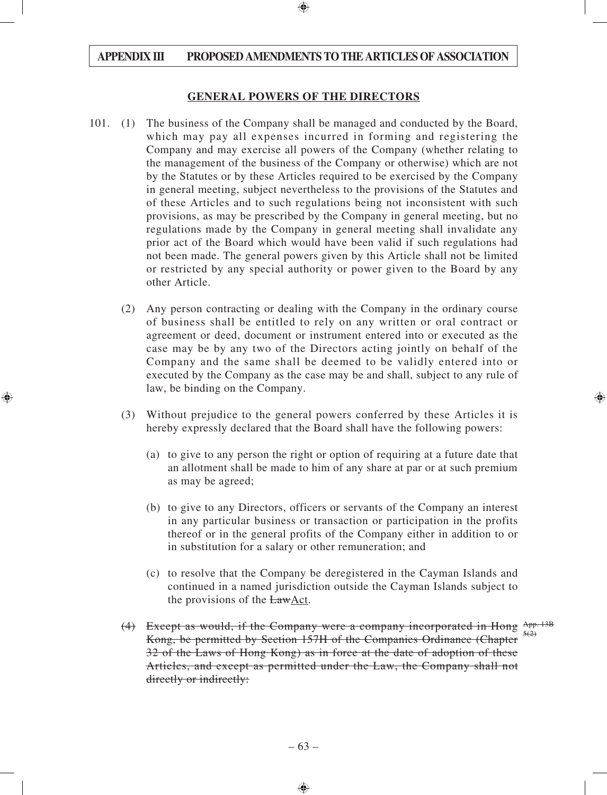#### **GENERAL POWERS OF THE DIRECTORS**

- 101. (1) The business of the Company shall be managed and conducted by the Board, which may pay all expenses incurred in forming and registering the Company and may exercise all powers of the Company (whether relating to the management of the business of the Company or otherwise) which are not by the Statutes or by these Articles required to be exercised by the Company in general meeting, subject nevertheless to the provisions of the Statutes and of these Articles and to such regulations being not inconsistent with such provisions, as may be prescribed by the Company in general meeting, but no regulations made by the Company in general meeting shall invalidate any prior act of the Board which would have been valid if such regulations had not been made. The general powers given by this Article shall not be limited or restricted by any special authority or power given to the Board by any other Article.
	- (2) Any person contracting or dealing with the Company in the ordinary course of business shall be entitled to rely on any written or oral contract or agreement or deed, document or instrument entered into or executed as the case may be by any two of the Directors acting jointly on behalf of the Company and the same shall be deemed to be validly entered into or executed by the Company as the case may be and shall, subject to any rule of law, be binding on the Company.
	- (3) Without prejudice to the general powers conferred by these Articles it is hereby expressly declared that the Board shall have the following powers:
		- (a) to give to any person the right or option of requiring at a future date that an allotment shall be made to him of any share at par or at such premium as may be agreed;
		- (b) to give to any Directors, officers or servants of the Company an interest in any particular business or transaction or participation in the profits thereof or in the general profits of the Company either in addition to or in substitution for a salary or other remuneration; and
		- (c) to resolve that the Company be deregistered in the Cayman Islands and continued in a named jurisdiction outside the Cayman Islands subject to the provisions of the  $EawAct$ .
	- (4) Except as would, if the Company were a company incorporated in Hong  $A_{\text{PP}}$ . 13B Kong, be permitted by Section 157H of the Companies Ordinance (Chapter 32 of the Laws of Hong Kong) as in force at the date of adoption of these Articles, and except as permitted under the Law, the Company shall not directly or indirectly:  $5(2)$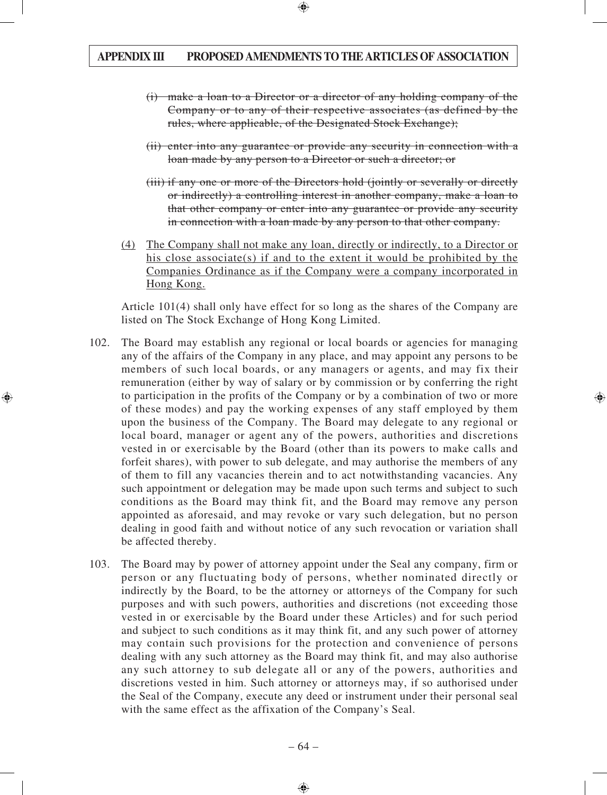- (i) make a loan to a Director or a director of any holding company of the Company or to any of their respective associates (as defined by the rules, where applicable, of the Designated Stock Exchange);
- (ii) enter into any guarantee or provide any security in connection with a loan made by any person to a Director or such a director; or
- (iii) if any one or more of the Directors hold (jointly or severally or directly or indirectly) a controlling interest in another company, make a loan to that other company or enter into any guarantee or provide any security in connection with a loan made by any person to that other company.
- (4) The Company shall not make any loan, directly or indirectly, to a Director or his close associate(s) if and to the extent it would be prohibited by the Companies Ordinance as if the Company were a company incorporated in Hong Kong.

Article 101(4) shall only have effect for so long as the shares of the Company are listed on The Stock Exchange of Hong Kong Limited.

- 102. The Board may establish any regional or local boards or agencies for managing any of the affairs of the Company in any place, and may appoint any persons to be members of such local boards, or any managers or agents, and may fix their remuneration (either by way of salary or by commission or by conferring the right to participation in the profits of the Company or by a combination of two or more of these modes) and pay the working expenses of any staff employed by them upon the business of the Company. The Board may delegate to any regional or local board, manager or agent any of the powers, authorities and discretions vested in or exercisable by the Board (other than its powers to make calls and forfeit shares), with power to sub delegate, and may authorise the members of any of them to fill any vacancies therein and to act notwithstanding vacancies. Any such appointment or delegation may be made upon such terms and subject to such conditions as the Board may think fit, and the Board may remove any person appointed as aforesaid, and may revoke or vary such delegation, but no person dealing in good faith and without notice of any such revocation or variation shall be affected thereby.
- 103. The Board may by power of attorney appoint under the Seal any company, firm or person or any fluctuating body of persons, whether nominated directly or indirectly by the Board, to be the attorney or attorneys of the Company for such purposes and with such powers, authorities and discretions (not exceeding those vested in or exercisable by the Board under these Articles) and for such period and subject to such conditions as it may think fit, and any such power of attorney may contain such provisions for the protection and convenience of persons dealing with any such attorney as the Board may think fit, and may also authorise any such attorney to sub delegate all or any of the powers, authorities and discretions vested in him. Such attorney or attorneys may, if so authorised under the Seal of the Company, execute any deed or instrument under their personal seal with the same effect as the affixation of the Company's Seal.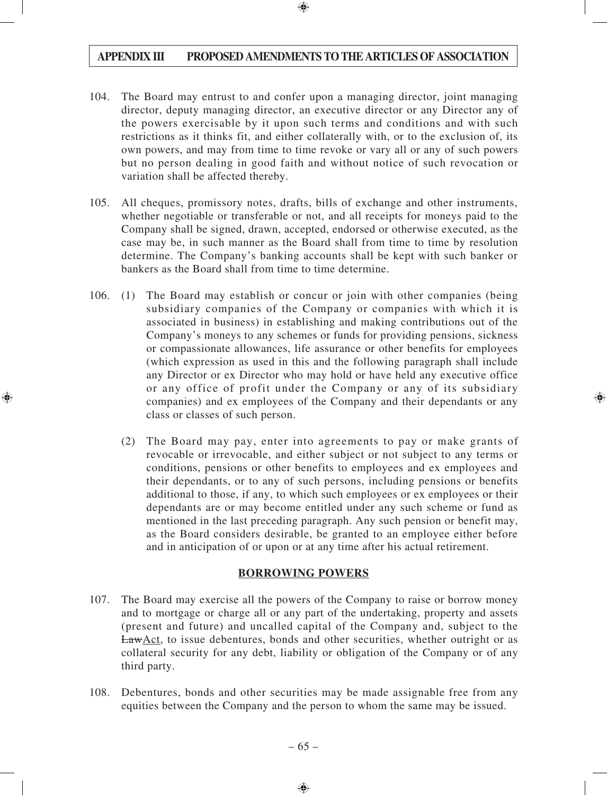- 104. The Board may entrust to and confer upon a managing director, joint managing director, deputy managing director, an executive director or any Director any of the powers exercisable by it upon such terms and conditions and with such restrictions as it thinks fit, and either collaterally with, or to the exclusion of, its own powers, and may from time to time revoke or vary all or any of such powers but no person dealing in good faith and without notice of such revocation or variation shall be affected thereby.
- 105. All cheques, promissory notes, drafts, bills of exchange and other instruments, whether negotiable or transferable or not, and all receipts for moneys paid to the Company shall be signed, drawn, accepted, endorsed or otherwise executed, as the case may be, in such manner as the Board shall from time to time by resolution determine. The Company's banking accounts shall be kept with such banker or bankers as the Board shall from time to time determine.
- 106. (1) The Board may establish or concur or join with other companies (being subsidiary companies of the Company or companies with which it is associated in business) in establishing and making contributions out of the Company's moneys to any schemes or funds for providing pensions, sickness or compassionate allowances, life assurance or other benefits for employees (which expression as used in this and the following paragraph shall include any Director or ex Director who may hold or have held any executive office or any office of profit under the Company or any of its subsidiary companies) and ex employees of the Company and their dependants or any class or classes of such person.
	- (2) The Board may pay, enter into agreements to pay or make grants of revocable or irrevocable, and either subject or not subject to any terms or conditions, pensions or other benefits to employees and ex employees and their dependants, or to any of such persons, including pensions or benefits additional to those, if any, to which such employees or ex employees or their dependants are or may become entitled under any such scheme or fund as mentioned in the last preceding paragraph. Any such pension or benefit may, as the Board considers desirable, be granted to an employee either before and in anticipation of or upon or at any time after his actual retirement.

#### **BORROWING POWERS**

- 107. The Board may exercise all the powers of the Company to raise or borrow money and to mortgage or charge all or any part of the undertaking, property and assets (present and future) and uncalled capital of the Company and, subject to the LawAct, to issue debentures, bonds and other securities, whether outright or as collateral security for any debt, liability or obligation of the Company or of any third party.
- 108. Debentures, bonds and other securities may be made assignable free from any equities between the Company and the person to whom the same may be issued.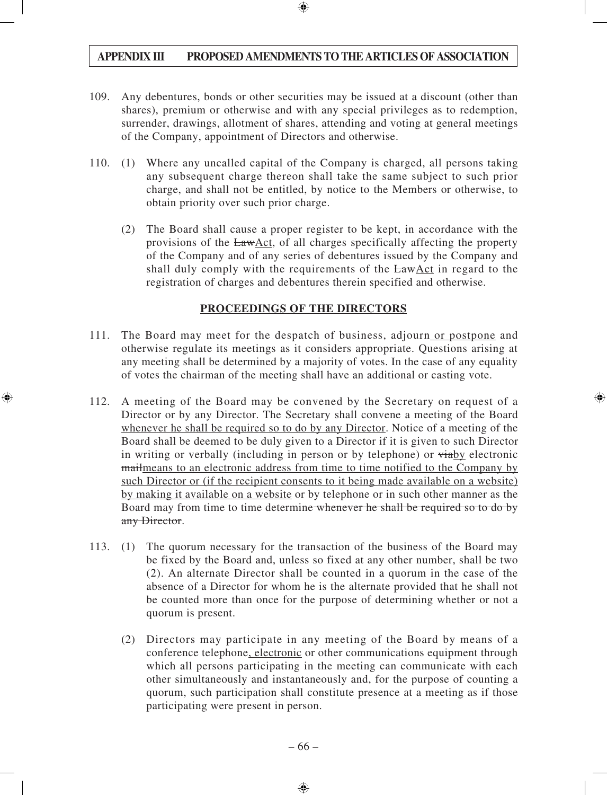- 109. Any debentures, bonds or other securities may be issued at a discount (other than shares), premium or otherwise and with any special privileges as to redemption, surrender, drawings, allotment of shares, attending and voting at general meetings of the Company, appointment of Directors and otherwise.
- 110. (1) Where any uncalled capital of the Company is charged, all persons taking any subsequent charge thereon shall take the same subject to such prior charge, and shall not be entitled, by notice to the Members or otherwise, to obtain priority over such prior charge.
	- (2) The Board shall cause a proper register to be kept, in accordance with the provisions of the LawAct, of all charges specifically affecting the property of the Company and of any series of debentures issued by the Company and shall duly comply with the requirements of the LawAct in regard to the registration of charges and debentures therein specified and otherwise.

## **PROCEEDINGS OF THE DIRECTORS**

- 111. The Board may meet for the despatch of business, adjourn or postpone and otherwise regulate its meetings as it considers appropriate. Questions arising at any meeting shall be determined by a majority of votes. In the case of any equality of votes the chairman of the meeting shall have an additional or casting vote.
- 112. A meeting of the Board may be convened by the Secretary on request of a Director or by any Director. The Secretary shall convene a meeting of the Board whenever he shall be required so to do by any Director. Notice of a meeting of the Board shall be deemed to be duly given to a Director if it is given to such Director in writing or verbally (including in person or by telephone) or viaby electronic mailmeans to an electronic address from time to time notified to the Company by such Director or (if the recipient consents to it being made available on a website) by making it available on a website or by telephone or in such other manner as the Board may from time to time determine whenever he shall be required so to do by any Director.
- 113. (1) The quorum necessary for the transaction of the business of the Board may be fixed by the Board and, unless so fixed at any other number, shall be two (2). An alternate Director shall be counted in a quorum in the case of the absence of a Director for whom he is the alternate provided that he shall not be counted more than once for the purpose of determining whether or not a quorum is present.
	- (2) Directors may participate in any meeting of the Board by means of a conference telephone, electronic or other communications equipment through which all persons participating in the meeting can communicate with each other simultaneously and instantaneously and, for the purpose of counting a quorum, such participation shall constitute presence at a meeting as if those participating were present in person.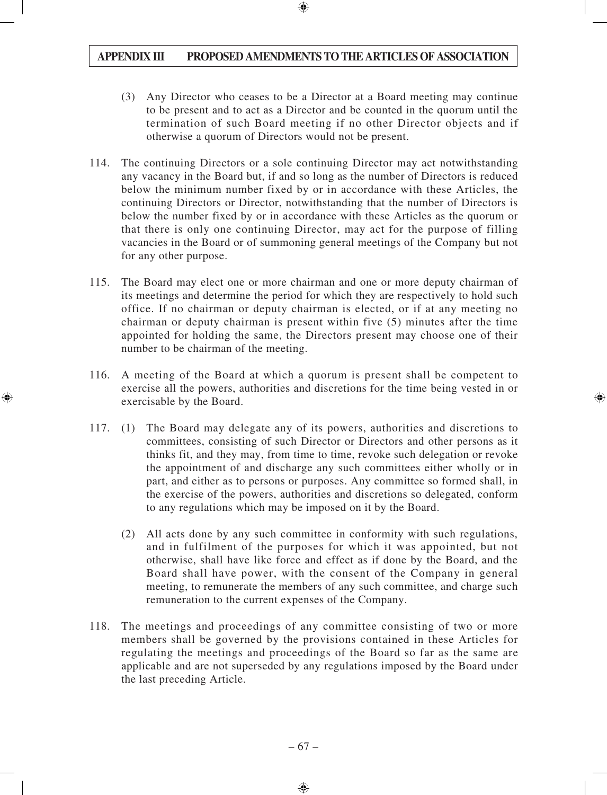- (3) Any Director who ceases to be a Director at a Board meeting may continue to be present and to act as a Director and be counted in the quorum until the termination of such Board meeting if no other Director objects and if otherwise a quorum of Directors would not be present.
- 114. The continuing Directors or a sole continuing Director may act notwithstanding any vacancy in the Board but, if and so long as the number of Directors is reduced below the minimum number fixed by or in accordance with these Articles, the continuing Directors or Director, notwithstanding that the number of Directors is below the number fixed by or in accordance with these Articles as the quorum or that there is only one continuing Director, may act for the purpose of filling vacancies in the Board or of summoning general meetings of the Company but not for any other purpose.
- 115. The Board may elect one or more chairman and one or more deputy chairman of its meetings and determine the period for which they are respectively to hold such office. If no chairman or deputy chairman is elected, or if at any meeting no chairman or deputy chairman is present within five (5) minutes after the time appointed for holding the same, the Directors present may choose one of their number to be chairman of the meeting.
- 116. A meeting of the Board at which a quorum is present shall be competent to exercise all the powers, authorities and discretions for the time being vested in or exercisable by the Board.
- 117. (1) The Board may delegate any of its powers, authorities and discretions to committees, consisting of such Director or Directors and other persons as it thinks fit, and they may, from time to time, revoke such delegation or revoke the appointment of and discharge any such committees either wholly or in part, and either as to persons or purposes. Any committee so formed shall, in the exercise of the powers, authorities and discretions so delegated, conform to any regulations which may be imposed on it by the Board.
	- (2) All acts done by any such committee in conformity with such regulations, and in fulfilment of the purposes for which it was appointed, but not otherwise, shall have like force and effect as if done by the Board, and the Board shall have power, with the consent of the Company in general meeting, to remunerate the members of any such committee, and charge such remuneration to the current expenses of the Company.
- 118. The meetings and proceedings of any committee consisting of two or more members shall be governed by the provisions contained in these Articles for regulating the meetings and proceedings of the Board so far as the same are applicable and are not superseded by any regulations imposed by the Board under the last preceding Article.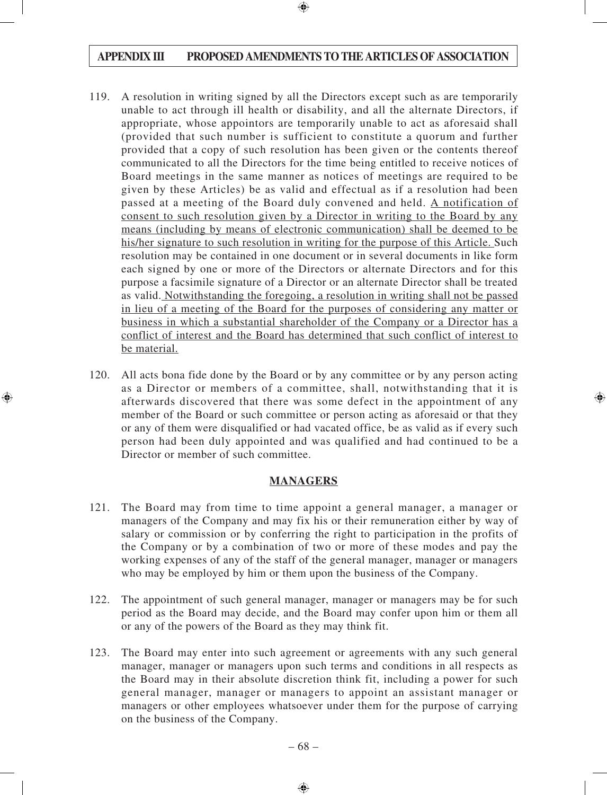- 119. A resolution in writing signed by all the Directors except such as are temporarily unable to act through ill health or disability, and all the alternate Directors, if appropriate, whose appointors are temporarily unable to act as aforesaid shall (provided that such number is sufficient to constitute a quorum and further provided that a copy of such resolution has been given or the contents thereof communicated to all the Directors for the time being entitled to receive notices of Board meetings in the same manner as notices of meetings are required to be given by these Articles) be as valid and effectual as if a resolution had been passed at a meeting of the Board duly convened and held. A notification of consent to such resolution given by a Director in writing to the Board by any means (including by means of electronic communication) shall be deemed to be his/her signature to such resolution in writing for the purpose of this Article. Such resolution may be contained in one document or in several documents in like form each signed by one or more of the Directors or alternate Directors and for this purpose a facsimile signature of a Director or an alternate Director shall be treated as valid. Notwithstanding the foregoing, a resolution in writing shall not be passed in lieu of a meeting of the Board for the purposes of considering any matter or business in which a substantial shareholder of the Company or a Director has a conflict of interest and the Board has determined that such conflict of interest to be material.
- 120. All acts bona fide done by the Board or by any committee or by any person acting as a Director or members of a committee, shall, notwithstanding that it is afterwards discovered that there was some defect in the appointment of any member of the Board or such committee or person acting as aforesaid or that they or any of them were disqualified or had vacated office, be as valid as if every such person had been duly appointed and was qualified and had continued to be a Director or member of such committee.

## **MANAGERS**

- 121. The Board may from time to time appoint a general manager, a manager or managers of the Company and may fix his or their remuneration either by way of salary or commission or by conferring the right to participation in the profits of the Company or by a combination of two or more of these modes and pay the working expenses of any of the staff of the general manager, manager or managers who may be employed by him or them upon the business of the Company.
- 122. The appointment of such general manager, manager or managers may be for such period as the Board may decide, and the Board may confer upon him or them all or any of the powers of the Board as they may think fit.
- 123. The Board may enter into such agreement or agreements with any such general manager, manager or managers upon such terms and conditions in all respects as the Board may in their absolute discretion think fit, including a power for such general manager, manager or managers to appoint an assistant manager or managers or other employees whatsoever under them for the purpose of carrying on the business of the Company.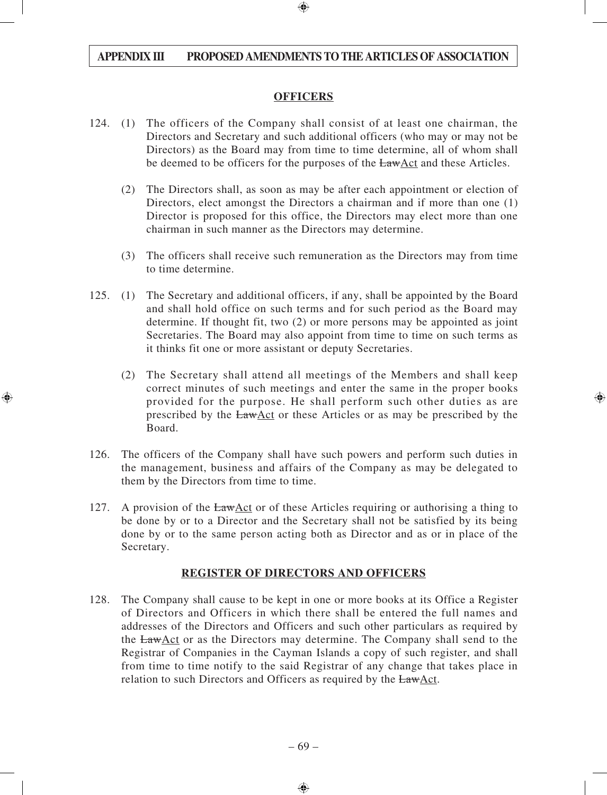#### **OFFICERS**

- 124. (1) The officers of the Company shall consist of at least one chairman, the Directors and Secretary and such additional officers (who may or may not be Directors) as the Board may from time to time determine, all of whom shall be deemed to be officers for the purposes of the  $LawAct$  and these Articles.
	- (2) The Directors shall, as soon as may be after each appointment or election of Directors, elect amongst the Directors a chairman and if more than one (1) Director is proposed for this office, the Directors may elect more than one chairman in such manner as the Directors may determine.
	- (3) The officers shall receive such remuneration as the Directors may from time to time determine.
- 125. (1) The Secretary and additional officers, if any, shall be appointed by the Board and shall hold office on such terms and for such period as the Board may determine. If thought fit, two (2) or more persons may be appointed as joint Secretaries. The Board may also appoint from time to time on such terms as it thinks fit one or more assistant or deputy Secretaries.
	- (2) The Secretary shall attend all meetings of the Members and shall keep correct minutes of such meetings and enter the same in the proper books provided for the purpose. He shall perform such other duties as are prescribed by the LawAct or these Articles or as may be prescribed by the Board.
- 126. The officers of the Company shall have such powers and perform such duties in the management, business and affairs of the Company as may be delegated to them by the Directors from time to time.
- 127. A provision of the LawAct or of these Articles requiring or authorising a thing to be done by or to a Director and the Secretary shall not be satisfied by its being done by or to the same person acting both as Director and as or in place of the Secretary.

## **REGISTER OF DIRECTORS AND OFFICERS**

128. The Company shall cause to be kept in one or more books at its Office a Register of Directors and Officers in which there shall be entered the full names and addresses of the Directors and Officers and such other particulars as required by the LawAct or as the Directors may determine. The Company shall send to the Registrar of Companies in the Cayman Islands a copy of such register, and shall from time to time notify to the said Registrar of any change that takes place in relation to such Directors and Officers as required by the LawAct.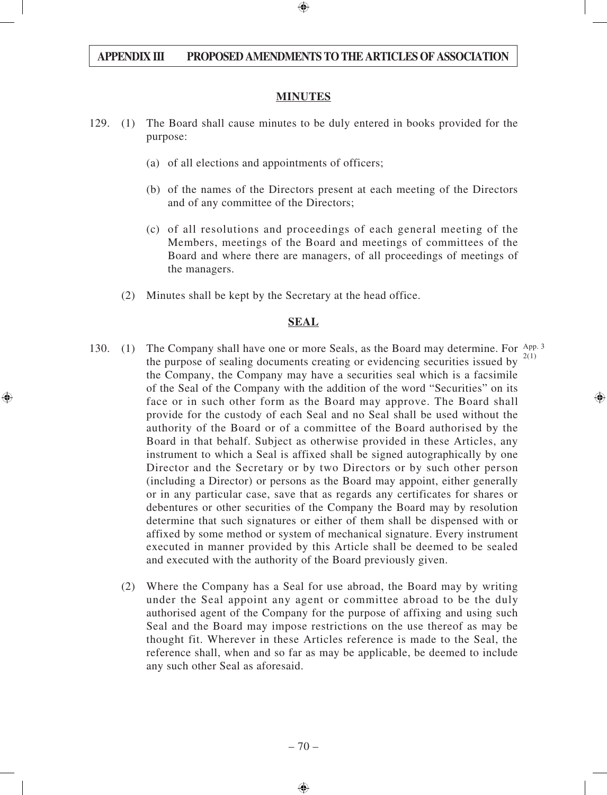#### **MINUTES**

- 129. (1) The Board shall cause minutes to be duly entered in books provided for the purpose:
	- (a) of all elections and appointments of officers;
	- (b) of the names of the Directors present at each meeting of the Directors and of any committee of the Directors;
	- (c) of all resolutions and proceedings of each general meeting of the Members, meetings of the Board and meetings of committees of the Board and where there are managers, of all proceedings of meetings of the managers.
	- (2) Minutes shall be kept by the Secretary at the head office.

#### **SEAL**

- 130. (1) The Company shall have one or more Seals, as the Board may determine. For App. 3 the purpose of sealing documents creating or evidencing securities issued by the Company, the Company may have a securities seal which is a facsimile of the Seal of the Company with the addition of the word "Securities" on its face or in such other form as the Board may approve. The Board shall provide for the custody of each Seal and no Seal shall be used without the authority of the Board or of a committee of the Board authorised by the Board in that behalf. Subject as otherwise provided in these Articles, any instrument to which a Seal is affixed shall be signed autographically by one Director and the Secretary or by two Directors or by such other person (including a Director) or persons as the Board may appoint, either generally or in any particular case, save that as regards any certificates for shares or debentures or other securities of the Company the Board may by resolution determine that such signatures or either of them shall be dispensed with or affixed by some method or system of mechanical signature. Every instrument executed in manner provided by this Article shall be deemed to be sealed and executed with the authority of the Board previously given. 2(1)
	- (2) Where the Company has a Seal for use abroad, the Board may by writing under the Seal appoint any agent or committee abroad to be the duly authorised agent of the Company for the purpose of affixing and using such Seal and the Board may impose restrictions on the use thereof as may be thought fit. Wherever in these Articles reference is made to the Seal, the reference shall, when and so far as may be applicable, be deemed to include any such other Seal as aforesaid.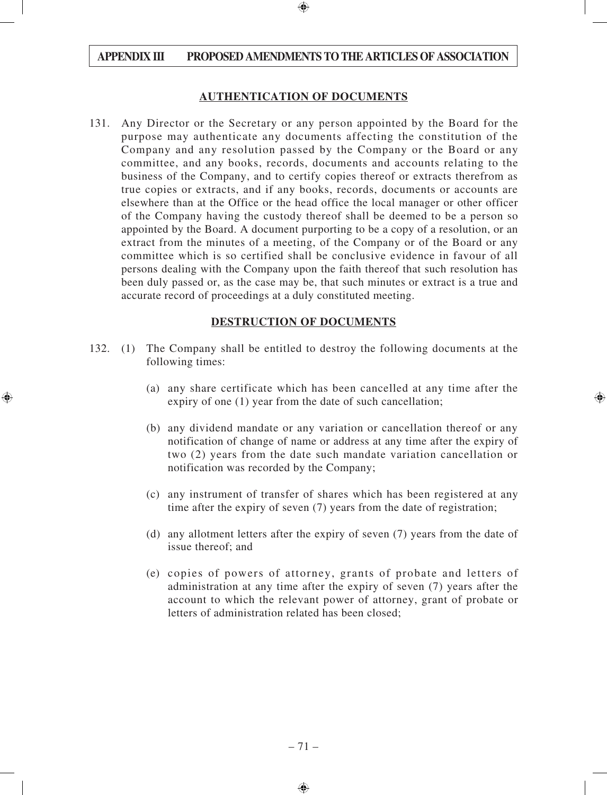#### **AUTHENTICATION OF DOCUMENTS**

131. Any Director or the Secretary or any person appointed by the Board for the purpose may authenticate any documents affecting the constitution of the Company and any resolution passed by the Company or the Board or any committee, and any books, records, documents and accounts relating to the business of the Company, and to certify copies thereof or extracts therefrom as true copies or extracts, and if any books, records, documents or accounts are elsewhere than at the Office or the head office the local manager or other officer of the Company having the custody thereof shall be deemed to be a person so appointed by the Board. A document purporting to be a copy of a resolution, or an extract from the minutes of a meeting, of the Company or of the Board or any committee which is so certified shall be conclusive evidence in favour of all persons dealing with the Company upon the faith thereof that such resolution has been duly passed or, as the case may be, that such minutes or extract is a true and accurate record of proceedings at a duly constituted meeting.

#### **DESTRUCTION OF DOCUMENTS**

- 132. (1) The Company shall be entitled to destroy the following documents at the following times:
	- (a) any share certificate which has been cancelled at any time after the expiry of one (1) year from the date of such cancellation;
	- (b) any dividend mandate or any variation or cancellation thereof or any notification of change of name or address at any time after the expiry of two (2) years from the date such mandate variation cancellation or notification was recorded by the Company;
	- (c) any instrument of transfer of shares which has been registered at any time after the expiry of seven (7) years from the date of registration;
	- (d) any allotment letters after the expiry of seven (7) years from the date of issue thereof; and
	- (e) copies of powers of attorney, grants of probate and letters of administration at any time after the expiry of seven (7) years after the account to which the relevant power of attorney, grant of probate or letters of administration related has been closed;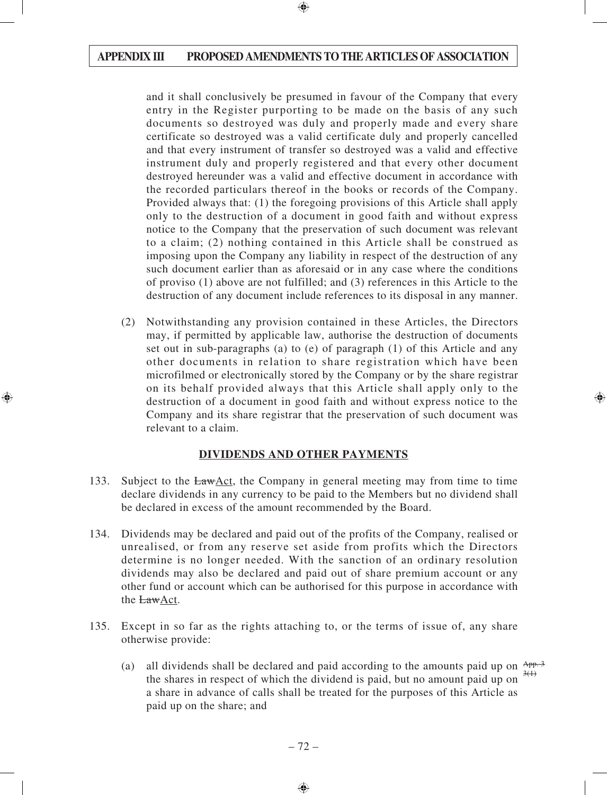and it shall conclusively be presumed in favour of the Company that every entry in the Register purporting to be made on the basis of any such documents so destroyed was duly and properly made and every share certificate so destroyed was a valid certificate duly and properly cancelled and that every instrument of transfer so destroyed was a valid and effective instrument duly and properly registered and that every other document destroyed hereunder was a valid and effective document in accordance with the recorded particulars thereof in the books or records of the Company. Provided always that: (1) the foregoing provisions of this Article shall apply only to the destruction of a document in good faith and without express notice to the Company that the preservation of such document was relevant to a claim; (2) nothing contained in this Article shall be construed as imposing upon the Company any liability in respect of the destruction of any such document earlier than as aforesaid or in any case where the conditions of proviso (1) above are not fulfilled; and (3) references in this Article to the destruction of any document include references to its disposal in any manner.

(2) Notwithstanding any provision contained in these Articles, the Directors may, if permitted by applicable law, authorise the destruction of documents set out in sub-paragraphs (a) to (e) of paragraph (1) of this Article and any other documents in relation to share registration which have been microfilmed or electronically stored by the Company or by the share registrar on its behalf provided always that this Article shall apply only to the destruction of a document in good faith and without express notice to the Company and its share registrar that the preservation of such document was relevant to a claim.

#### **DIVIDENDS AND OTHER PAYMENTS**

- 133. Subject to the LawAct, the Company in general meeting may from time to time declare dividends in any currency to be paid to the Members but no dividend shall be declared in excess of the amount recommended by the Board.
- 134. Dividends may be declared and paid out of the profits of the Company, realised or unrealised, or from any reserve set aside from profits which the Directors determine is no longer needed. With the sanction of an ordinary resolution dividends may also be declared and paid out of share premium account or any other fund or account which can be authorised for this purpose in accordance with the LawAct.
- 135. Except in so far as the rights attaching to, or the terms of issue of, any share otherwise provide:
	- (a) all dividends shall be declared and paid according to the amounts paid up on  $\frac{App.3}{app.3}$ the shares in respect of which the dividend is paid, but no amount paid up on a share in advance of calls shall be treated for the purposes of this Article as paid up on the share; and  $3(1)$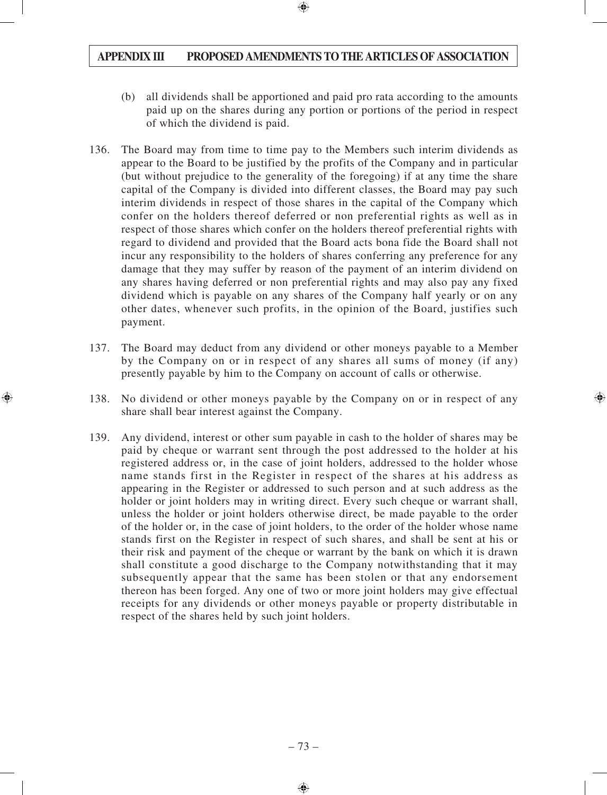- (b) all dividends shall be apportioned and paid pro rata according to the amounts paid up on the shares during any portion or portions of the period in respect of which the dividend is paid.
- 136. The Board may from time to time pay to the Members such interim dividends as appear to the Board to be justified by the profits of the Company and in particular (but without prejudice to the generality of the foregoing) if at any time the share capital of the Company is divided into different classes, the Board may pay such interim dividends in respect of those shares in the capital of the Company which confer on the holders thereof deferred or non preferential rights as well as in respect of those shares which confer on the holders thereof preferential rights with regard to dividend and provided that the Board acts bona fide the Board shall not incur any responsibility to the holders of shares conferring any preference for any damage that they may suffer by reason of the payment of an interim dividend on any shares having deferred or non preferential rights and may also pay any fixed dividend which is payable on any shares of the Company half yearly or on any other dates, whenever such profits, in the opinion of the Board, justifies such payment.
- 137. The Board may deduct from any dividend or other moneys payable to a Member by the Company on or in respect of any shares all sums of money (if any) presently payable by him to the Company on account of calls or otherwise.
- 138. No dividend or other moneys payable by the Company on or in respect of any share shall bear interest against the Company.
- 139. Any dividend, interest or other sum payable in cash to the holder of shares may be paid by cheque or warrant sent through the post addressed to the holder at his registered address or, in the case of joint holders, addressed to the holder whose name stands first in the Register in respect of the shares at his address as appearing in the Register or addressed to such person and at such address as the holder or joint holders may in writing direct. Every such cheque or warrant shall, unless the holder or joint holders otherwise direct, be made payable to the order of the holder or, in the case of joint holders, to the order of the holder whose name stands first on the Register in respect of such shares, and shall be sent at his or their risk and payment of the cheque or warrant by the bank on which it is drawn shall constitute a good discharge to the Company notwithstanding that it may subsequently appear that the same has been stolen or that any endorsement thereon has been forged. Any one of two or more joint holders may give effectual receipts for any dividends or other moneys payable or property distributable in respect of the shares held by such joint holders.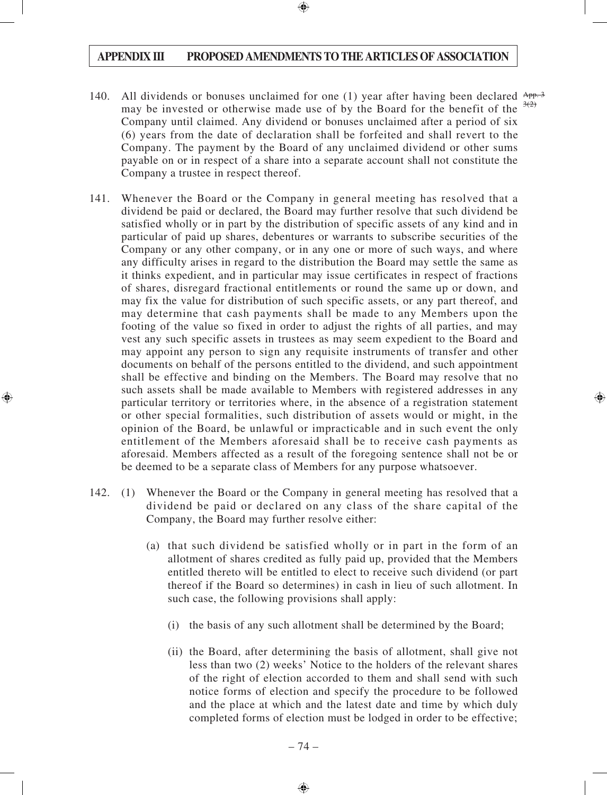- 140. All dividends or bonuses unclaimed for one (1) year after having been declared  $\frac{App.3}{app.3}$ may be invested or otherwise made use of by the Board for the benefit of the Company until claimed. Any dividend or bonuses unclaimed after a period of six (6) years from the date of declaration shall be forfeited and shall revert to the Company. The payment by the Board of any unclaimed dividend or other sums payable on or in respect of a share into a separate account shall not constitute the Company a trustee in respect thereof.  $3(2)$
- 141. Whenever the Board or the Company in general meeting has resolved that a dividend be paid or declared, the Board may further resolve that such dividend be satisfied wholly or in part by the distribution of specific assets of any kind and in particular of paid up shares, debentures or warrants to subscribe securities of the Company or any other company, or in any one or more of such ways, and where any difficulty arises in regard to the distribution the Board may settle the same as it thinks expedient, and in particular may issue certificates in respect of fractions of shares, disregard fractional entitlements or round the same up or down, and may fix the value for distribution of such specific assets, or any part thereof, and may determine that cash payments shall be made to any Members upon the footing of the value so fixed in order to adjust the rights of all parties, and may vest any such specific assets in trustees as may seem expedient to the Board and may appoint any person to sign any requisite instruments of transfer and other documents on behalf of the persons entitled to the dividend, and such appointment shall be effective and binding on the Members. The Board may resolve that no such assets shall be made available to Members with registered addresses in any particular territory or territories where, in the absence of a registration statement or other special formalities, such distribution of assets would or might, in the opinion of the Board, be unlawful or impracticable and in such event the only entitlement of the Members aforesaid shall be to receive cash payments as aforesaid. Members affected as a result of the foregoing sentence shall not be or be deemed to be a separate class of Members for any purpose whatsoever.
- 142. (1) Whenever the Board or the Company in general meeting has resolved that a dividend be paid or declared on any class of the share capital of the Company, the Board may further resolve either:
	- (a) that such dividend be satisfied wholly or in part in the form of an allotment of shares credited as fully paid up, provided that the Members entitled thereto will be entitled to elect to receive such dividend (or part thereof if the Board so determines) in cash in lieu of such allotment. In such case, the following provisions shall apply:
		- (i) the basis of any such allotment shall be determined by the Board;
		- (ii) the Board, after determining the basis of allotment, shall give not less than two (2) weeks' Notice to the holders of the relevant shares of the right of election accorded to them and shall send with such notice forms of election and specify the procedure to be followed and the place at which and the latest date and time by which duly completed forms of election must be lodged in order to be effective;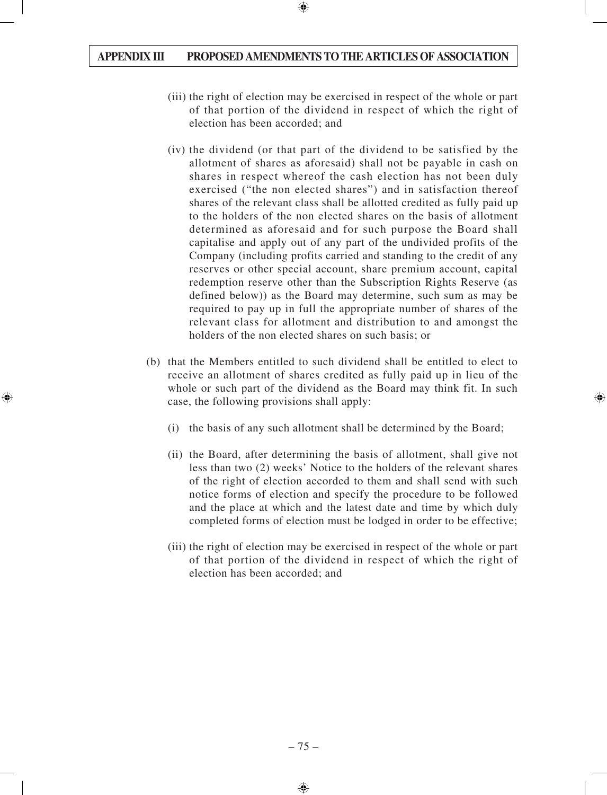- (iii) the right of election may be exercised in respect of the whole or part of that portion of the dividend in respect of which the right of election has been accorded; and
- (iv) the dividend (or that part of the dividend to be satisfied by the allotment of shares as aforesaid) shall not be payable in cash on shares in respect whereof the cash election has not been duly exercised ("the non elected shares") and in satisfaction thereof shares of the relevant class shall be allotted credited as fully paid up to the holders of the non elected shares on the basis of allotment determined as aforesaid and for such purpose the Board shall capitalise and apply out of any part of the undivided profits of the Company (including profits carried and standing to the credit of any reserves or other special account, share premium account, capital redemption reserve other than the Subscription Rights Reserve (as defined below)) as the Board may determine, such sum as may be required to pay up in full the appropriate number of shares of the relevant class for allotment and distribution to and amongst the holders of the non elected shares on such basis; or
- (b) that the Members entitled to such dividend shall be entitled to elect to receive an allotment of shares credited as fully paid up in lieu of the whole or such part of the dividend as the Board may think fit. In such case, the following provisions shall apply:
	- (i) the basis of any such allotment shall be determined by the Board;
	- (ii) the Board, after determining the basis of allotment, shall give not less than two (2) weeks' Notice to the holders of the relevant shares of the right of election accorded to them and shall send with such notice forms of election and specify the procedure to be followed and the place at which and the latest date and time by which duly completed forms of election must be lodged in order to be effective;
	- (iii) the right of election may be exercised in respect of the whole or part of that portion of the dividend in respect of which the right of election has been accorded; and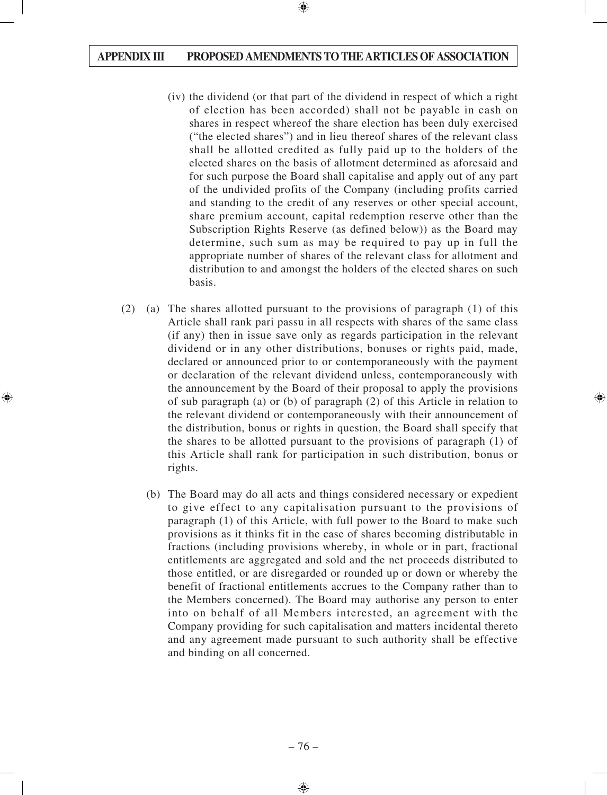- (iv) the dividend (or that part of the dividend in respect of which a right of election has been accorded) shall not be payable in cash on shares in respect whereof the share election has been duly exercised ("the elected shares") and in lieu thereof shares of the relevant class shall be allotted credited as fully paid up to the holders of the elected shares on the basis of allotment determined as aforesaid and for such purpose the Board shall capitalise and apply out of any part of the undivided profits of the Company (including profits carried and standing to the credit of any reserves or other special account, share premium account, capital redemption reserve other than the Subscription Rights Reserve (as defined below)) as the Board may determine, such sum as may be required to pay up in full the appropriate number of shares of the relevant class for allotment and distribution to and amongst the holders of the elected shares on such basis.
- (2) (a) The shares allotted pursuant to the provisions of paragraph (1) of this Article shall rank pari passu in all respects with shares of the same class (if any) then in issue save only as regards participation in the relevant dividend or in any other distributions, bonuses or rights paid, made, declared or announced prior to or contemporaneously with the payment or declaration of the relevant dividend unless, contemporaneously with the announcement by the Board of their proposal to apply the provisions of sub paragraph (a) or (b) of paragraph (2) of this Article in relation to the relevant dividend or contemporaneously with their announcement of the distribution, bonus or rights in question, the Board shall specify that the shares to be allotted pursuant to the provisions of paragraph (1) of this Article shall rank for participation in such distribution, bonus or rights.
	- (b) The Board may do all acts and things considered necessary or expedient to give effect to any capitalisation pursuant to the provisions of paragraph (1) of this Article, with full power to the Board to make such provisions as it thinks fit in the case of shares becoming distributable in fractions (including provisions whereby, in whole or in part, fractional entitlements are aggregated and sold and the net proceeds distributed to those entitled, or are disregarded or rounded up or down or whereby the benefit of fractional entitlements accrues to the Company rather than to the Members concerned). The Board may authorise any person to enter into on behalf of all Members interested, an agreement with the Company providing for such capitalisation and matters incidental thereto and any agreement made pursuant to such authority shall be effective and binding on all concerned.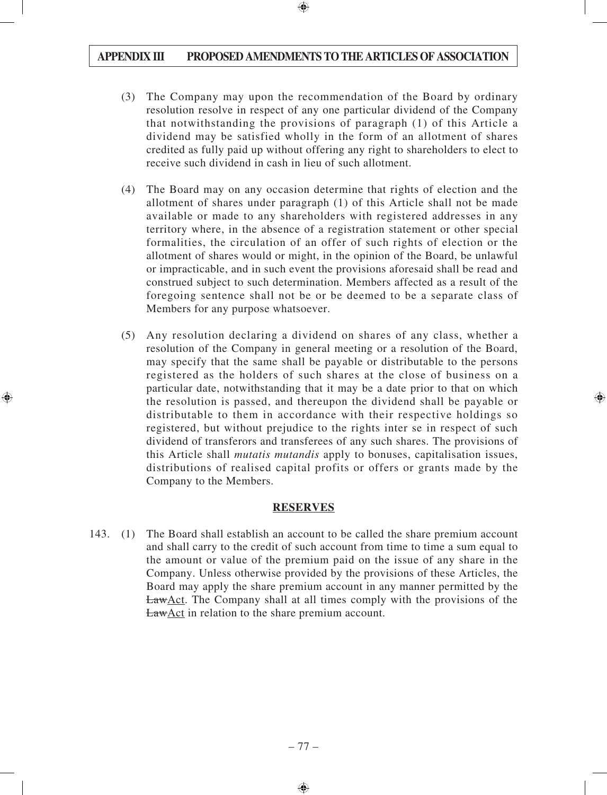- (3) The Company may upon the recommendation of the Board by ordinary resolution resolve in respect of any one particular dividend of the Company that notwithstanding the provisions of paragraph (1) of this Article a dividend may be satisfied wholly in the form of an allotment of shares credited as fully paid up without offering any right to shareholders to elect to receive such dividend in cash in lieu of such allotment.
- (4) The Board may on any occasion determine that rights of election and the allotment of shares under paragraph (1) of this Article shall not be made available or made to any shareholders with registered addresses in any territory where, in the absence of a registration statement or other special formalities, the circulation of an offer of such rights of election or the allotment of shares would or might, in the opinion of the Board, be unlawful or impracticable, and in such event the provisions aforesaid shall be read and construed subject to such determination. Members affected as a result of the foregoing sentence shall not be or be deemed to be a separate class of Members for any purpose whatsoever.
- (5) Any resolution declaring a dividend on shares of any class, whether a resolution of the Company in general meeting or a resolution of the Board, may specify that the same shall be payable or distributable to the persons registered as the holders of such shares at the close of business on a particular date, notwithstanding that it may be a date prior to that on which the resolution is passed, and thereupon the dividend shall be payable or distributable to them in accordance with their respective holdings so registered, but without prejudice to the rights inter se in respect of such dividend of transferors and transferees of any such shares. The provisions of this Article shall *mutatis mutandis* apply to bonuses, capitalisation issues, distributions of realised capital profits or offers or grants made by the Company to the Members.

#### **RESERVES**

143. (1) The Board shall establish an account to be called the share premium account and shall carry to the credit of such account from time to time a sum equal to the amount or value of the premium paid on the issue of any share in the Company. Unless otherwise provided by the provisions of these Articles, the Board may apply the share premium account in any manner permitted by the LawAct. The Company shall at all times comply with the provisions of the **LawAct** in relation to the share premium account.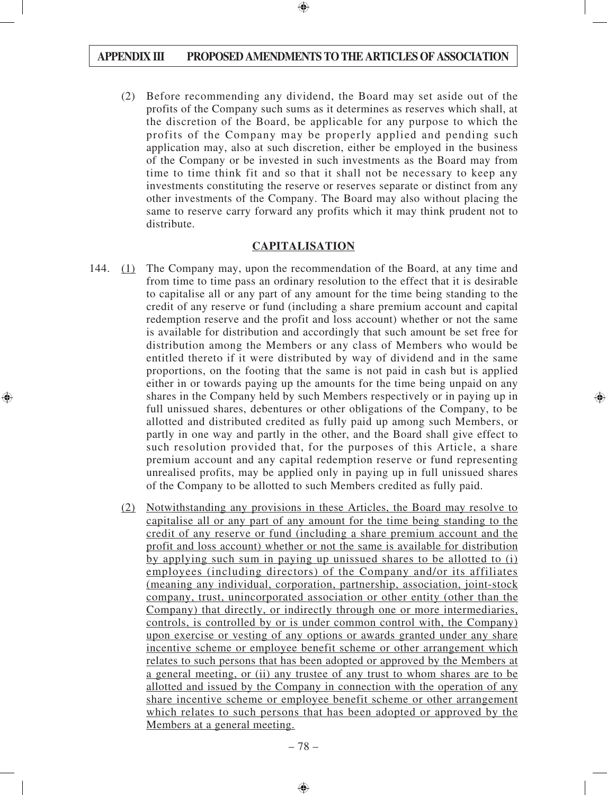(2) Before recommending any dividend, the Board may set aside out of the profits of the Company such sums as it determines as reserves which shall, at the discretion of the Board, be applicable for any purpose to which the profits of the Company may be properly applied and pending such application may, also at such discretion, either be employed in the business of the Company or be invested in such investments as the Board may from time to time think fit and so that it shall not be necessary to keep any investments constituting the reserve or reserves separate or distinct from any other investments of the Company. The Board may also without placing the same to reserve carry forward any profits which it may think prudent not to distribute.

#### **CAPITALISATION**

- 144. (1) The Company may, upon the recommendation of the Board, at any time and from time to time pass an ordinary resolution to the effect that it is desirable to capitalise all or any part of any amount for the time being standing to the credit of any reserve or fund (including a share premium account and capital redemption reserve and the profit and loss account) whether or not the same is available for distribution and accordingly that such amount be set free for distribution among the Members or any class of Members who would be entitled thereto if it were distributed by way of dividend and in the same proportions, on the footing that the same is not paid in cash but is applied either in or towards paying up the amounts for the time being unpaid on any shares in the Company held by such Members respectively or in paying up in full unissued shares, debentures or other obligations of the Company, to be allotted and distributed credited as fully paid up among such Members, or partly in one way and partly in the other, and the Board shall give effect to such resolution provided that, for the purposes of this Article, a share premium account and any capital redemption reserve or fund representing unrealised profits, may be applied only in paying up in full unissued shares of the Company to be allotted to such Members credited as fully paid.
	- (2) Notwithstanding any provisions in these Articles, the Board may resolve to capitalise all or any part of any amount for the time being standing to the credit of any reserve or fund (including a share premium account and the profit and loss account) whether or not the same is available for distribution by applying such sum in paying up unissued shares to be allotted to (i) employees (including directors) of the Company and/or its affiliates (meaning any individual, corporation, partnership, association, joint-stock company, trust, unincorporated association or other entity (other than the Company) that directly, or indirectly through one or more intermediaries, controls, is controlled by or is under common control with, the Company) upon exercise or vesting of any options or awards granted under any share incentive scheme or employee benefit scheme or other arrangement which relates to such persons that has been adopted or approved by the Members at a general meeting, or (ii) any trustee of any trust to whom shares are to be allotted and issued by the Company in connection with the operation of any share incentive scheme or employee benefit scheme or other arrangement which relates to such persons that has been adopted or approved by the Members at a general meeting.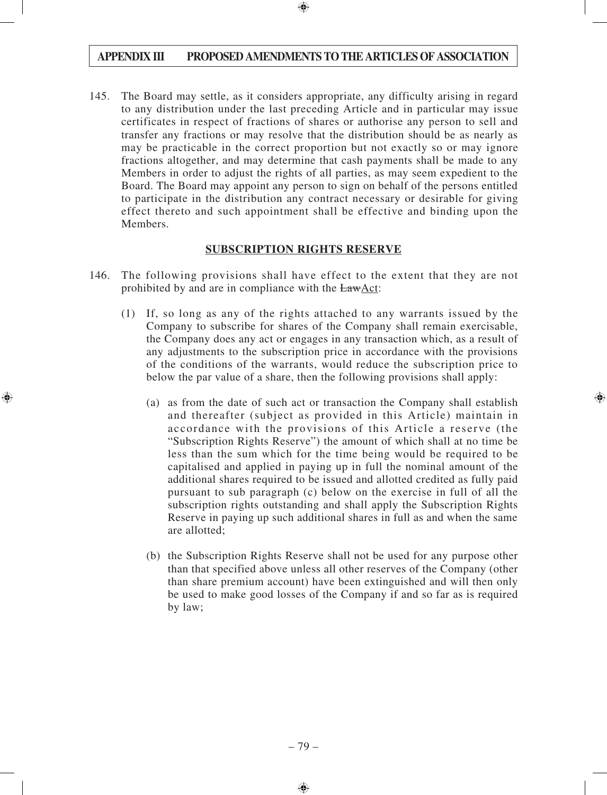145. The Board may settle, as it considers appropriate, any difficulty arising in regard to any distribution under the last preceding Article and in particular may issue certificates in respect of fractions of shares or authorise any person to sell and transfer any fractions or may resolve that the distribution should be as nearly as may be practicable in the correct proportion but not exactly so or may ignore fractions altogether, and may determine that cash payments shall be made to any Members in order to adjust the rights of all parties, as may seem expedient to the Board. The Board may appoint any person to sign on behalf of the persons entitled to participate in the distribution any contract necessary or desirable for giving effect thereto and such appointment shall be effective and binding upon the Members.

#### **SUBSCRIPTION RIGHTS RESERVE**

- 146. The following provisions shall have effect to the extent that they are not prohibited by and are in compliance with the LawAct:
	- (1) If, so long as any of the rights attached to any warrants issued by the Company to subscribe for shares of the Company shall remain exercisable, the Company does any act or engages in any transaction which, as a result of any adjustments to the subscription price in accordance with the provisions of the conditions of the warrants, would reduce the subscription price to below the par value of a share, then the following provisions shall apply:
		- (a) as from the date of such act or transaction the Company shall establish and thereafter (subject as provided in this Article) maintain in accordance with the provisions of this Article a reserve (the "Subscription Rights Reserve") the amount of which shall at no time be less than the sum which for the time being would be required to be capitalised and applied in paying up in full the nominal amount of the additional shares required to be issued and allotted credited as fully paid pursuant to sub paragraph (c) below on the exercise in full of all the subscription rights outstanding and shall apply the Subscription Rights Reserve in paying up such additional shares in full as and when the same are allotted;
		- (b) the Subscription Rights Reserve shall not be used for any purpose other than that specified above unless all other reserves of the Company (other than share premium account) have been extinguished and will then only be used to make good losses of the Company if and so far as is required by law;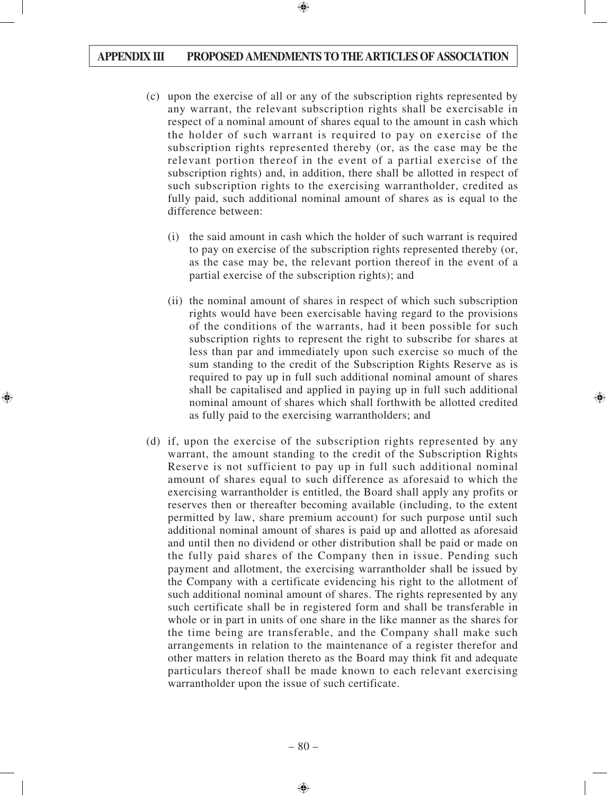- (c) upon the exercise of all or any of the subscription rights represented by any warrant, the relevant subscription rights shall be exercisable in respect of a nominal amount of shares equal to the amount in cash which the holder of such warrant is required to pay on exercise of the subscription rights represented thereby (or, as the case may be the relevant portion thereof in the event of a partial exercise of the subscription rights) and, in addition, there shall be allotted in respect of such subscription rights to the exercising warrantholder, credited as fully paid, such additional nominal amount of shares as is equal to the difference between:
	- (i) the said amount in cash which the holder of such warrant is required to pay on exercise of the subscription rights represented thereby (or, as the case may be, the relevant portion thereof in the event of a partial exercise of the subscription rights); and
	- (ii) the nominal amount of shares in respect of which such subscription rights would have been exercisable having regard to the provisions of the conditions of the warrants, had it been possible for such subscription rights to represent the right to subscribe for shares at less than par and immediately upon such exercise so much of the sum standing to the credit of the Subscription Rights Reserve as is required to pay up in full such additional nominal amount of shares shall be capitalised and applied in paying up in full such additional nominal amount of shares which shall forthwith be allotted credited as fully paid to the exercising warrantholders; and
- (d) if, upon the exercise of the subscription rights represented by any warrant, the amount standing to the credit of the Subscription Rights Reserve is not sufficient to pay up in full such additional nominal amount of shares equal to such difference as aforesaid to which the exercising warrantholder is entitled, the Board shall apply any profits or reserves then or thereafter becoming available (including, to the extent permitted by law, share premium account) for such purpose until such additional nominal amount of shares is paid up and allotted as aforesaid and until then no dividend or other distribution shall be paid or made on the fully paid shares of the Company then in issue. Pending such payment and allotment, the exercising warrantholder shall be issued by the Company with a certificate evidencing his right to the allotment of such additional nominal amount of shares. The rights represented by any such certificate shall be in registered form and shall be transferable in whole or in part in units of one share in the like manner as the shares for the time being are transferable, and the Company shall make such arrangements in relation to the maintenance of a register therefor and other matters in relation thereto as the Board may think fit and adequate particulars thereof shall be made known to each relevant exercising warrantholder upon the issue of such certificate.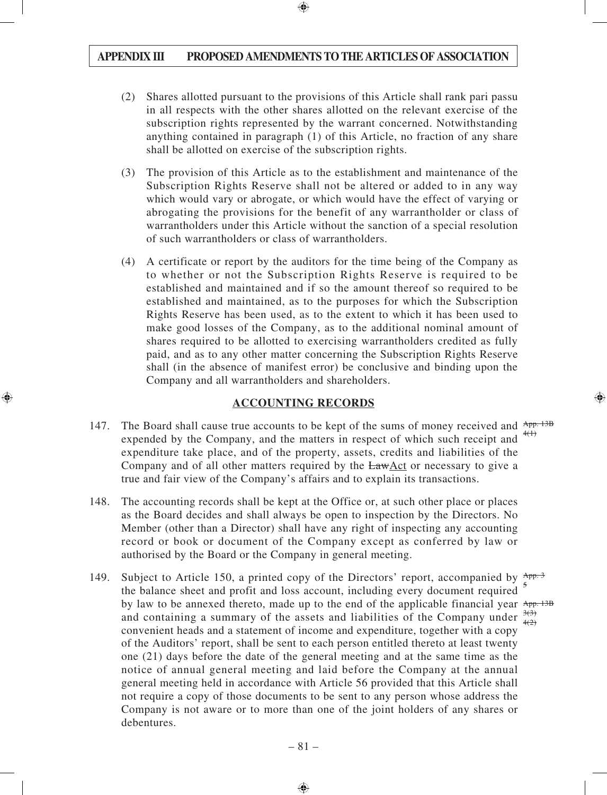- (2) Shares allotted pursuant to the provisions of this Article shall rank pari passu in all respects with the other shares allotted on the relevant exercise of the subscription rights represented by the warrant concerned. Notwithstanding anything contained in paragraph (1) of this Article, no fraction of any share shall be allotted on exercise of the subscription rights.
- (3) The provision of this Article as to the establishment and maintenance of the Subscription Rights Reserve shall not be altered or added to in any way which would vary or abrogate, or which would have the effect of varying or abrogating the provisions for the benefit of any warrantholder or class of warrantholders under this Article without the sanction of a special resolution of such warrantholders or class of warrantholders.
- (4) A certificate or report by the auditors for the time being of the Company as to whether or not the Subscription Rights Reserve is required to be established and maintained and if so the amount thereof so required to be established and maintained, as to the purposes for which the Subscription Rights Reserve has been used, as to the extent to which it has been used to make good losses of the Company, as to the additional nominal amount of shares required to be allotted to exercising warrantholders credited as fully paid, and as to any other matter concerning the Subscription Rights Reserve shall (in the absence of manifest error) be conclusive and binding upon the Company and all warrantholders and shareholders.

#### **ACCOUNTING RECORDS**

- 147. The Board shall cause true accounts to be kept of the sums of money received and  $\frac{App. 13B}{app. 13B}$ expended by the Company, and the matters in respect of which such receipt and expenditure take place, and of the property, assets, credits and liabilities of the Company and of all other matters required by the LawAct or necessary to give a true and fair view of the Company's affairs and to explain its transactions.  $4(1)$
- 148. The accounting records shall be kept at the Office or, at such other place or places as the Board decides and shall always be open to inspection by the Directors. No Member (other than a Director) shall have any right of inspecting any accounting record or book or document of the Company except as conferred by law or authorised by the Board or the Company in general meeting.
- 149. Subject to Article 150, a printed copy of the Directors' report, accompanied by  $\frac{App.3}{p}$ the balance sheet and profit and loss account, including every document required by law to be annexed thereto, made up to the end of the applicable financial year App. 13B and containing a summary of the assets and liabilities of the Company under  $\frac{3(3)}{4(2)}$ convenient heads and a statement of income and expenditure, together with a copy of the Auditors' report, shall be sent to each person entitled thereto at least twenty one (21) days before the date of the general meeting and at the same time as the notice of annual general meeting and laid before the Company at the annual general meeting held in accordance with Article 56 provided that this Article shall not require a copy of those documents to be sent to any person whose address the Company is not aware or to more than one of the joint holders of any shares or debentures. 5  $4(2)$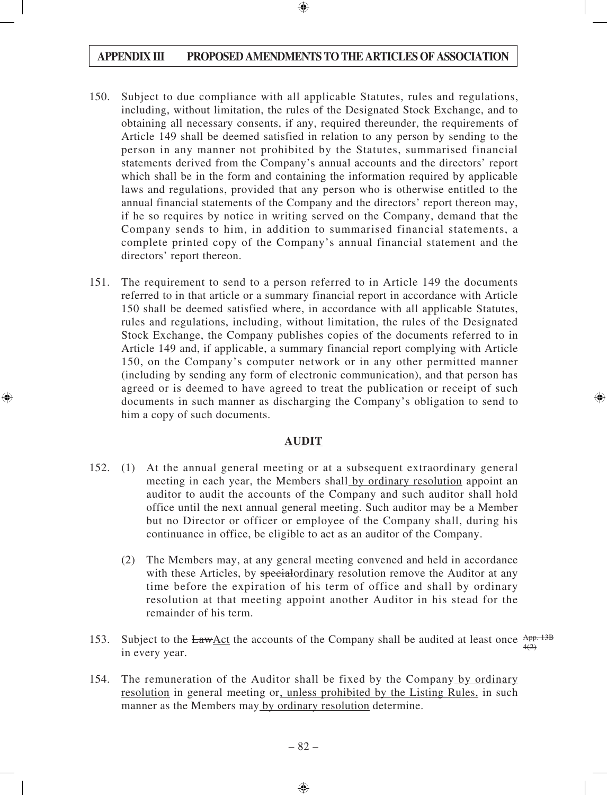- 150. Subject to due compliance with all applicable Statutes, rules and regulations, including, without limitation, the rules of the Designated Stock Exchange, and to obtaining all necessary consents, if any, required thereunder, the requirements of Article 149 shall be deemed satisfied in relation to any person by sending to the person in any manner not prohibited by the Statutes, summarised financial statements derived from the Company's annual accounts and the directors' report which shall be in the form and containing the information required by applicable laws and regulations, provided that any person who is otherwise entitled to the annual financial statements of the Company and the directors' report thereon may, if he so requires by notice in writing served on the Company, demand that the Company sends to him, in addition to summarised financial statements, a complete printed copy of the Company's annual financial statement and the directors' report thereon.
- 151. The requirement to send to a person referred to in Article 149 the documents referred to in that article or a summary financial report in accordance with Article 150 shall be deemed satisfied where, in accordance with all applicable Statutes, rules and regulations, including, without limitation, the rules of the Designated Stock Exchange, the Company publishes copies of the documents referred to in Article 149 and, if applicable, a summary financial report complying with Article 150, on the Company's computer network or in any other permitted manner (including by sending any form of electronic communication), and that person has agreed or is deemed to have agreed to treat the publication or receipt of such documents in such manner as discharging the Company's obligation to send to him a copy of such documents.

#### **AUDIT**

- 152. (1) At the annual general meeting or at a subsequent extraordinary general meeting in each year, the Members shall by ordinary resolution appoint an auditor to audit the accounts of the Company and such auditor shall hold office until the next annual general meeting. Such auditor may be a Member but no Director or officer or employee of the Company shall, during his continuance in office, be eligible to act as an auditor of the Company.
	- (2) The Members may, at any general meeting convened and held in accordance with these Articles, by special ordinary resolution remove the Auditor at any time before the expiration of his term of office and shall by ordinary resolution at that meeting appoint another Auditor in his stead for the remainder of his term.
- 153. Subject to the  $Law \triangle ct$  the accounts of the Company shall be audited at least once  $\frac{App. 13B}{(2)}$ in every year.  $4(2)$
- 154. The remuneration of the Auditor shall be fixed by the Company by ordinary resolution in general meeting or, unless prohibited by the Listing Rules, in such manner as the Members may by ordinary resolution determine.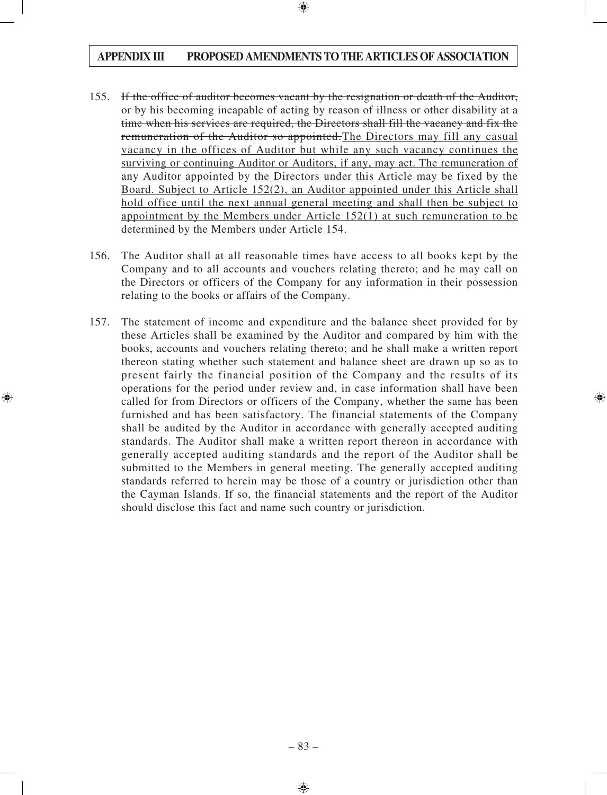- 155. If the office of auditor becomes vacant by the resignation or death of the Auditor, or by his becoming incapable of acting by reason of illness or other disability at a time when his services are required, the Directors shall fill the vacancy and fix the remuneration of the Auditor so appointed.The Directors may fill any casual vacancy in the offices of Auditor but while any such vacancy continues the surviving or continuing Auditor or Auditors, if any, may act. The remuneration of any Auditor appointed by the Directors under this Article may be fixed by the Board. Subject to Article 152(2), an Auditor appointed under this Article shall hold office until the next annual general meeting and shall then be subject to appointment by the Members under Article 152(1) at such remuneration to be determined by the Members under Article 154.
- 156. The Auditor shall at all reasonable times have access to all books kept by the Company and to all accounts and vouchers relating thereto; and he may call on the Directors or officers of the Company for any information in their possession relating to the books or affairs of the Company.
- 157. The statement of income and expenditure and the balance sheet provided for by these Articles shall be examined by the Auditor and compared by him with the books, accounts and vouchers relating thereto; and he shall make a written report thereon stating whether such statement and balance sheet are drawn up so as to present fairly the financial position of the Company and the results of its operations for the period under review and, in case information shall have been called for from Directors or officers of the Company, whether the same has been furnished and has been satisfactory. The financial statements of the Company shall be audited by the Auditor in accordance with generally accepted auditing standards. The Auditor shall make a written report thereon in accordance with generally accepted auditing standards and the report of the Auditor shall be submitted to the Members in general meeting. The generally accepted auditing standards referred to herein may be those of a country or jurisdiction other than the Cayman Islands. If so, the financial statements and the report of the Auditor should disclose this fact and name such country or jurisdiction.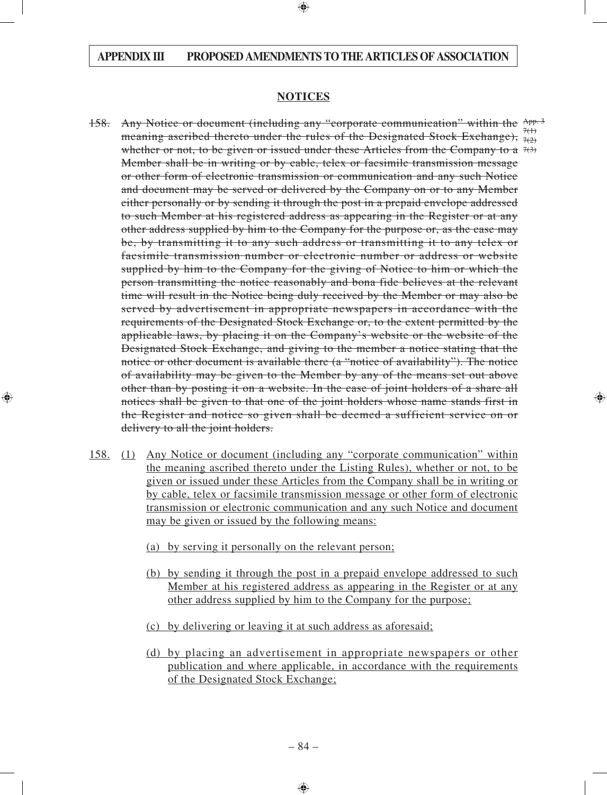#### **NOTICES**

- 158. Any Notice or document (including any "corporate communication" within the App. 3 meaning ascribed thereto under the rules of the Designated Stock Exchange),  $\frac{7(1)}{7(2)}$ whether or not, to be given or issued under these Articles from the Company to a  $7(3)$ Member shall be in writing or by cable, telex or facsimile transmission message or other form of electronic transmission or communication and any such Notice and document may be served or delivered by the Company on or to any Member either personally or by sending it through the post in a prepaid envelope addressed to such Member at his registered address as appearing in the Register or at any other address supplied by him to the Company for the purpose or, as the case may be, by transmitting it to any such address or transmitting it to any telex or facsimile transmission number or electronic number or address or website supplied by him to the Company for the giving of Notice to him or which the person transmitting the notice reasonably and bona fide believes at the relevant time will result in the Notice being duly received by the Member or may also be served by advertisement in appropriate newspapers in accordance with the requirements of the Designated Stock Exchange or, to the extent permitted by the applicable laws, by placing it on the Company's website or the website of the Designated Stock Exchange, and giving to the member a notice stating that the notice or other document is available there (a "notice of availability"). The notice of availability may be given to the Member by any of the means set out above other than by posting it on a website. In the case of joint holders of a share all notices shall be given to that one of the joint holders whose name stands first in the Register and notice so given shall be deemed a sufficient service on or delivery to all the joint holders.  $7(2)$
- 158. (1) Any Notice or document (including any "corporate communication" within the meaning ascribed thereto under the Listing Rules), whether or not, to be given or issued under these Articles from the Company shall be in writing or by cable, telex or facsimile transmission message or other form of electronic transmission or electronic communication and any such Notice and document may be given or issued by the following means:
	- (a) by serving it personally on the relevant person;
	- (b) by sending it through the post in a prepaid envelope addressed to such Member at his registered address as appearing in the Register or at any other address supplied by him to the Company for the purpose;
	- (c) by delivering or leaving it at such address as aforesaid;
	- (d) by placing an advertisement in appropriate newspapers or other publication and where applicable, in accordance with the requirements of the Designated Stock Exchange;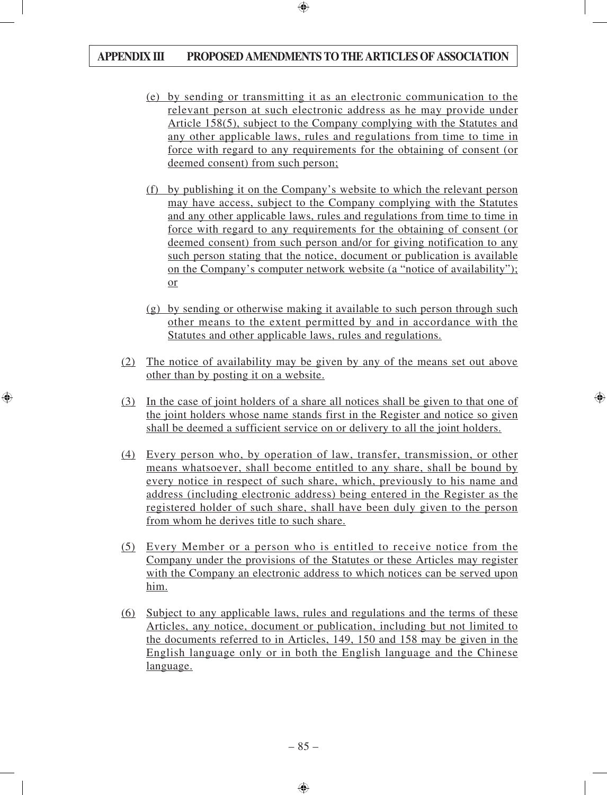- (e) by sending or transmitting it as an electronic communication to the relevant person at such electronic address as he may provide under Article 158(5), subject to the Company complying with the Statutes and any other applicable laws, rules and regulations from time to time in force with regard to any requirements for the obtaining of consent (or deemed consent) from such person;
- (f) by publishing it on the Company's website to which the relevant person may have access, subject to the Company complying with the Statutes and any other applicable laws, rules and regulations from time to time in force with regard to any requirements for the obtaining of consent (or deemed consent) from such person and/or for giving notification to any such person stating that the notice, document or publication is available on the Company's computer network website (a "notice of availability"); or
- (g) by sending or otherwise making it available to such person through such other means to the extent permitted by and in accordance with the Statutes and other applicable laws, rules and regulations.
- (2) The notice of availability may be given by any of the means set out above other than by posting it on a website.
- (3) In the case of joint holders of a share all notices shall be given to that one of the joint holders whose name stands first in the Register and notice so given shall be deemed a sufficient service on or delivery to all the joint holders.
- (4) Every person who, by operation of law, transfer, transmission, or other means whatsoever, shall become entitled to any share, shall be bound by every notice in respect of such share, which, previously to his name and address (including electronic address) being entered in the Register as the registered holder of such share, shall have been duly given to the person from whom he derives title to such share.
- (5) Every Member or a person who is entitled to receive notice from the Company under the provisions of the Statutes or these Articles may register with the Company an electronic address to which notices can be served upon him.
- (6) Subject to any applicable laws, rules and regulations and the terms of these Articles, any notice, document or publication, including but not limited to the documents referred to in Articles, 149, 150 and 158 may be given in the English language only or in both the English language and the Chinese language.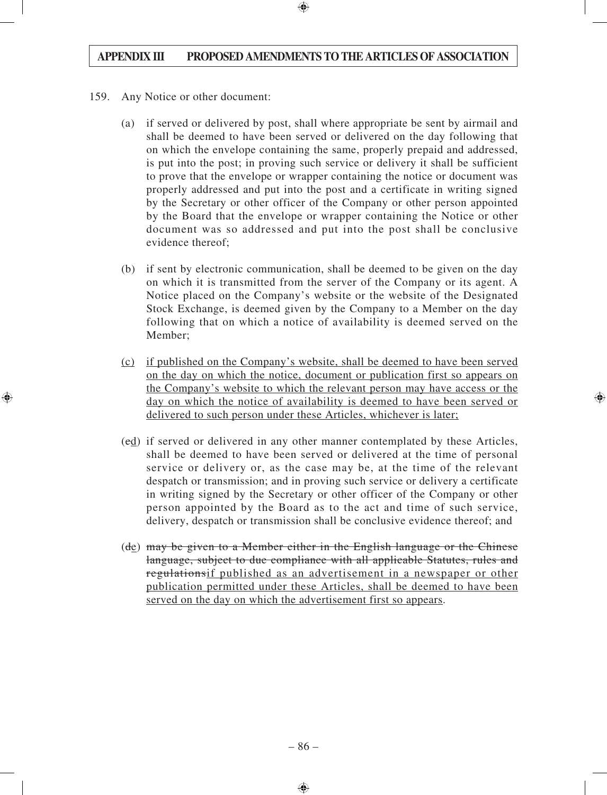- 159. Any Notice or other document:
	- (a) if served or delivered by post, shall where appropriate be sent by airmail and shall be deemed to have been served or delivered on the day following that on which the envelope containing the same, properly prepaid and addressed, is put into the post; in proving such service or delivery it shall be sufficient to prove that the envelope or wrapper containing the notice or document was properly addressed and put into the post and a certificate in writing signed by the Secretary or other officer of the Company or other person appointed by the Board that the envelope or wrapper containing the Notice or other document was so addressed and put into the post shall be conclusive evidence thereof;
	- (b) if sent by electronic communication, shall be deemed to be given on the day on which it is transmitted from the server of the Company or its agent. A Notice placed on the Company's website or the website of the Designated Stock Exchange, is deemed given by the Company to a Member on the day following that on which a notice of availability is deemed served on the Member;
	- (c) if published on the Company's website, shall be deemed to have been served on the day on which the notice, document or publication first so appears on the Company's website to which the relevant person may have access or the day on which the notice of availability is deemed to have been served or delivered to such person under these Articles, whichever is later;
	- (cd) if served or delivered in any other manner contemplated by these Articles, shall be deemed to have been served or delivered at the time of personal service or delivery or, as the case may be, at the time of the relevant despatch or transmission; and in proving such service or delivery a certificate in writing signed by the Secretary or other officer of the Company or other person appointed by the Board as to the act and time of such service, delivery, despatch or transmission shall be conclusive evidence thereof; and
	- $(d_{\mathcal{E}})$  may be given to a Member either in the English language or the Chinese language, subject to due compliance with all applicable Statutes, rules and regulationsif published as an advertisement in a newspaper or other publication permitted under these Articles, shall be deemed to have been served on the day on which the advertisement first so appears.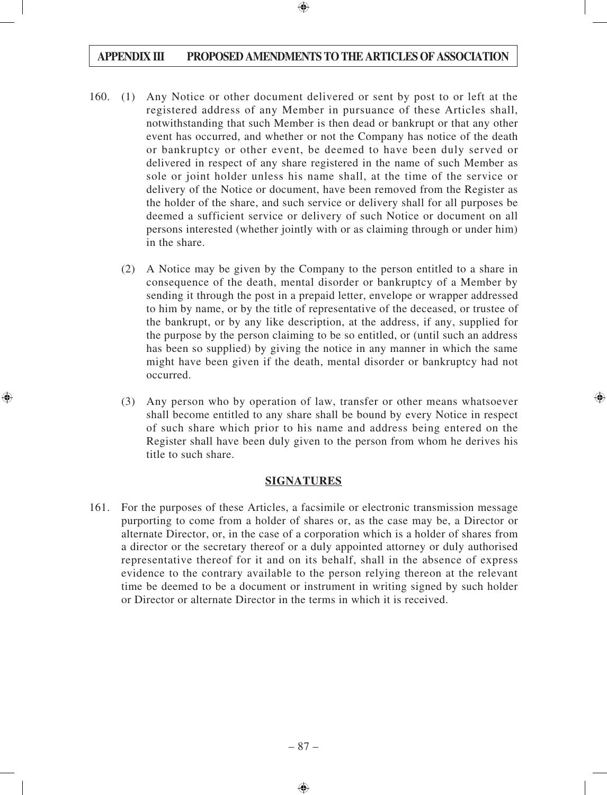- 160. (1) Any Notice or other document delivered or sent by post to or left at the registered address of any Member in pursuance of these Articles shall, notwithstanding that such Member is then dead or bankrupt or that any other event has occurred, and whether or not the Company has notice of the death or bankruptcy or other event, be deemed to have been duly served or delivered in respect of any share registered in the name of such Member as sole or joint holder unless his name shall, at the time of the service or delivery of the Notice or document, have been removed from the Register as the holder of the share, and such service or delivery shall for all purposes be deemed a sufficient service or delivery of such Notice or document on all persons interested (whether jointly with or as claiming through or under him) in the share.
	- (2) A Notice may be given by the Company to the person entitled to a share in consequence of the death, mental disorder or bankruptcy of a Member by sending it through the post in a prepaid letter, envelope or wrapper addressed to him by name, or by the title of representative of the deceased, or trustee of the bankrupt, or by any like description, at the address, if any, supplied for the purpose by the person claiming to be so entitled, or (until such an address has been so supplied) by giving the notice in any manner in which the same might have been given if the death, mental disorder or bankruptcy had not occurred.
	- (3) Any person who by operation of law, transfer or other means whatsoever shall become entitled to any share shall be bound by every Notice in respect of such share which prior to his name and address being entered on the Register shall have been duly given to the person from whom he derives his title to such share.

#### **SIGNATURES**

161. For the purposes of these Articles, a facsimile or electronic transmission message purporting to come from a holder of shares or, as the case may be, a Director or alternate Director, or, in the case of a corporation which is a holder of shares from a director or the secretary thereof or a duly appointed attorney or duly authorised representative thereof for it and on its behalf, shall in the absence of express evidence to the contrary available to the person relying thereon at the relevant time be deemed to be a document or instrument in writing signed by such holder or Director or alternate Director in the terms in which it is received.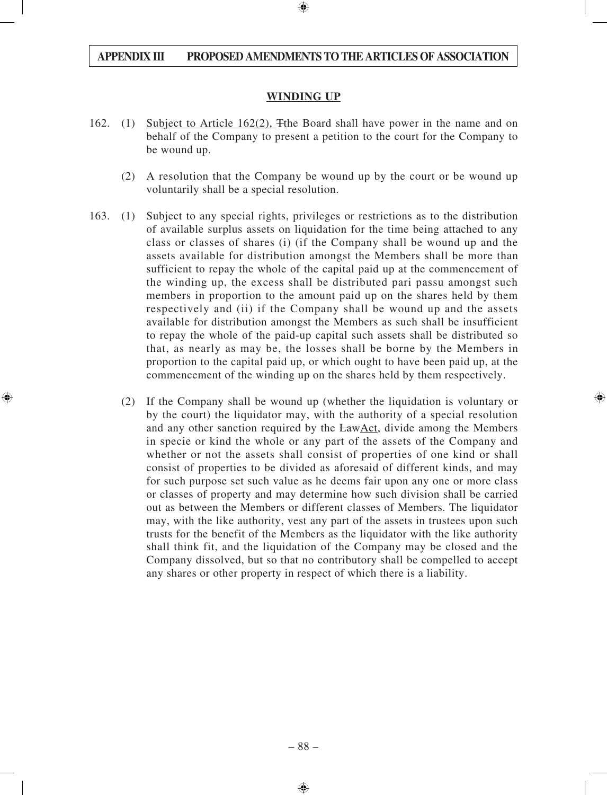#### **WINDING UP**

- 162. (1) Subject to Article 162(2), The Board shall have power in the name and on behalf of the Company to present a petition to the court for the Company to be wound up.
	- (2) A resolution that the Company be wound up by the court or be wound up voluntarily shall be a special resolution.
- 163. (1) Subject to any special rights, privileges or restrictions as to the distribution of available surplus assets on liquidation for the time being attached to any class or classes of shares (i) (if the Company shall be wound up and the assets available for distribution amongst the Members shall be more than sufficient to repay the whole of the capital paid up at the commencement of the winding up, the excess shall be distributed pari passu amongst such members in proportion to the amount paid up on the shares held by them respectively and (ii) if the Company shall be wound up and the assets available for distribution amongst the Members as such shall be insufficient to repay the whole of the paid-up capital such assets shall be distributed so that, as nearly as may be, the losses shall be borne by the Members in proportion to the capital paid up, or which ought to have been paid up, at the commencement of the winding up on the shares held by them respectively.
	- (2) If the Company shall be wound up (whether the liquidation is voluntary or by the court) the liquidator may, with the authority of a special resolution and any other sanction required by the LawAct, divide among the Members in specie or kind the whole or any part of the assets of the Company and whether or not the assets shall consist of properties of one kind or shall consist of properties to be divided as aforesaid of different kinds, and may for such purpose set such value as he deems fair upon any one or more class or classes of property and may determine how such division shall be carried out as between the Members or different classes of Members. The liquidator may, with the like authority, vest any part of the assets in trustees upon such trusts for the benefit of the Members as the liquidator with the like authority shall think fit, and the liquidation of the Company may be closed and the Company dissolved, but so that no contributory shall be compelled to accept any shares or other property in respect of which there is a liability.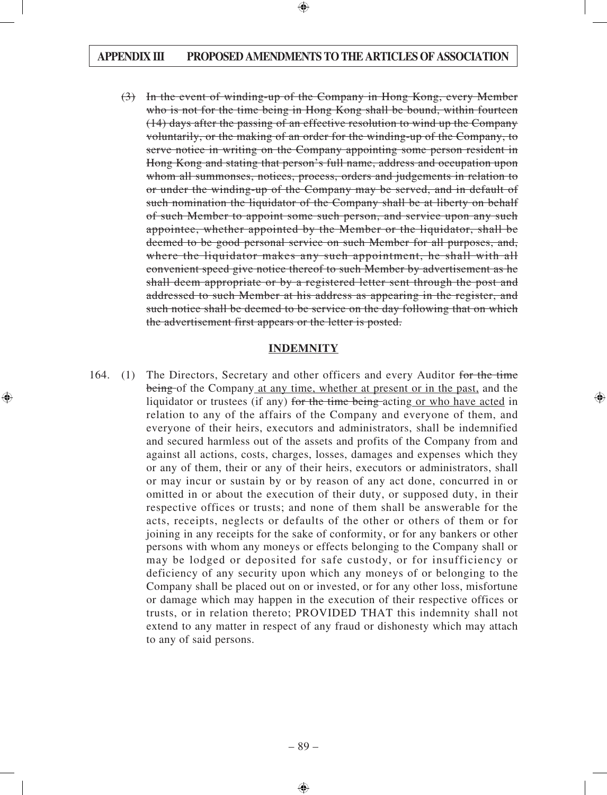(3) In the event of winding-up of the Company in Hong Kong, every Member who is not for the time being in Hong Kong shall be bound, within fourteen (14) days after the passing of an effective resolution to wind up the Company voluntarily, or the making of an order for the winding-up of the Company, to serve notice in writing on the Company appointing some person resident in Hong Kong and stating that person's full name, address and occupation upon whom all summonses, notices, process, orders and judgements in relation to or under the winding-up of the Company may be served, and in default of such nomination the liquidator of the Company shall be at liberty on behalf of such Member to appoint some such person, and service upon any such appointee, whether appointed by the Member or the liquidator, shall be deemed to be good personal service on such Member for all purposes, and, where the liquidator makes any such appointment, he shall with all convenient speed give notice thereof to such Member by advertisement as he shall deem appropriate or by a registered letter sent through the post and addressed to such Member at his address as appearing in the register, and such notice shall be deemed to be service on the day following that on which the advertisement first appears or the letter is posted.

#### **INDEMNITY**

164. (1) The Directors, Secretary and other officers and every Auditor for the time being of the Company at any time, whether at present or in the past, and the liquidator or trustees (if any) for the time being acting or who have acted in relation to any of the affairs of the Company and everyone of them, and everyone of their heirs, executors and administrators, shall be indemnified and secured harmless out of the assets and profits of the Company from and against all actions, costs, charges, losses, damages and expenses which they or any of them, their or any of their heirs, executors or administrators, shall or may incur or sustain by or by reason of any act done, concurred in or omitted in or about the execution of their duty, or supposed duty, in their respective offices or trusts; and none of them shall be answerable for the acts, receipts, neglects or defaults of the other or others of them or for joining in any receipts for the sake of conformity, or for any bankers or other persons with whom any moneys or effects belonging to the Company shall or may be lodged or deposited for safe custody, or for insufficiency or deficiency of any security upon which any moneys of or belonging to the Company shall be placed out on or invested, or for any other loss, misfortune or damage which may happen in the execution of their respective offices or trusts, or in relation thereto; PROVIDED THAT this indemnity shall not extend to any matter in respect of any fraud or dishonesty which may attach to any of said persons.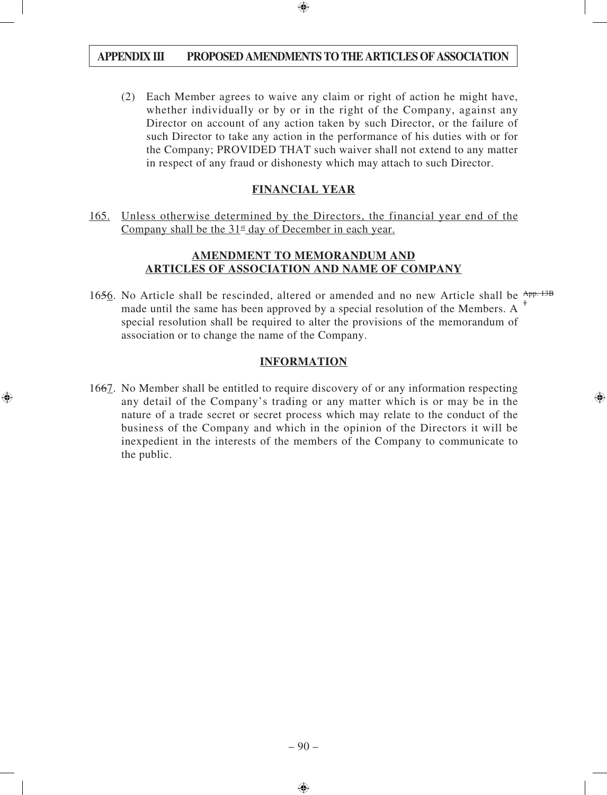(2) Each Member agrees to waive any claim or right of action he might have, whether individually or by or in the right of the Company, against any Director on account of any action taken by such Director, or the failure of such Director to take any action in the performance of his duties with or for the Company; PROVIDED THAT such waiver shall not extend to any matter in respect of any fraud or dishonesty which may attach to such Director.

# **FINANCIAL YEAR**

165. Unless otherwise determined by the Directors, the financial year end of the Company shall be the  $31<sup>st</sup>$  day of December in each year.

#### **AMENDMENT TO MEMORANDUM AND ARTICLES OF ASSOCIATION AND NAME OF COMPANY**

1656. No Article shall be rescinded, altered or amended and no new Article shall be App. 13B made until the same has been approved by a special resolution of the Members. A  $<sup>1</sup>$ </sup> special resolution shall be required to alter the provisions of the memorandum of association or to change the name of the Company.

# **INFORMATION**

1667. No Member shall be entitled to require discovery of or any information respecting any detail of the Company's trading or any matter which is or may be in the nature of a trade secret or secret process which may relate to the conduct of the business of the Company and which in the opinion of the Directors it will be inexpedient in the interests of the members of the Company to communicate to the public.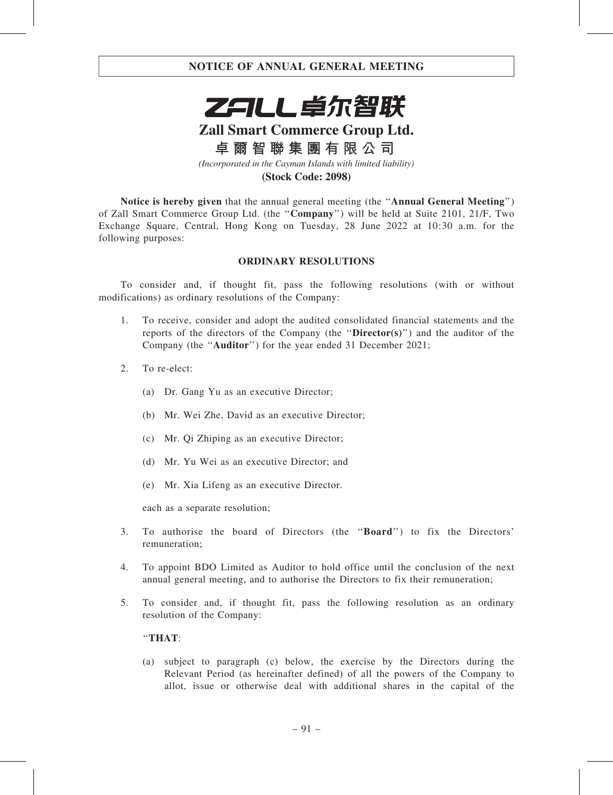

# **Zall Smart Commerce Group Ltd.**

**卓爾智聯集團有限公司**

*(Incorporated in the Cayman Islands with limited liability)*

#### **(Stock Code: 2098)**

Notice is hereby given that the annual general meeting (the ''Annual General Meeting'') of Zall Smart Commerce Group Ltd. (the ''Company'') will be held at Suite 2101, 21/F, Two Exchange Square, Central, Hong Kong on Tuesday, 28 June 2022 at 10:30 a.m. for the following purposes:

#### ORDINARY RESOLUTIONS

To consider and, if thought fit, pass the following resolutions (with or without modifications) as ordinary resolutions of the Company:

- 1. To receive, consider and adopt the audited consolidated financial statements and the reports of the directors of the Company (the ''Director(s)'') and the auditor of the Company (the ''Auditor'') for the year ended 31 December 2021;
- 2. To re-elect:
	- (a) Dr. Gang Yu as an executive Director;
	- (b) Mr. Wei Zhe, David as an executive Director;
	- (c) Mr. Qi Zhiping as an executive Director;
	- (d) Mr. Yu Wei as an executive Director; and
	- (e) Mr. Xia Lifeng as an executive Director.

each as a separate resolution;

- 3. To authorise the board of Directors (the ''Board'') to fix the Directors' remuneration;
- 4. To appoint BDO Limited as Auditor to hold office until the conclusion of the next annual general meeting, and to authorise the Directors to fix their remuneration;
- 5. To consider and, if thought fit, pass the following resolution as an ordinary resolution of the Company:

#### ''THAT:

(a) subject to paragraph (c) below, the exercise by the Directors during the Relevant Period (as hereinafter defined) of all the powers of the Company to allot, issue or otherwise deal with additional shares in the capital of the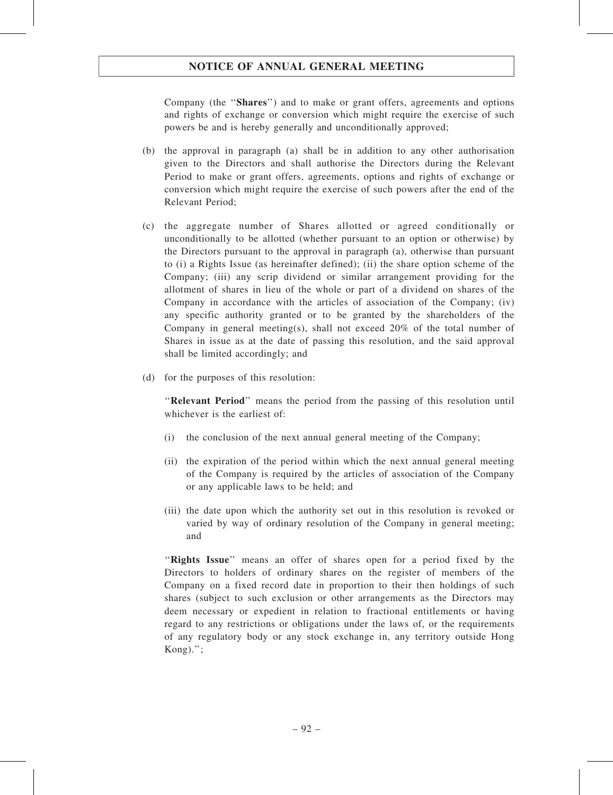Company (the ''Shares'') and to make or grant offers, agreements and options and rights of exchange or conversion which might require the exercise of such powers be and is hereby generally and unconditionally approved;

- (b) the approval in paragraph (a) shall be in addition to any other authorisation given to the Directors and shall authorise the Directors during the Relevant Period to make or grant offers, agreements, options and rights of exchange or conversion which might require the exercise of such powers after the end of the Relevant Period;
- (c) the aggregate number of Shares allotted or agreed conditionally or unconditionally to be allotted (whether pursuant to an option or otherwise) by the Directors pursuant to the approval in paragraph (a), otherwise than pursuant to (i) a Rights Issue (as hereinafter defined); (ii) the share option scheme of the Company; (iii) any scrip dividend or similar arrangement providing for the allotment of shares in lieu of the whole or part of a dividend on shares of the Company in accordance with the articles of association of the Company; (iv) any specific authority granted or to be granted by the shareholders of the Company in general meeting(s), shall not exceed  $20\%$  of the total number of Shares in issue as at the date of passing this resolution, and the said approval shall be limited accordingly; and
- (d) for the purposes of this resolution:

''Relevant Period'' means the period from the passing of this resolution until whichever is the earliest of:

- (i) the conclusion of the next annual general meeting of the Company;
- (ii) the expiration of the period within which the next annual general meeting of the Company is required by the articles of association of the Company or any applicable laws to be held; and
- (iii) the date upon which the authority set out in this resolution is revoked or varied by way of ordinary resolution of the Company in general meeting; and

"Rights Issue" means an offer of shares open for a period fixed by the Directors to holders of ordinary shares on the register of members of the Company on a fixed record date in proportion to their then holdings of such shares (subject to such exclusion or other arrangements as the Directors may deem necessary or expedient in relation to fractional entitlements or having regard to any restrictions or obligations under the laws of, or the requirements of any regulatory body or any stock exchange in, any territory outside Hong Kong).'';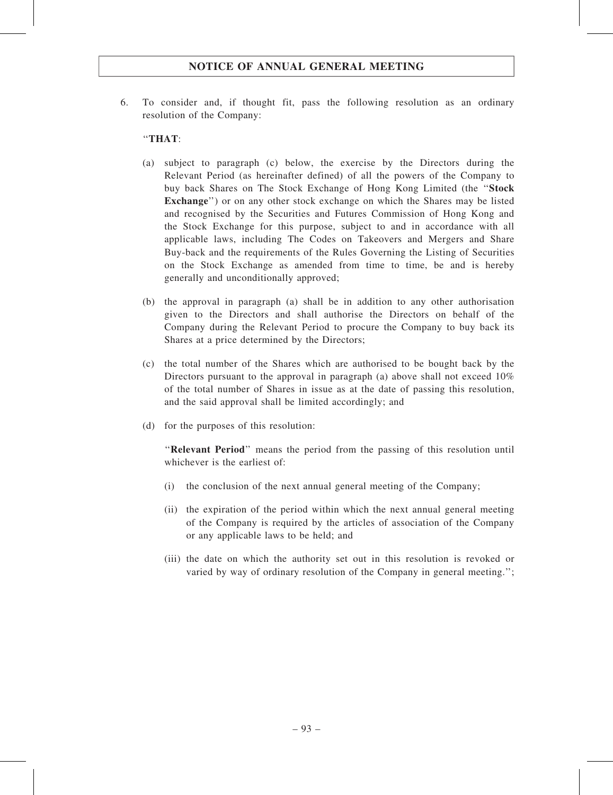6. To consider and, if thought fit, pass the following resolution as an ordinary resolution of the Company:

#### ''THAT:

- (a) subject to paragraph (c) below, the exercise by the Directors during the Relevant Period (as hereinafter defined) of all the powers of the Company to buy back Shares on The Stock Exchange of Hong Kong Limited (the ''Stock Exchange'') or on any other stock exchange on which the Shares may be listed and recognised by the Securities and Futures Commission of Hong Kong and the Stock Exchange for this purpose, subject to and in accordance with all applicable laws, including The Codes on Takeovers and Mergers and Share Buy-back and the requirements of the Rules Governing the Listing of Securities on the Stock Exchange as amended from time to time, be and is hereby generally and unconditionally approved;
- (b) the approval in paragraph (a) shall be in addition to any other authorisation given to the Directors and shall authorise the Directors on behalf of the Company during the Relevant Period to procure the Company to buy back its Shares at a price determined by the Directors;
- (c) the total number of the Shares which are authorised to be bought back by the Directors pursuant to the approval in paragraph (a) above shall not exceed  $10\%$ of the total number of Shares in issue as at the date of passing this resolution, and the said approval shall be limited accordingly; and
- (d) for the purposes of this resolution:

''Relevant Period'' means the period from the passing of this resolution until whichever is the earliest of:

- (i) the conclusion of the next annual general meeting of the Company;
- (ii) the expiration of the period within which the next annual general meeting of the Company is required by the articles of association of the Company or any applicable laws to be held; and
- (iii) the date on which the authority set out in this resolution is revoked or varied by way of ordinary resolution of the Company in general meeting.'';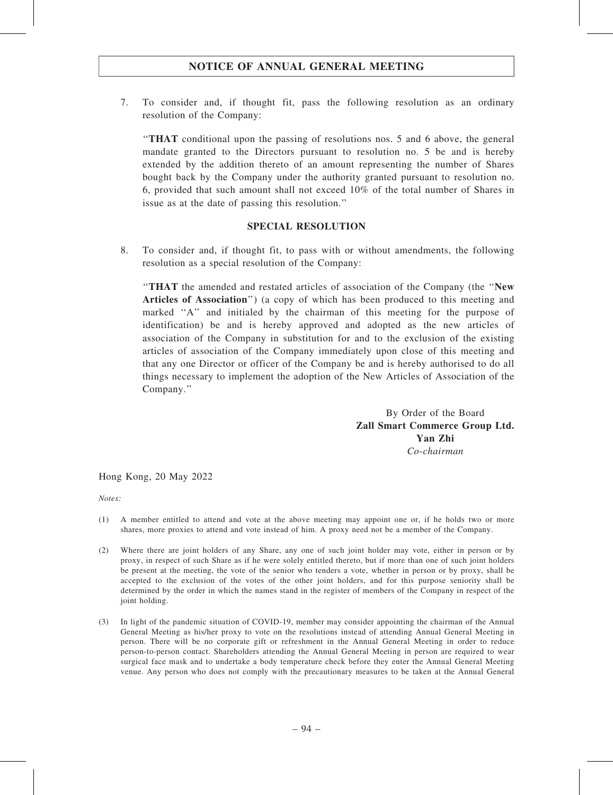7. To consider and, if thought fit, pass the following resolution as an ordinary resolution of the Company:

''THAT conditional upon the passing of resolutions nos. 5 and 6 above, the general mandate granted to the Directors pursuant to resolution no. 5 be and is hereby extended by the addition thereto of an amount representing the number of Shares bought back by the Company under the authority granted pursuant to resolution no. 6, provided that such amount shall not exceed 10% of the total number of Shares in issue as at the date of passing this resolution.''

#### SPECIAL RESOLUTION

8. To consider and, if thought fit, to pass with or without amendments, the following resolution as a special resolution of the Company:

''THAT the amended and restated articles of association of the Company (the ''New Articles of Association") (a copy of which has been produced to this meeting and marked "A" and initialed by the chairman of this meeting for the purpose of identification) be and is hereby approved and adopted as the new articles of association of the Company in substitution for and to the exclusion of the existing articles of association of the Company immediately upon close of this meeting and that any one Director or officer of the Company be and is hereby authorised to do all things necessary to implement the adoption of the New Articles of Association of the Company.''

> By Order of the Board Zall Smart Commerce Group Ltd. Yan Zhi Co-chairman

Hong Kong, 20 May 2022

Notes:

- (1) A member entitled to attend and vote at the above meeting may appoint one or, if he holds two or more shares, more proxies to attend and vote instead of him. A proxy need not be a member of the Company.
- (2) Where there are joint holders of any Share, any one of such joint holder may vote, either in person or by proxy, in respect of such Share as if he were solely entitled thereto, but if more than one of such joint holders be present at the meeting, the vote of the senior who tenders a vote, whether in person or by proxy, shall be accepted to the exclusion of the votes of the other joint holders, and for this purpose seniority shall be determined by the order in which the names stand in the register of members of the Company in respect of the joint holding.
- (3) In light of the pandemic situation of COVID-19, member may consider appointing the chairman of the Annual General Meeting as his/her proxy to vote on the resolutions instead of attending Annual General Meeting in person. There will be no corporate gift or refreshment in the Annual General Meeting in order to reduce person-to-person contact. Shareholders attending the Annual General Meeting in person are required to wear surgical face mask and to undertake a body temperature check before they enter the Annual General Meeting venue. Any person who does not comply with the precautionary measures to be taken at the Annual General